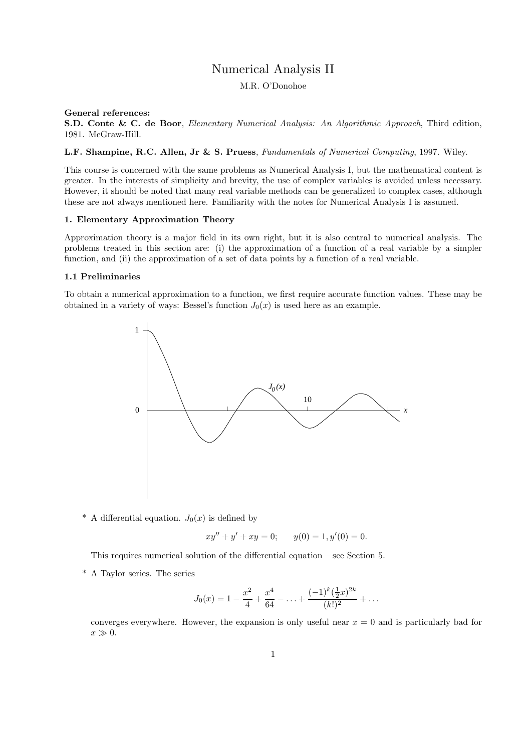# Numerical Analysis II

M.R. O'Donohoe

# General references:

S.D. Conte & C. de Boor, Elementary Numerical Analysis: An Algorithmic Approach, Third edition, 1981. McGraw-Hill.

# L.F. Shampine, R.C. Allen, Jr & S. Pruess, Fundamentals of Numerical Computing, 1997. Wiley.

This course is concerned with the same problems as Numerical Analysis I, but the mathematical content is greater. In the interests of simplicity and brevity, the use of complex variables is avoided unless necessary. However, it should be noted that many real variable methods can be generalized to complex cases, although these are not always mentioned here. Familiarity with the notes for Numerical Analysis I is assumed.

# 1. Elementary Approximation Theory

Approximation theory is a major field in its own right, but it is also central to numerical analysis. The problems treated in this section are: (i) the approximation of a function of a real variable by a simpler function, and (ii) the approximation of a set of data points by a function of a real variable.

# 1.1 Preliminaries

To obtain a numerical approximation to a function, we first require accurate function values. These may be obtained in a variety of ways: Bessel's function  $J_0(x)$  is used here as an example.



\* A differential equation.  $J_0(x)$  is defined by

$$
xy'' + y' + xy = 0; \t y(0) = 1, y'(0) = 0.
$$

This requires numerical solution of the differential equation – see Section 5.

\* A Taylor series. The series

$$
J_0(x) = 1 - \frac{x^2}{4} + \frac{x^4}{64} - \ldots + \frac{(-1)^k(\frac{1}{2}x)^{2k}}{(k!)^2} + \ldots
$$

converges everywhere. However, the expansion is only useful near  $x = 0$  and is particularly bad for  $x \gg 0$ .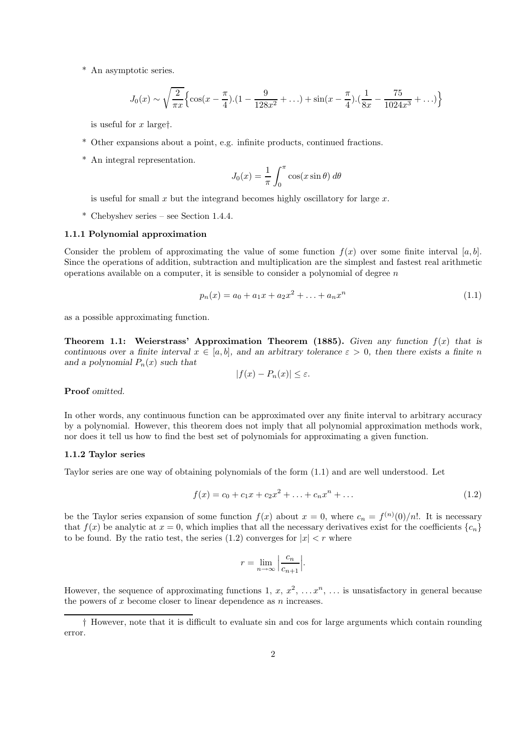\* An asymptotic series.

$$
J_0(x) \sim \sqrt{\frac{2}{\pi x}} \Big\{ \cos(x - \frac{\pi}{4}).(1 - \frac{9}{128x^2} + ...) + \sin(x - \frac{\pi}{4}).(\frac{1}{8x} - \frac{75}{1024x^3} + ...)\Big\}
$$

is useful for  $x$  larget.

- \* Other expansions about a point, e.g. infinite products, continued fractions.
- \* An integral representation.

$$
J_0(x) = \frac{1}{\pi} \int_0^{\pi} \cos(x \sin \theta) d\theta
$$

is useful for small  $x$  but the integrand becomes highly oscillatory for large  $x$ .

\* Chebyshev series – see Section 1.4.4.

# 1.1.1 Polynomial approximation

Consider the problem of approximating the value of some function  $f(x)$  over some finite interval [a, b]. Since the operations of addition, subtraction and multiplication are the simplest and fastest real arithmetic operations available on a computer, it is sensible to consider a polynomial of degree  $n$ 

$$
p_n(x) = a_0 + a_1 x + a_2 x^2 + \dots + a_n x^n \tag{1.1}
$$

as a possible approximating function.

Theorem 1.1: Weierstrass' Approximation Theorem (1885). Given any function  $f(x)$  that is continuous over a finite interval  $x \in [a, b]$ , and an arbitrary tolerance  $\varepsilon > 0$ , then there exists a finite n and a polynomial  $P_n(x)$  such that

$$
|f(x) - P_n(x)| \le \varepsilon.
$$

Proof *omitted*.

In other words, any continuous function can be approximated over any finite interval to arbitrary accuracy by a polynomial. However, this theorem does not imply that all polynomial approximation methods work, nor does it tell us how to find the best set of polynomials for approximating a given function.

### 1.1.2 Taylor series

Taylor series are one way of obtaining polynomials of the form (1.1) and are well understood. Let

$$
f(x) = c_0 + c_1 x + c_2 x^2 + \dots + c_n x^n + \dots
$$
\n(1.2)

be the Taylor series expansion of some function  $f(x)$  about  $x = 0$ , where  $c_n = f^{(n)}(0)/n!$ . It is necessary that  $f(x)$  be analytic at  $x = 0$ , which implies that all the necessary derivatives exist for the coefficients  $\{c_n\}$ to be found. By the ratio test, the series (1.2) converges for  $|x| < r$  where

$$
r = \lim_{n \to \infty} \left| \frac{c_n}{c_{n+1}} \right|.
$$

However, the sequence of approximating functions 1,  $x, x^2, \ldots x^n, \ldots$  is unsatisfactory in general because the powers of  $x$  become closer to linear dependence as  $n$  increases.

<sup>†</sup> However, note that it is difficult to evaluate sin and cos for large arguments which contain rounding error.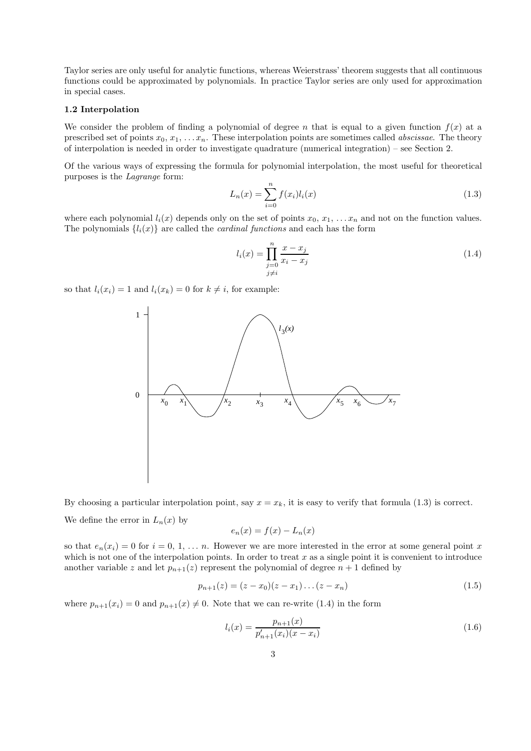Taylor series are only useful for analytic functions, whereas Weierstrass' theorem suggests that all continuous functions could be approximated by polynomials. In practice Taylor series are only used for approximation in special cases.

# 1.2 Interpolation

We consider the problem of finding a polynomial of degree n that is equal to a given function  $f(x)$  at a prescribed set of points  $x_0, x_1, \ldots, x_n$ . These interpolation points are sometimes called *abscissae*. The theory of interpolation is needed in order to investigate quadrature (numerical integration) – see Section 2.

Of the various ways of expressing the formula for polynomial interpolation, the most useful for theoretical purposes is the Lagrange form:

$$
L_n(x) = \sum_{i=0}^{n} f(x_i) l_i(x)
$$
\n(1.3)

where each polynomial  $l_i(x)$  depends only on the set of points  $x_0, x_1, \ldots, x_n$  and not on the function values. The polynomials  ${l_i(x)}$  are called the *cardinal functions* and each has the form

$$
l_i(x) = \prod_{\substack{j=0 \ j \neq i}}^{n} \frac{x - x_j}{x_i - x_j}
$$
\n(1.4)

so that  $l_i(x_i) = 1$  and  $l_i(x_k) = 0$  for  $k \neq i$ , for example:



By choosing a particular interpolation point, say  $x = x_k$ , it is easy to verify that formula (1.3) is correct. We define the error in  $L_n(x)$  by

$$
e_n(x) = f(x) - L_n(x)
$$

so that  $e_n(x_i) = 0$  for  $i = 0, 1, \ldots, n$ . However we are more interested in the error at some general point x which is not one of the interpolation points. In order to treat  $x$  as a single point it is convenient to introduce another variable z and let  $p_{n+1}(z)$  represent the polynomial of degree  $n+1$  defined by

$$
p_{n+1}(z) = (z - x_0)(z - x_1) \dots (z - x_n)
$$
\n(1.5)

where  $p_{n+1}(x_i) = 0$  and  $p_{n+1}(x) \neq 0$ . Note that we can re-write (1.4) in the form

$$
l_i(x) = \frac{p_{n+1}(x)}{p'_{n+1}(x_i)(x - x_i)}
$$
\n(1.6)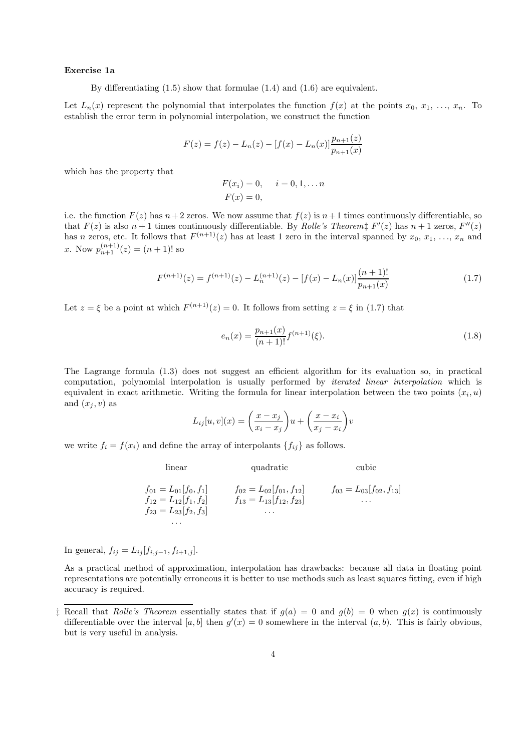#### Exercise 1a

By differentiating (1.5) show that formulae (1.4) and (1.6) are equivalent.

Let  $L_n(x)$  represent the polynomial that interpolates the function  $f(x)$  at the points  $x_0, x_1, \ldots, x_n$ . To establish the error term in polynomial interpolation, we construct the function

$$
F(z) = f(z) - L_n(z) - [f(x) - L_n(x)] \frac{p_{n+1}(z)}{p_{n+1}(x)}
$$

which has the property that

$$
F(x_i) = 0,
$$
  $i = 0, 1, ... n$   
 $F(x) = 0,$ 

i.e. the function  $F(z)$  has  $n+2$  zeros. We now assume that  $f(z)$  is  $n+1$  times continuously differentiable, so that  $F(z)$  is also  $n+1$  times continuously differentiable. By *Rolle's Theorem*<sup>†</sup>  $F'(z)$  has  $n+1$  zeros,  $F''(z)$ has n zeros, etc. It follows that  $F^{(n+1)}(z)$  has at least 1 zero in the interval spanned by  $x_0, x_1, \ldots, x_n$  and x. Now  $p_{n+1}^{(n+1)}(z) = (n+1)!$  so

$$
F^{(n+1)}(z) = f^{(n+1)}(z) - L_n^{(n+1)}(z) - [f(x) - L_n(x)] \frac{(n+1)!}{p_{n+1}(x)}
$$
(1.7)

Let  $z = \xi$  be a point at which  $F^{(n+1)}(z) = 0$ . It follows from setting  $z = \xi$  in (1.7) that

$$
e_n(x) = \frac{p_{n+1}(x)}{(n+1)!} f^{(n+1)}(\xi).
$$
\n(1.8)

The Lagrange formula (1.3) does not suggest an efficient algorithm for its evaluation so, in practical computation, polynomial interpolation is usually performed by iterated linear interpolation which is equivalent in exact arithmetic. Writing the formula for linear interpolation between the two points  $(x_i, u)$ and  $(x_i, v)$  as

$$
L_{ij}[u, v](x) = \left(\frac{x - x_j}{x_i - x_j}\right)u + \left(\frac{x - x_i}{x_j - x_i}\right)v
$$

we write  $f_i = f(x_i)$  and define the array of interpolants  $\{f_{ij}\}\$ as follows.

linear quadratic cubic  
\n
$$
f_{01} = L_{01}[f_0, f_1]
$$
  $f_{02} = L_{02}[f_{01}, f_{12}]$   $f_{03} = L_{03}[f_{02}, f_{13}]$   
\n $f_{12} = L_{12}[f_1, f_2]$   $f_{13} = L_{13}[f_{12}, f_{23}]$  ...  
\n...  
\n...

In general,  $f_{ij} = L_{ij} [f_{i,j-1}, f_{i+1,j}]$ .

As a practical method of approximation, interpolation has drawbacks: because all data in floating point representations are potentially erroneous it is better to use methods such as least squares fitting, even if high accuracy is required.

<sup>&</sup>lt;sup> $\ddagger$ </sup> Recall that *Rolle's Theorem* essentially states that if  $g(a) = 0$  and  $g(b) = 0$  when  $g(x)$  is continuously differentiable over the interval [a, b] then  $g'(x) = 0$  somewhere in the interval  $(a, b)$ . This is fairly obvious, but is very useful in analysis.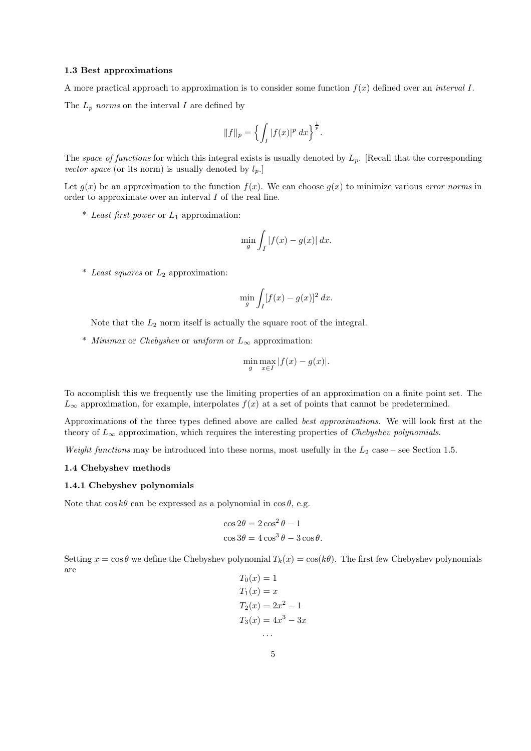#### 1.3 Best approximations

A more practical approach to approximation is to consider some function  $f(x)$  defined over an *interval I*. The  $L_p$  norms on the interval I are defined by

$$
||f||_p = \left\{ \int_I |f(x)|^p dx \right\}^{\frac{1}{p}}.
$$

The space of functions for which this integral exists is usually denoted by  $L_p$ . [Recall that the corresponding vector space (or its norm) is usually denoted by  $l_p$ .

Let  $g(x)$  be an approximation to the function  $f(x)$ . We can choose  $g(x)$  to minimize various error norms in order to approximate over an interval I of the real line.

\* Least first power or  $L_1$  approximation:

$$
\min_{g} \int_{I} |f(x) - g(x)| dx.
$$

 $*$  Least squares or  $L_2$  approximation:

$$
\min_{g} \int_{I} [f(x) - g(x)]^2 dx.
$$

Note that the  $L_2$  norm itself is actually the square root of the integral.

\* Minimax or Chebyshev or uniform or  $L_{\infty}$  approximation:

$$
\min_{g} \max_{x \in I} |f(x) - g(x)|.
$$

To accomplish this we frequently use the limiting properties of an approximation on a finite point set. The  $L_{\infty}$  approximation, for example, interpolates  $f(x)$  at a set of points that cannot be predetermined.

Approximations of the three types defined above are called best approximations. We will look first at the theory of  $L_{\infty}$  approximation, which requires the interesting properties of *Chebyshev polynomials*.

Weight functions may be introduced into these norms, most usefully in the  $L_2$  case – see Section 1.5.

# 1.4 Chebyshev methods

### 1.4.1 Chebyshev polynomials

Note that  $\cos k\theta$  can be expressed as a polynomial in  $\cos \theta$ , e.g.

$$
\cos 2\theta = 2\cos^2 \theta - 1
$$

$$
\cos 3\theta = 4\cos^3 \theta - 3\cos \theta.
$$

Setting  $x = \cos \theta$  we define the Chebyshev polynomial  $T_k(x) = \cos(k\theta)$ . The first few Chebyshev polynomials are  $T<sub>0</sub>$   $T<sub>1</sub>$ 

$$
I_0(x) = 1
$$
  
\n
$$
T_1(x) = x
$$
  
\n
$$
T_2(x) = 2x^2 - 1
$$
  
\n
$$
T_3(x) = 4x^3 - 3x
$$
  
\n...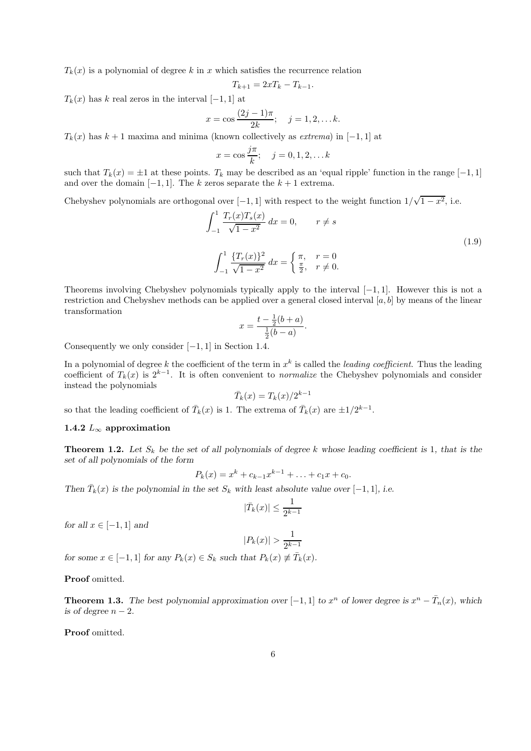$T_k(x)$  is a polynomial of degree k in x which satisfies the recurrence relation

$$
T_{k+1} = 2xT_k - T_{k-1}.
$$

 $T_k(x)$  has k real zeros in the interval  $[-1, 1]$  at

$$
x = \cos \frac{(2j-1)\pi}{2k}; \quad j = 1, 2, \dots k.
$$

 $T_k(x)$  has  $k+1$  maxima and minima (known collectively as *extrema*) in [−1, 1] at

$$
x = \cos \frac{j\pi}{k}; \quad j = 0, 1, 2, ... k
$$

such that  $T_k(x) = \pm 1$  at these points.  $T_k$  may be described as an 'equal ripple' function in the range [−1, 1] and over the domain  $[-1, 1]$ . The k zeros separate the  $k + 1$  extrema.

Chebyshev polynomials are orthogonal over [-1, 1] with respect to the weight function  $1/\sqrt{1-x^2}$ , i.e.

$$
\int_{-1}^{1} \frac{T_r(x)T_s(x)}{\sqrt{1-x^2}} dx = 0, \qquad r \neq s
$$
\n
$$
\int_{-1}^{1} \frac{\{T_r(x)\}^2}{\sqrt{1-x^2}} dx = \begin{cases} \pi, & r = 0\\ \frac{\pi}{2}, & r \neq 0. \end{cases}
$$
\n(1.9)

Theorems involving Chebyshev polynomials typically apply to the interval  $[-1, 1]$ . However this is not a restriction and Chebyshev methods can be applied over a general closed interval  $[a, b]$  by means of the linear transformation

$$
x = \frac{t - \frac{1}{2}(b + a)}{\frac{1}{2}(b - a)}.
$$

Consequently we only consider  $[-1, 1]$  in Section 1.4.

In a polynomial of degree k the coefficient of the term in  $x^k$  is called the *leading coefficient*. Thus the leading coefficient of  $T_k(x)$  is  $2^{k-1}$ . It is often convenient to *normalize* the Chebyshev polynomials and consider instead the polynomials

$$
\bar{T}_k(x) = T_k(x)/2^{k-1}
$$

so that the leading coefficient of  $\bar{T}_k(x)$  is 1. The extrema of  $\bar{T}_k(x)$  are  $\pm 1/2^{k-1}$ .

# 1.4.2  $L_{\infty}$  approximation

**Theorem 1.2.** Let  $S_k$  be the set of all polynomials of degree k whose leading coefficient is 1, that is the set of all polynomials of the form

$$
P_k(x) = x^k + c_{k-1}x^{k-1} + \ldots + c_1x + c_0.
$$

Then  $\overline{T}_k(x)$  is the polynomial in the set  $S_k$  with least absolute value over [-1, 1], i.e.

$$
|\bar{T}_k(x)| \le \frac{1}{2^{k-1}}
$$

for all  $x \in [-1, 1]$  and

$$
|P_k(x)| > \frac{1}{2^{k-1}}
$$

for some  $x \in [-1, 1]$  for any  $P_k(x) \in S_k$  such that  $P_k(x) \not\equiv \overline{T}_k(x)$ .

Proof omitted.

**Theorem 1.3.** The best polynomial approximation over  $[-1, 1]$  to  $x^n$  of lower degree is  $x^n - \overline{T}_n(x)$ , which is of degree  $n-2$ .

Proof omitted.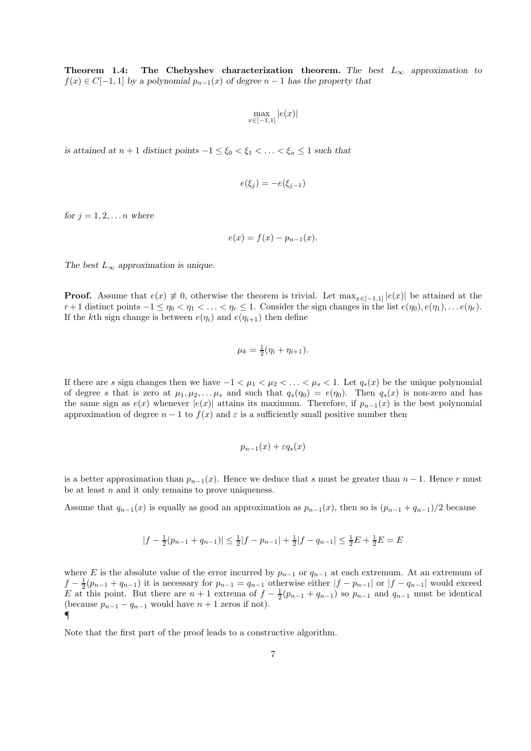Theorem 1.4: The Chebyshev characterization theorem. The best  $L_{\infty}$  approximation to  $f(x) \in C[-1,1]$  by a polynomial  $p_{n-1}(x)$  of degree  $n-1$  has the property that

$$
\max_{x \in [-1,1]} |e(x)|
$$

is attained at  $n + 1$  distinct points  $-1 \le \xi_0 < \xi_1 < \ldots < \xi_n \le 1$  such that

$$
e(\xi_j) = -e(\xi_{j-1})
$$

for  $j = 1, 2, \ldots n$  where

$$
e(x) = f(x) - p_{n-1}(x).
$$

The best  $L_{\infty}$  approximation is unique.

**Proof.** Assume that  $e(x) \neq 0$ , otherwise the theorem is trivial. Let  $\max_{x \in [-1,1]} |e(x)|$  be attained at the  $r+1$  distinct points  $-1 \leq \eta_0 < \eta_1 < \ldots < \eta_r \leq 1$ . Consider the sign changes in the list  $e(\eta_0), e(\eta_1), \ldots e(\eta_r)$ . If the kth sign change is between  $e(\eta_i)$  and  $e(\eta_{i+1})$  then define

$$
\mu_k = \frac{1}{2}(\eta_i + \eta_{i+1}).
$$

If there are s sign changes then we have  $-1 < \mu_1 < \mu_2 < \ldots < \mu_s < 1$ . Let  $q_s(x)$  be the unique polynomial of degree s that is zero at  $\mu_1, \mu_2, \ldots, \mu_s$  and such that  $q_s(\eta_0) = e(\eta_0)$ . Then  $q_s(x)$  is non-zero and has the same sign as  $e(x)$  whenever  $|e(x)|$  attains its maximum. Therefore, if  $p_{n-1}(x)$  is the best polynomial approximation of degree  $n - 1$  to  $f(x)$  and  $\varepsilon$  is a sufficiently small positive number then

$$
p_{n-1}(x) + \varepsilon q_s(x)
$$

is a better approximation than  $p_{n-1}(x)$ . Hence we deduce that s must be greater than  $n-1$ . Hence r must be at least  $n$  and it only remains to prove uniqueness.

Assume that  $q_{n-1}(x)$  is equally as good an approximation as  $p_{n-1}(x)$ , then so is  $(p_{n-1} + q_{n-1})/2$  because

$$
|f - \frac{1}{2}(p_{n-1} + q_{n-1})| \le \frac{1}{2}|f - p_{n-1}| + \frac{1}{2}|f - q_{n-1}| \le \frac{1}{2}E + \frac{1}{2}E = E
$$

where E is the absolute value of the error incurred by  $p_{n-1}$  or  $q_{n-1}$  at each extremum. At an extremum of  $f - \frac{1}{2}(p_{n-1} + q_{n-1})$  it is necessary for  $p_{n-1} = q_{n-1}$  otherwise either  $|f - p_{n-1}|$  or  $|f - q_{n-1}|$  would exceed E at this point. But there are  $n + 1$  extrema of  $f - \frac{1}{2}(p_{n-1} + q_{n-1})$  so  $p_{n-1}$  and  $q_{n-1}$  must be identical (because  $p_{n-1} - q_{n-1}$  would have  $n+1$  zeros if not). ¶

Note that the first part of the proof leads to a constructive algorithm.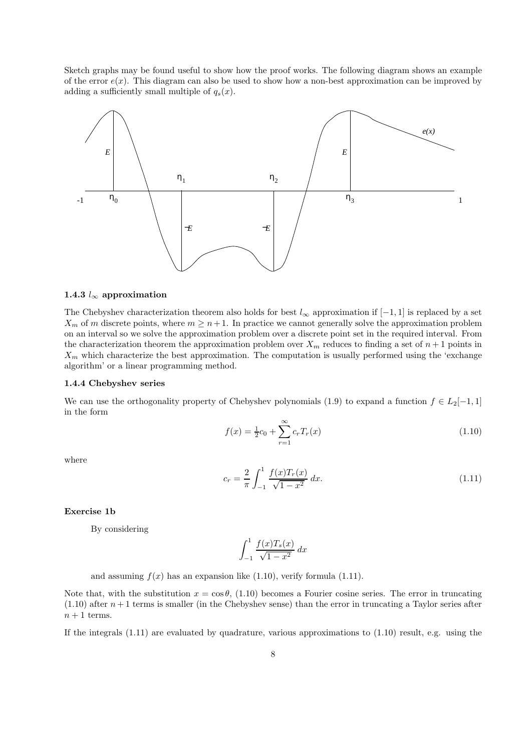Sketch graphs may be found useful to show how the proof works. The following diagram shows an example of the error  $e(x)$ . This diagram can also be used to show how a non-best approximation can be improved by adding a sufficiently small multiple of  $q_s(x)$ .



#### 1.4.3  $l_{\infty}$  approximation

The Chebyshev characterization theorem also holds for best  $l_{\infty}$  approximation if  $[-1, 1]$  is replaced by a set  $X_m$  of m discrete points, where  $m \geq n+1$ . In practice we cannot generally solve the approximation problem on an interval so we solve the approximation problem over a discrete point set in the required interval. From the characterization theorem the approximation problem over  $X_m$  reduces to finding a set of  $n+1$  points in  $X_m$  which characterize the best approximation. The computation is usually performed using the 'exchange algorithm' or a linear programming method.

#### 1.4.4 Chebyshev series

We can use the orthogonality property of Chebyshev polynomials (1.9) to expand a function  $f \in L_2[-1,1]$ in the form

$$
f(x) = \frac{1}{2}c_0 + \sum_{r=1}^{\infty} c_r T_r(x)
$$
\n(1.10)

where

$$
c_r = \frac{2}{\pi} \int_{-1}^{1} \frac{f(x)T_r(x)}{\sqrt{1 - x^2}} dx.
$$
\n(1.11)

# Exercise 1b

By considering

$$
\int_{-1}^{1} \frac{f(x)T_s(x)}{\sqrt{1-x^2}} \, dx
$$

and assuming  $f(x)$  has an expansion like (1.10), verify formula (1.11).

Note that, with the substitution  $x = \cos \theta$ , (1.10) becomes a Fourier cosine series. The error in truncating  $(1.10)$  after  $n+1$  terms is smaller (in the Chebyshev sense) than the error in truncating a Taylor series after  $n+1$  terms.

If the integrals (1.11) are evaluated by quadrature, various approximations to (1.10) result, e.g. using the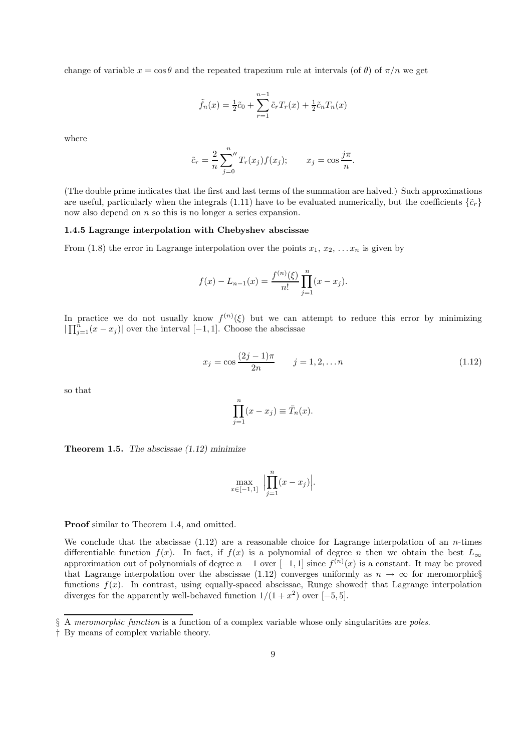change of variable  $x = \cos \theta$  and the repeated trapezium rule at intervals (of  $\theta$ ) of  $\pi/n$  we get

$$
\tilde{f}_n(x) = \frac{1}{2}\tilde{c}_0 + \sum_{r=1}^{n-1} \tilde{c}_r T_r(x) + \frac{1}{2}\tilde{c}_n T_n(x)
$$

where

$$
\tilde{c}_r = \frac{2}{n} \sum_{j=0}^n T_r(x_j) f(x_j); \qquad x_j = \cos \frac{j\pi}{n}.
$$

(The double prime indicates that the first and last terms of the summation are halved.) Such approximations are useful, particularly when the integrals (1.11) have to be evaluated numerically, but the coefficients  $\{\tilde{c}_r\}$ now also depend on n so this is no longer a series expansion.

# 1.4.5 Lagrange interpolation with Chebyshev abscissae

From (1.8) the error in Lagrange interpolation over the points  $x_1, x_2, \ldots x_n$  is given by

$$
f(x) - L_{n-1}(x) = \frac{f^{(n)}(\xi)}{n!} \prod_{j=1}^{n} (x - x_j).
$$

In practice we do not usually know  $f^{(n)}(\xi)$  but we can attempt to reduce this error by minimizing  $|\prod_{j=1}^{n}(x-x_j)|$  over the interval  $[-1,1]$ . Choose the abscissae

$$
x_j = \cos \frac{(2j-1)\pi}{2n} \qquad j = 1, 2, \dots n \tag{1.12}
$$

so that

$$
\prod_{j=1}^{n} (x - x_j) \equiv \bar{T}_n(x).
$$

**Theorem 1.5.** The abscissae  $(1.12)$  minimize

$$
\max_{x \in [-1,1]} \Big| \prod_{j=1}^n (x - x_j) \Big|.
$$

Proof similar to Theorem 1.4, and omitted.

We conclude that the abscissae  $(1.12)$  are a reasonable choice for Lagrange interpolation of an *n*-times differentiable function  $f(x)$ . In fact, if  $f(x)$  is a polynomial of degree n then we obtain the best  $L_{\infty}$ approximation out of polynomials of degree  $n-1$  over  $[-1,1]$  since  $f^{(n)}(x)$  is a constant. It may be proved that Lagrange interpolation over the abscissae (1.12) converges uniformly as  $n \to \infty$  for meromorphic§ functions  $f(x)$ . In contrast, using equally-spaced abscissae, Runge showed† that Lagrange interpolation diverges for the apparently well-behaved function  $1/(1+x^2)$  over  $[-5,5]$ .

<sup>§</sup> A *meromorphic function* is a function of a complex variable whose only singularities are *poles*.

<sup>†</sup> By means of complex variable theory.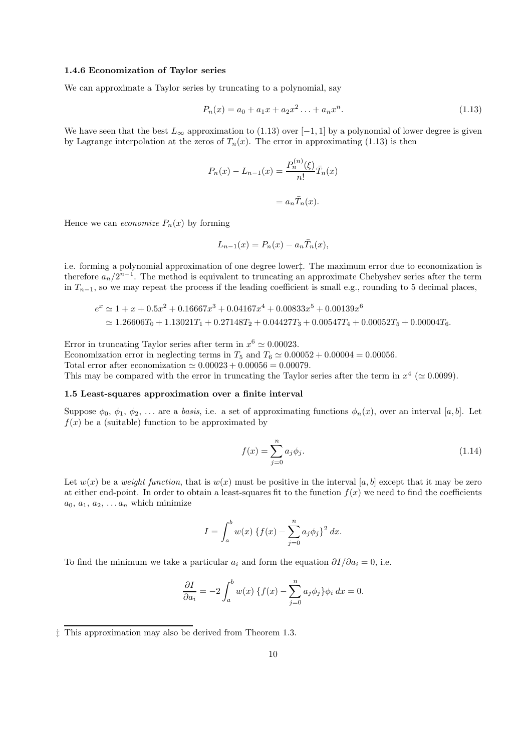### 1.4.6 Economization of Taylor series

We can approximate a Taylor series by truncating to a polynomial, say

$$
P_n(x) = a_0 + a_1 x + a_2 x^2 \dots + a_n x^n.
$$
\n(1.13)

We have seen that the best  $L_{\infty}$  approximation to (1.13) over [-1, 1] by a polynomial of lower degree is given by Lagrange interpolation at the zeros of  $T_n(x)$ . The error in approximating (1.13) is then

$$
P_n(x) - L_{n-1}(x) = \frac{P_n^{(n)}(\xi)}{n!} \overline{T}_n(x)
$$

$$
= a_n \overline{T}_n(x).
$$

Hence we can *economize*  $P_n(x)$  by forming

$$
L_{n-1}(x) = P_n(x) - a_n \overline{T}_n(x),
$$

i.e. forming a polynomial approximation of one degree lower‡. The maximum error due to economization is therefore  $a_n/2^{n-1}$ . The method is equivalent to truncating an approximate Chebyshev series after the term in  $T_{n-1}$ , so we may repeat the process if the leading coefficient is small e.g., rounding to 5 decimal places,

$$
e^x \simeq 1 + x + 0.5x^2 + 0.16667x^3 + 0.04167x^4 + 0.00833x^5 + 0.00139x^6
$$
  
\simeq 1.26606T<sub>0</sub> + 1.13021T<sub>1</sub> + 0.27148T<sub>2</sub> + 0.04427T<sub>3</sub> + 0.00547T<sub>4</sub> + 0.00052T<sub>5</sub> + 0.00004T<sub>6</sub>.

Error in truncating Taylor series after term in  $x^6 \simeq 0.00023$ . Economization error in neglecting terms in  $T_5$  and  $T_6 \simeq 0.00052 + 0.00004 = 0.00056$ . Total error after economization  $\simeq 0.00023 + 0.00056 = 0.00079$ . This may be compared with the error in truncating the Taylor series after the term in  $x^4$  ( $\simeq 0.0099$ ).

# 1.5 Least-squares approximation over a finite interval

Suppose  $\phi_0, \phi_1, \phi_2, \ldots$  are a basis, i.e. a set of approximating functions  $\phi_n(x)$ , over an interval [a, b]. Let  $f(x)$  be a (suitable) function to be approximated by

$$
f(x) = \sum_{j=0}^{n} a_j \phi_j.
$$
 (1.14)

Let  $w(x)$  be a weight function, that is  $w(x)$  must be positive in the interval [a, b] except that it may be zero at either end-point. In order to obtain a least-squares fit to the function  $f(x)$  we need to find the coefficients  $a_0, a_1, a_2, \ldots a_n$  which minimize

$$
I = \int_{a}^{b} w(x) \{ f(x) - \sum_{j=0}^{n} a_j \phi_j \}^2 dx.
$$

To find the minimum we take a particular  $a_i$  and form the equation  $\partial I/\partial a_i = 0$ , i.e.

$$
\frac{\partial I}{\partial a_i} = -2 \int_a^b w(x) \left\{ f(x) - \sum_{j=0}^n a_j \phi_j \right\} \phi_i dx = 0.
$$

<sup>‡</sup> This approximation may also be derived from Theorem 1.3.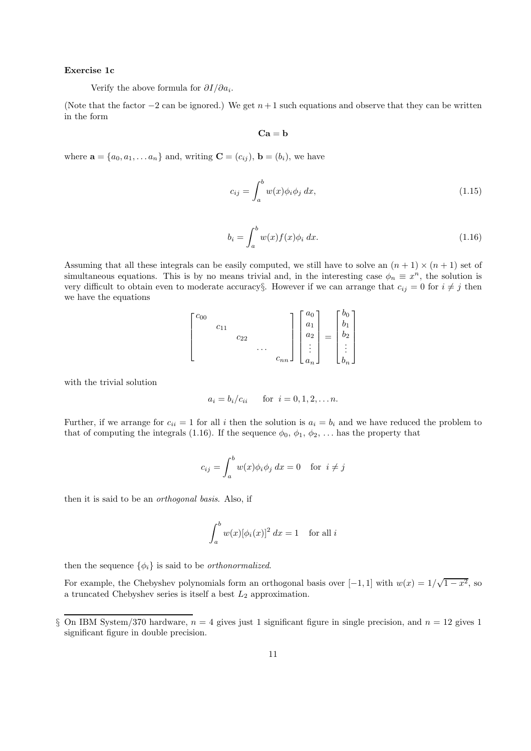### Exercise 1c

Verify the above formula for  $\partial I/\partial a_i$ .

(Note that the factor  $-2$  can be ignored.) We get  $n+1$  such equations and observe that they can be written in the form

 $Ca = b$ 

where  $\mathbf{a} = \{a_0, a_1, \dots a_n\}$  and, writing  $\mathbf{C} = (c_{ij}), \mathbf{b} = (b_i)$ , we have

$$
c_{ij} = \int_{a}^{b} w(x)\phi_i\phi_j dx,
$$
\n(1.15)

$$
b_i = \int_a^b w(x)f(x)\phi_i dx.
$$
 (1.16)

Assuming that all these integrals can be easily computed, we still have to solve an  $(n + 1) \times (n + 1)$  set of simultaneous equations. This is by no means trivial and, in the interesting case  $\phi_n \equiv x^n$ , the solution is very difficult to obtain even to moderate accuracy§. However if we can arrange that  $c_{ij} = 0$  for  $i \neq j$  then we have the equations

$$
\begin{bmatrix} c_{00} & & & & \\ & c_{11} & & & \\ & & c_{22} & & \\ & & & \cdots & \\ & & & & c_{nn} \end{bmatrix} \begin{bmatrix} a_0 \\ a_1 \\ a_2 \\ \vdots \\ a_n \end{bmatrix} = \begin{bmatrix} b_0 \\ b_1 \\ b_2 \\ \vdots \\ b_n \end{bmatrix}
$$

with the trivial solution

$$
a_i = b_i/c_{ii}
$$
 for  $i = 0, 1, 2, ... n$ .

Further, if we arrange for  $c_{ii} = 1$  for all i then the solution is  $a_i = b_i$  and we have reduced the problem to that of computing the integrals (1.16). If the sequence  $\phi_0$ ,  $\phi_1$ ,  $\phi_2$ , ... has the property that

$$
c_{ij} = \int_a^b w(x)\phi_i\phi_j \, dx = 0 \quad \text{for } i \neq j
$$

then it is said to be an orthogonal basis. Also, if

$$
\int_a^b w(x)[\phi_i(x)]^2 dx = 1 \text{ for all } i
$$

then the sequence  $\{\phi_i\}$  is said to be *orthonormalized*.

For example, the Chebyshev polynomials form an orthogonal basis over  $[-1, 1]$  with  $w(x) = 1/\sqrt{1-x^2}$ , so a truncated Chebyshev series is itself a best  $L_2$  approximation.

<sup>§</sup> On IBM System/370 hardware,  $n = 4$  gives just 1 significant figure in single precision, and  $n = 12$  gives 1 significant figure in double precision.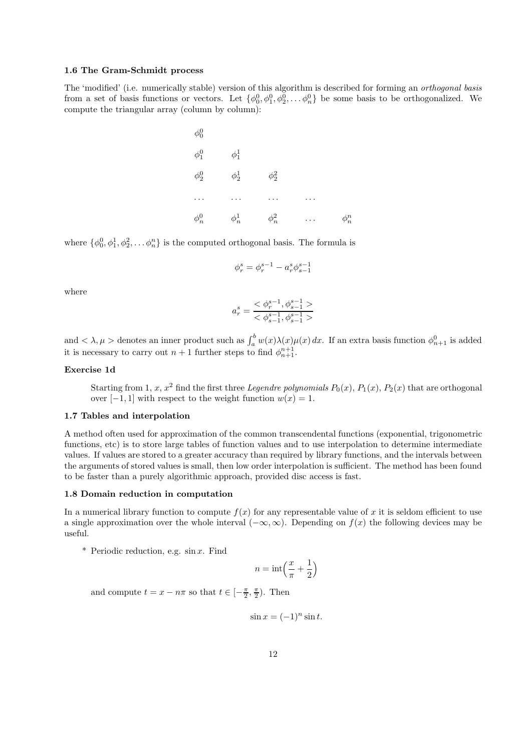# 1.6 The Gram-Schmidt process

The 'modified' (i.e. numerically stable) version of this algorithm is described for forming an orthogonal basis from a set of basis functions or vectors. Let  $\{\phi_0^0, \phi_1^0, \phi_2^0, \dots, \phi_n^0\}$  be some basis to be orthogonalized. We compute the triangular array (column by column):

| $\phi^0_0$ |            |            |            |
|------------|------------|------------|------------|
| $\phi^0_1$ | $\phi_1^1$ |            |            |
| $\phi_2^0$ | $\phi^1_2$ | $\phi_2^2$ |            |
|            | $\cdots$   |            |            |
| $\phi_n^0$ | $\phi_n^1$ | $\phi_n^2$ | $\phi_n^n$ |

where  $\{\phi_0^0, \phi_1^1, \phi_2^2, \dots, \phi_n^n\}$  is the computed orthogonal basis. The formula is

$$
\phi_r^s = \phi_r^{s-1} - a_r^s \phi_{s-1}^{s-1}
$$

where

$$
a_r^s = \frac{<\phi_r^{s-1},\phi_{s-1}^{s-1}>}{<\phi_{s-1}^{s-1},\phi_{s-1}^{s-1}>}
$$

and  $\langle \lambda, \mu \rangle$  denotes an inner product such as  $\int_a^b w(x) \lambda(x) \mu(x) dx$ . If an extra basis function  $\phi_{n+1}^0$  is added it is necessary to carry out  $n+1$  further steps to find  $\phi_{n+1}^{n+1}$ .

### Exercise 1d

Starting from 1, x,  $x^2$  find the first three Legendre polynomials  $P_0(x)$ ,  $P_1(x)$ ,  $P_2(x)$  that are orthogonal over  $[-1, 1]$  with respect to the weight function  $w(x) = 1$ .

# 1.7 Tables and interpolation

A method often used for approximation of the common transcendental functions (exponential, trigonometric functions, etc) is to store large tables of function values and to use interpolation to determine intermediate values. If values are stored to a greater accuracy than required by library functions, and the intervals between the arguments of stored values is small, then low order interpolation is sufficient. The method has been found to be faster than a purely algorithmic approach, provided disc access is fast.

#### 1.8 Domain reduction in computation

In a numerical library function to compute  $f(x)$  for any representable value of x it is seldom efficient to use a single approximation over the whole interval  $(-\infty, \infty)$ . Depending on  $f(x)$  the following devices may be useful.

\* Periodic reduction, e.g.  $\sin x$ . Find

$$
n = \text{int}\left(\frac{x}{\pi} + \frac{1}{2}\right)
$$

and compute  $t = x - n\pi$  so that  $t \in [-\frac{\pi}{2}, \frac{\pi}{2})$ . Then

$$
\sin x = (-1)^n \sin t.
$$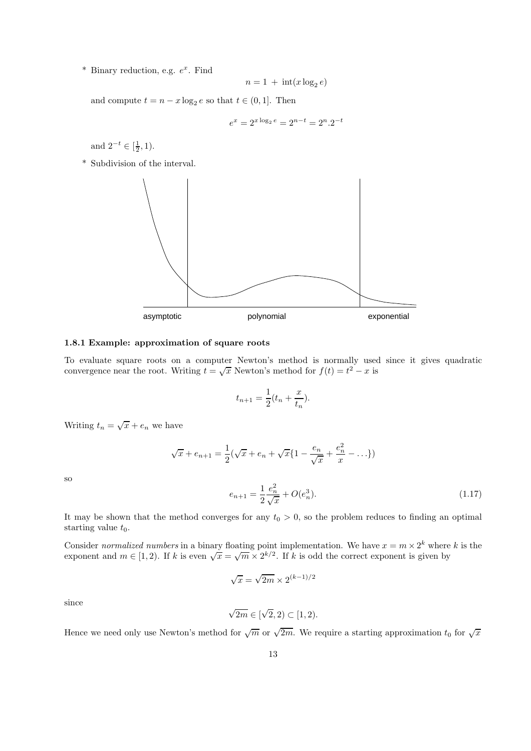\* Binary reduction, e.g.  $e^x$ . Find

$$
n = 1 + \operatorname{int}(x \log_2 e)
$$

and compute  $t = n - x \log_2 e$  so that  $t \in (0, 1]$ . Then

$$
e^x = 2^{x \log_2 e} = 2^{n-t} = 2^n \cdot 2^{-t}
$$

and  $2^{-t} \in [\frac{1}{2}, 1)$ .

\* Subdivision of the interval.



#### 1.8.1 Example: approximation of square roots

To evaluate square roots on a computer Newton's method is normally used since it gives quadratic convergence near the root. Writing  $t = \sqrt{x}$  Newton's method for  $f(t) = t^2 - x$  is

$$
t_{n+1} = \frac{1}{2}(t_n + \frac{x}{t_n}).
$$

Writing  $t_n = \sqrt{x} + e_n$  we have

$$
\sqrt{x} + e_{n+1} = \frac{1}{2}(\sqrt{x} + e_n + \sqrt{x}\{1 - \frac{e_n}{\sqrt{x}} + \frac{e_n^2}{x} - \ldots\})
$$

$$
e_{n+1} = \frac{1}{2}\frac{e_n^2}{\sqrt{x}} + O(e_n^3).
$$
(1.17)

so

It may be shown that the method converges for any  $t_0 > 0$ , so the problem reduces to finding an optimal starting value  $t_0$ .

2

Consider normalized numbers in a binary floating point implementation. We have  $x = m \times 2^k$  where k is the exponent and  $m \in [1, 2)$ . If k is even  $\sqrt{x} = \sqrt{m} \times 2^{k/2}$ . If k is odd the correct exponent is given by

$$
\sqrt{x} = \sqrt{2m} \times 2^{(k-1)/2}
$$

since

$$
\sqrt{2m} \in [\sqrt{2}, 2) \subset [1, 2).
$$

Hence we need only use Newton's method for  $\sqrt{m}$  or  $\sqrt{2m}$ . We require a starting approximation  $t_0$  for  $\sqrt{x}$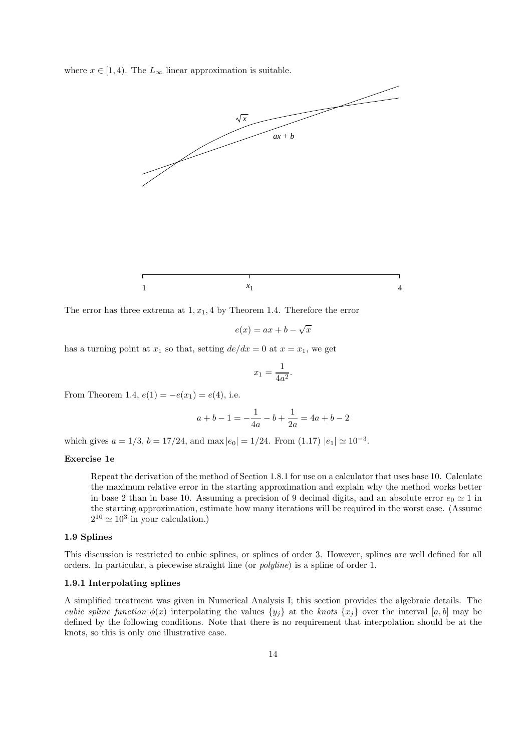where  $x \in [1, 4)$ . The  $L_{\infty}$  linear approximation is suitable.



The error has three extrema at  $1, x_1, 4$  by Theorem 1.4. Therefore the error

$$
e(x) = ax + b - \sqrt{x}
$$

has a turning point at  $x_1$  so that, setting  $de/dx = 0$  at  $x = x_1$ , we get

$$
x_1 = \frac{1}{4a^2}
$$

.

From Theorem 1.4,  $e(1) = -e(x_1) = e(4)$ , i.e.

$$
a + b - 1 = -\frac{1}{4a} - b + \frac{1}{2a} = 4a + b - 2
$$

which gives  $a = 1/3$ ,  $b = 17/24$ , and max  $|e_0| = 1/24$ . From  $(1.17) |e_1| \approx 10^{-3}$ .

### Exercise 1e

Repeat the derivation of the method of Section 1.8.1 for use on a calculator that uses base 10. Calculate the maximum relative error in the starting approximation and explain why the method works better in base 2 than in base 10. Assuming a precision of 9 decimal digits, and an absolute error  $e_0 \simeq 1$  in the starting approximation, estimate how many iterations will be required in the worst case. (Assume  $2^{10} \simeq 10^3$  in your calculation.)

# 1.9 Splines

This discussion is restricted to cubic splines, or splines of order 3. However, splines are well defined for all orders. In particular, a piecewise straight line (or polyline) is a spline of order 1.

# 1.9.1 Interpolating splines

A simplified treatment was given in Numerical Analysis I; this section provides the algebraic details. The cubic spline function  $\phi(x)$  interpolating the values  $\{y_i\}$  at the knots  $\{x_i\}$  over the interval  $[a, b]$  may be defined by the following conditions. Note that there is no requirement that interpolation should be at the knots, so this is only one illustrative case.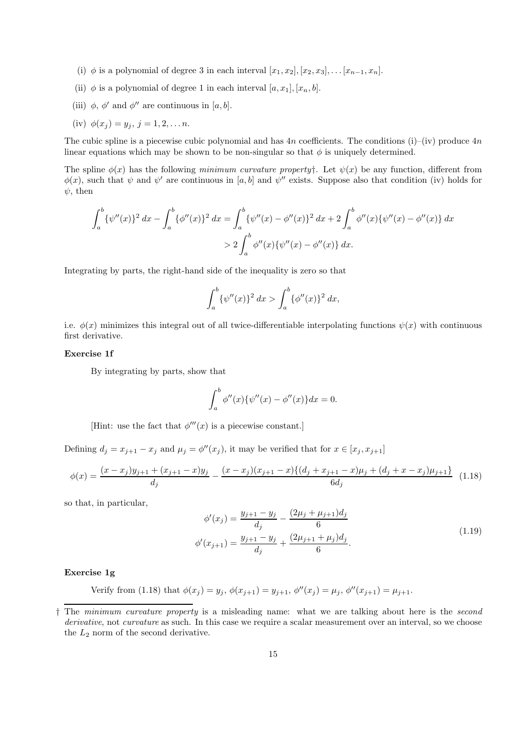- (i)  $\phi$  is a polynomial of degree 3 in each interval  $[x_1, x_2], [x_2, x_3], \ldots, [x_{n-1}, x_n].$
- (ii)  $\phi$  is a polynomial of degree 1 in each interval  $[a, x_1], [x_n, b]$ .
- (iii)  $\phi$ ,  $\phi'$  and  $\phi''$  are continuous in [a, b].
- (iv)  $\phi(x_j) = y_j, j = 1, 2, \ldots n$ .

The cubic spline is a piecewise cubic polynomial and has  $4n$  coefficients. The conditions (i)–(iv) produce  $4n$ linear equations which may be shown to be non-singular so that  $\phi$  is uniquely determined.

The spline  $\phi(x)$  has the following minimum curvature property<sup>†</sup>. Let  $\psi(x)$  be any function, different from  $\phi(x)$ , such that  $\psi$  and  $\psi'$  are continuous in [a, b] and  $\psi''$  exists. Suppose also that condition (iv) holds for  $\psi$ , then

$$
\int_{a}^{b} {\{\psi''(x)\}}^2 dx - \int_{a}^{b} {\{\phi''(x)\}}^2 dx = \int_{a}^{b} {\{\psi''(x) - \phi''(x)\}}^2 dx + 2 \int_{a}^{b} \phi''(x) {\{\psi''(x) - \phi''(x)\}} dx
$$
  
> 2  $\int_{a}^{b} \phi''(x) {\{\psi''(x) - \phi''(x)\}} dx.$ 

Integrating by parts, the right-hand side of the inequality is zero so that

$$
\int_a^b \{\psi''(x)\}^2 dx > \int_a^b \{\phi''(x)\}^2 dx,
$$

i.e.  $\phi(x)$  minimizes this integral out of all twice-differentiable interpolating functions  $\psi(x)$  with continuous first derivative.

# Exercise 1f

By integrating by parts, show that

$$
\int_{a}^{b} \phi''(x) \{ \psi''(x) - \phi''(x) \} dx = 0.
$$

[Hint: use the fact that  $\phi'''(x)$  is a piecewise constant.]

Defining  $d_j = x_{j+1} - x_j$  and  $\mu_j = \phi''(x_j)$ , it may be verified that for  $x \in [x_j, x_{j+1}]$ 

$$
\phi(x) = \frac{(x-x_j)y_{j+1} + (x_{j+1} - x)y_j}{d_j} - \frac{(x-x_j)(x_{j+1} - x)\{(d_j + x_{j+1} - x)\mu_j + (d_j + x - x_j)\mu_{j+1}\}}{6d_j} \tag{1.18}
$$

so that, in particular,

$$
\phi'(x_j) = \frac{y_{j+1} - y_j}{d_j} - \frac{(2\mu_j + \mu_{j+1})d_j}{6}
$$
  

$$
\phi'(x_{j+1}) = \frac{y_{j+1} - y_j}{d_j} + \frac{(2\mu_{j+1} + \mu_j)d_j}{6}.
$$
 (1.19)

# Exercise 1g

Verify from (1.18) that 
$$
\phi(x_j) = y_j
$$
,  $\phi(x_{j+1}) = y_{j+1}$ ,  $\phi''(x_j) = \mu_j$ ,  $\phi''(x_{j+1}) = \mu_{j+1}$ .

<sup>†</sup> The minimum curvature property is a misleading name: what we are talking about here is the second derivative, not curvature as such. In this case we require a scalar measurement over an interval, so we choose the  $L_2$  norm of the second derivative.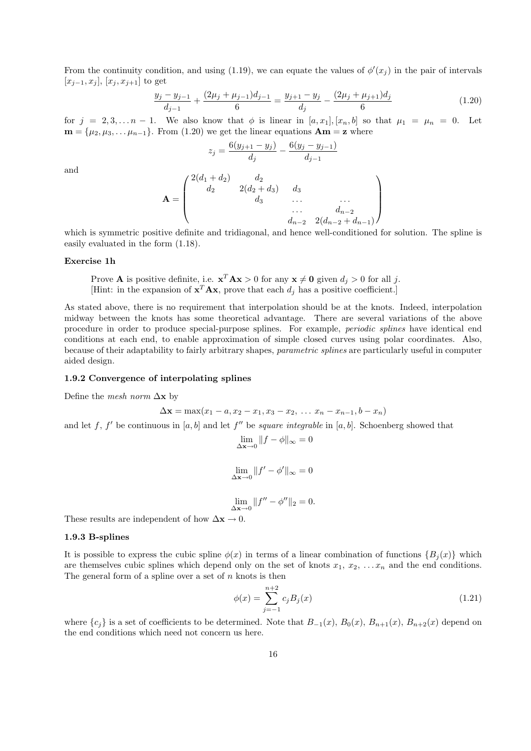From the continuity condition, and using (1.19), we can equate the values of  $\phi'(x_j)$  in the pair of intervals  $[x_{j-1}, x_j], [x_j, x_{j+1}]$  to get

$$
\frac{y_j - y_{j-1}}{d_{j-1}} + \frac{(2\mu_j + \mu_{j-1})d_{j-1}}{6} = \frac{y_{j+1} - y_j}{d_j} - \frac{(2\mu_j + \mu_{j+1})d_j}{6} \tag{1.20}
$$

for  $j = 2, 3, \ldots n - 1$ . We also know that  $\phi$  is linear in  $[a, x_1], [x_n, b]$  so that  $\mu_1 = \mu_n = 0$ . Let  $\mathbf{m} = {\mu_2, \mu_3, \dots, \mu_{n-1}}$ . From (1.20) we get the linear equations  $\mathbf{Am} = \mathbf{z}$  where

$$
z_j = \frac{6(y_{j+1} - y_j)}{d_j} - \frac{6(y_j - y_{j-1})}{d_{j-1}}
$$

and

$$
\mathbf{A} = \begin{pmatrix} 2(d_1 + d_2) & d_2 & d_3 & d_4 \\ d_2 & 2(d_2 + d_3) & d_3 & \dots & d_{n-2} \\ d_3 & \dots & d_{n-2} & d_{n-2} & d_{n-1} \end{pmatrix}
$$

which is symmetric positive definite and tridiagonal, and hence well-conditioned for solution. The spline is easily evaluated in the form (1.18).

### Exercise 1h

Prove **A** is positive definite, i.e.  $\mathbf{x}^T \mathbf{A} \mathbf{x} > 0$  for any  $\mathbf{x} \neq \mathbf{0}$  given  $d_j > 0$  for all j. [Hint: in the expansion of  $\mathbf{x}^T \mathbf{A} \mathbf{x}$ , prove that each  $d_j$  has a positive coefficient.]

As stated above, there is no requirement that interpolation should be at the knots. Indeed, interpolation midway between the knots has some theoretical advantage. There are several variations of the above procedure in order to produce special-purpose splines. For example, periodic splines have identical end conditions at each end, to enable approximation of simple closed curves using polar coordinates. Also, because of their adaptability to fairly arbitrary shapes, parametric splines are particularly useful in computer aided design.

### 1.9.2 Convergence of interpolating splines

Define the mesh norm  $\Delta$ x by

$$
\Delta x = \max(x_1 - a, x_2 - x_1, x_3 - x_2, \ldots x_n - x_{n-1}, b - x_n)
$$

and let f, f' be continuous in [a, b] and let f'' be square integrable in [a, b]. Schoenberg showed that

$$
\lim_{\Delta \mathbf{x} \to 0} \|f - \phi\|_{\infty} = 0
$$
  

$$
\lim_{\Delta \mathbf{x} \to 0} \|f' - \phi'\|_{\infty} = 0
$$

$$
\lim_{\Delta \mathbf{x} \to 0} \|f'' - \phi''\|_2 = 0.
$$

These results are independent of how  $\Delta x \to 0$ .

### 1.9.3 B-splines

It is possible to express the cubic spline  $\phi(x)$  in terms of a linear combination of functions  $\{B_i(x)\}\$ which are themselves cubic splines which depend only on the set of knots  $x_1, x_2, \ldots, x_n$  and the end conditions. The general form of a spline over a set of  $n$  knots is then

$$
\phi(x) = \sum_{j=-1}^{n+2} c_j B_j(x) \tag{1.21}
$$

where  ${c_j}$  is a set of coefficients to be determined. Note that  $B_{-1}(x)$ ,  $B_0(x)$ ,  $B_{n+1}(x)$ ,  $B_{n+2}(x)$  depend on the end conditions which need not concern us here.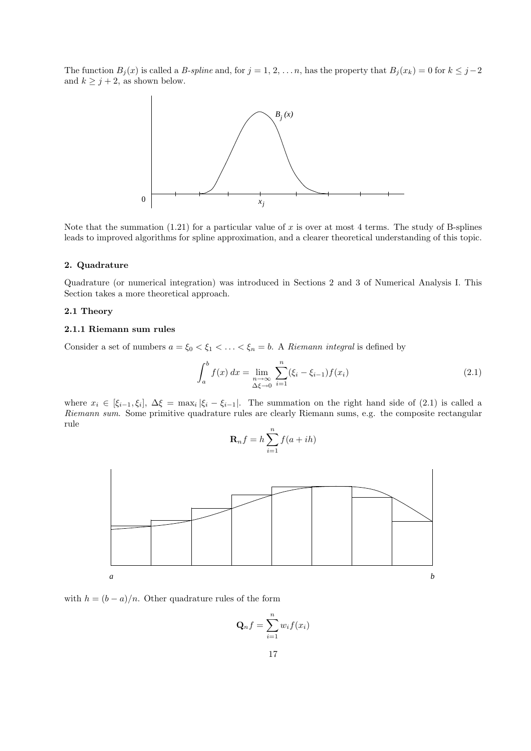The function  $B_j(x)$  is called a B-spline and, for  $j = 1, 2, \ldots n$ , has the property that  $B_j(x_k) = 0$  for  $k \leq j-2$ and  $k \geq j + 2$ , as shown below.



Note that the summation  $(1.21)$  for a particular value of x is over at most 4 terms. The study of B-splines leads to improved algorithms for spline approximation, and a clearer theoretical understanding of this topic.

# 2. Quadrature

Quadrature (or numerical integration) was introduced in Sections 2 and 3 of Numerical Analysis I. This Section takes a more theoretical approach.

# 2.1 Theory

# 2.1.1 Riemann sum rules

Consider a set of numbers  $a = \xi_0 < \xi_1 < \ldots < \xi_n = b$ . A Riemann integral is defined by

$$
\int_{a}^{b} f(x) dx = \lim_{\substack{n \to \infty \\ \Delta \xi \to 0}} \sum_{i=1}^{n} (\xi_i - \xi_{i-1}) f(x_i)
$$
\n(2.1)

where  $x_i \in [\xi_{i-1}, \xi_i], \Delta \xi = \max_i |\xi_i - \xi_{i-1}|$ . The summation on the right hand side of (2.1) is called a Riemann sum. Some primitive quadrature rules are clearly Riemann sums, e.g. the composite rectangular rule

$$
\mathbf{R}_n f = h \sum_{i=1}^n f(a+ih)
$$



with  $h = (b - a)/n$ . Other quadrature rules of the form

$$
\mathbf{Q}_n f = \sum_{i=1}^n w_i f(x_i)
$$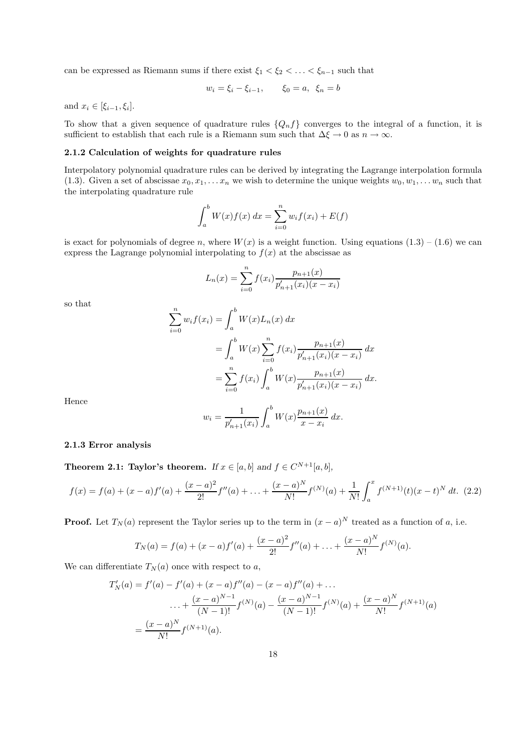can be expressed as Riemann sums if there exist  $\xi_1 < \xi_2 < \ldots < \xi_{n-1}$  such that

$$
w_i = \xi_i - \xi_{i-1}, \qquad \xi_0 = a, \ \xi_n = b
$$

and  $x_i \in [\xi_{i-1}, \xi_i]$ .

To show that a given sequence of quadrature rules  $\{Q_n f\}$  converges to the integral of a function, it is sufficient to establish that each rule is a Riemann sum such that  $\Delta \xi \to 0$  as  $n \to \infty$ .

# 2.1.2 Calculation of weights for quadrature rules

Interpolatory polynomial quadrature rules can be derived by integrating the Lagrange interpolation formula (1.3). Given a set of abscissae  $x_0, x_1, \ldots x_n$  we wish to determine the unique weights  $w_0, w_1, \ldots w_n$  such that the interpolating quadrature rule

$$
\int_{a}^{b} W(x)f(x) \, dx = \sum_{i=0}^{n} w_i f(x_i) + E(f)
$$

is exact for polynomials of degree n, where  $W(x)$  is a weight function. Using equations  $(1.3) - (1.6)$  we can express the Lagrange polynomial interpolating to  $f(x)$  at the abscissae as

$$
L_n(x) = \sum_{i=0}^n f(x_i) \frac{p_{n+1}(x)}{p'_{n+1}(x_i)(x - x_i)}
$$

so that

$$
\sum_{i=0}^{n} w_i f(x_i) = \int_a^b W(x) L_n(x) dx
$$
  
= 
$$
\int_a^b W(x) \sum_{i=0}^{n} f(x_i) \frac{p_{n+1}(x)}{p'_{n+1}(x_i)(x - x_i)} dx
$$
  
= 
$$
\sum_{i=0}^{n} f(x_i) \int_a^b W(x) \frac{p_{n+1}(x)}{p'_{n+1}(x_i)(x - x_i)} dx.
$$

Hence

$$
w_i = \frac{1}{p'_{n+1}(x_i)} \int_a^b W(x) \frac{p_{n+1}(x)}{x - x_i} dx.
$$

# 2.1.3 Error analysis

**Theorem 2.1: Taylor's theorem.** If  $x \in [a, b]$  and  $f \in C^{N+1}[a, b]$ ,

$$
f(x) = f(a) + (x - a)f'(a) + \frac{(x - a)^2}{2!}f''(a) + \ldots + \frac{(x - a)^N}{N!}f^{(N)}(a) + \frac{1}{N!} \int_a^x f^{(N+1)}(t)(x - t)^N dt. \tag{2.2}
$$

**Proof.** Let  $T_N(a)$  represent the Taylor series up to the term in  $(x - a)^N$  treated as a function of a, i.e.

$$
T_N(a) = f(a) + (x - a)f'(a) + \frac{(x - a)^2}{2!}f''(a) + \ldots + \frac{(x - a)^N}{N!}f^{(N)}(a).
$$

We can differentiate  $T_N(a)$  once with respect to a,

$$
T'_{N}(a) = f'(a) - f'(a) + (x - a)f''(a) - (x - a)f''(a) + \dots
$$
  

$$
\dots + \frac{(x - a)^{N-1}}{(N-1)!}f^{(N)}(a) - \frac{(x - a)^{N-1}}{(N-1)!}f^{(N)}(a) + \frac{(x - a)^{N}}{N!}f^{(N+1)}(a)
$$
  

$$
= \frac{(x - a)^{N}}{N!}f^{(N+1)}(a).
$$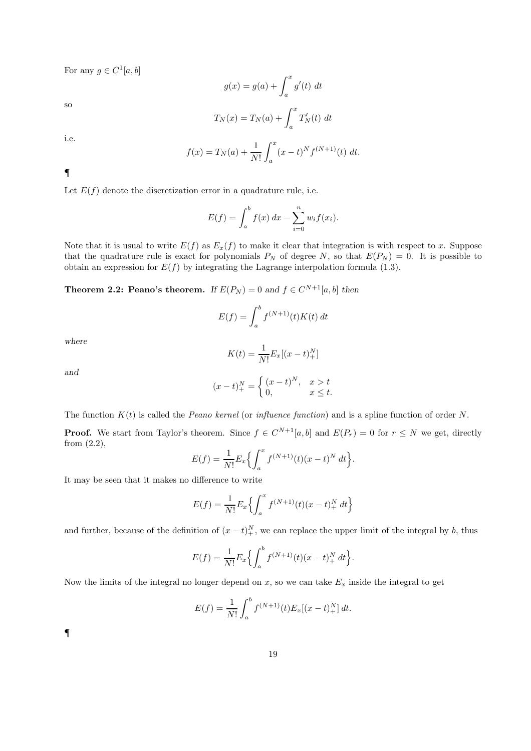For any  $g \in C^1[a, b]$ 

$$
g(x) = g(a) + \int_a^x g'(t) dt
$$

so

$$
T_N(x) = T_N(a) + \int_a^x T'_N(t) dt
$$

i.e.

$$
f(x) = T_N(a) + \frac{1}{N!} \int_a^x (x - t)^N f^{(N+1)}(t) dt.
$$

¶

Let  $E(f)$  denote the discretization error in a quadrature rule, i.e.

$$
E(f) = \int_{a}^{b} f(x) dx - \sum_{i=0}^{n} w_{i} f(x_{i}).
$$

Note that it is usual to write  $E(f)$  as  $E_x(f)$  to make it clear that integration is with respect to x. Suppose that the quadrature rule is exact for polynomials  $P_N$  of degree N, so that  $E(P_N) = 0$ . It is possible to obtain an expression for  $E(f)$  by integrating the Lagrange interpolation formula (1.3).

**Theorem 2.2: Peano's theorem.** If  $E(P_N) = 0$  and  $f \in C^{N+1}[a, b]$  then

$$
E(f) = \int_a^b f^{(N+1)}(t)K(t) dt
$$

where

$$
K(t) = \frac{1}{N!} E_x[(x - t)_+^N]
$$

and

$$
(x-t)_+^N = \begin{cases} (x-t)^N, & x > t \\ 0, & x \le t. \end{cases}
$$

The function  $K(t)$  is called the *Peano kernel* (or *influence function*) and is a spline function of order N.

**Proof.** We start from Taylor's theorem. Since  $f \in C^{N+1}[a, b]$  and  $E(P_r) = 0$  for  $r \leq N$  we get, directly from (2.2),

$$
E(f) = \frac{1}{N!} E_x \left\{ \int_a^x f^{(N+1)}(t) (x - t)^N dt \right\}.
$$

It may be seen that it makes no difference to write

$$
E(f) = \frac{1}{N!} E_x \left\{ \int_a^x f^{(N+1)}(t) (x - t)_+^N dt \right\}
$$

and further, because of the definition of  $(x - t)_{+}^{N}$ , we can replace the upper limit of the integral by b, thus

$$
E(f) = \frac{1}{N!} E_x \left\{ \int_a^b f^{(N+1)}(t) (x - t)_+^N dt \right\}.
$$

Now the limits of the integral no longer depend on  $x$ , so we can take  $E_x$  inside the integral to get

$$
E(f) = \frac{1}{N!} \int_{a}^{b} f^{(N+1)}(t) E_x[(x-t)^{N}] dt.
$$

¶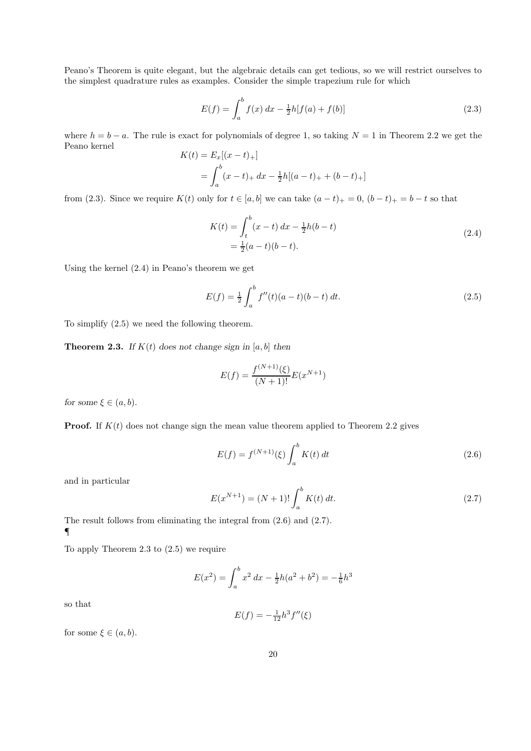Peano's Theorem is quite elegant, but the algebraic details can get tedious, so we will restrict ourselves to the simplest quadrature rules as examples. Consider the simple trapezium rule for which

$$
E(f) = \int_{a}^{b} f(x) dx - \frac{1}{2}h[f(a) + f(b)]
$$
\n(2.3)

where  $h = b - a$ . The rule is exact for polynomials of degree 1, so taking  $N = 1$  in Theorem 2.2 we get the Peano kernel  $K(t) = E_x[(r - t)/1]$ 

$$
K(t) = E_x[(x - t)_+]
$$
  
= 
$$
\int_a^b (x - t)_+ dx - \frac{1}{2}h[(a - t)_+ + (b - t)_+]
$$

from (2.3). Since we require  $K(t)$  only for  $t \in [a, b]$  we can take  $(a - t)_+ = 0$ ,  $(b - t)_+ = b - t$  so that

$$
K(t) = \int_{t}^{b} (x - t) dx - \frac{1}{2}h(b - t)
$$
  
=  $\frac{1}{2}(a - t)(b - t).$  (2.4)

Using the kernel (2.4) in Peano's theorem we get

$$
E(f) = \frac{1}{2} \int_{a}^{b} f''(t)(a-t)(b-t) dt.
$$
 (2.5)

To simplify (2.5) we need the following theorem.

**Theorem 2.3.** If  $K(t)$  does not change sign in [a, b] then

$$
E(f) = \frac{f^{(N+1)}(\xi)}{(N+1)!} E(x^{N+1})
$$

for some  $\xi \in (a, b)$ .

**Proof.** If  $K(t)$  does not change sign the mean value theorem applied to Theorem 2.2 gives

$$
E(f) = f^{(N+1)}(\xi) \int_{a}^{b} K(t) dt
$$
\n(2.6)

and in particular

$$
E(x^{N+1}) = (N+1)! \int_{a}^{b} K(t) dt.
$$
 (2.7)

The result follows from eliminating the integral from (2.6) and (2.7). ¶

To apply Theorem 2.3 to (2.5) we require

$$
E(x^{2}) = \int_{a}^{b} x^{2} dx - \frac{1}{2}h(a^{2} + b^{2}) = -\frac{1}{6}h^{3}
$$

so that

$$
E(f) = -\frac{1}{12}h^3 f''(\xi)
$$

for some  $\xi \in (a, b)$ .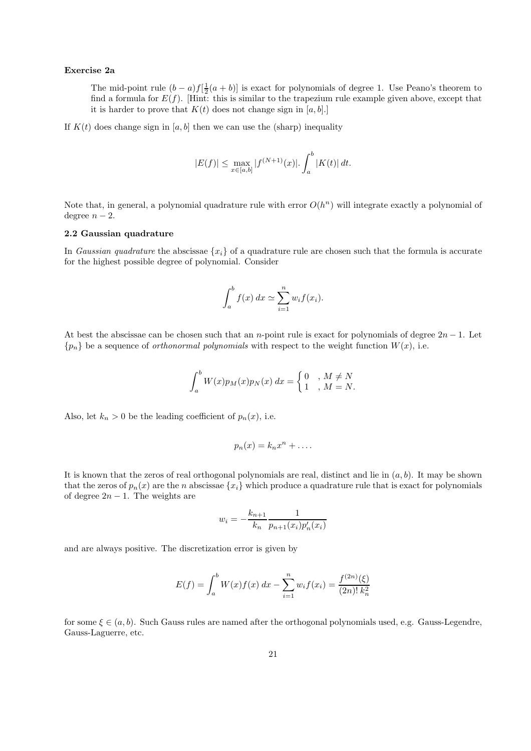# Exercise 2a

The mid-point rule  $(b-a)f[\frac{1}{2}(a+b)]$  is exact for polynomials of degree 1. Use Peano's theorem to find a formula for  $E(f)$ . [Hint: this is similar to the trapezium rule example given above, except that it is harder to prove that  $K(t)$  does not change sign in [a, b].]

If  $K(t)$  does change sign in [a, b] then we can use the (sharp) inequality

$$
|E(f)| \le \max_{x \in [a,b]} |f^{(N+1)}(x)|. \int_a^b |K(t)| dt.
$$

Note that, in general, a polynomial quadrature rule with error  $O(h^n)$  will integrate exactly a polynomial of degree  $n-2$ .

# 2.2 Gaussian quadrature

In Gaussian quadrature the abscissae  $\{x_i\}$  of a quadrature rule are chosen such that the formula is accurate for the highest possible degree of polynomial. Consider

$$
\int_a^b f(x) dx \simeq \sum_{i=1}^n w_i f(x_i).
$$

At best the abscissae can be chosen such that an n-point rule is exact for polynomials of degree  $2n-1$ . Let  ${p_n}$  be a sequence of *orthonormal polynomials* with respect to the weight function  $W(x)$ , i.e.

$$
\int_a^b W(x)p_M(x)p_N(x) dx = \begin{cases} 0, & M \neq N \\ 1, & M = N. \end{cases}
$$

Also, let  $k_n > 0$  be the leading coefficient of  $p_n(x)$ , i.e.

$$
p_n(x) = k_n x^n + \dots
$$

It is known that the zeros of real orthogonal polynomials are real, distinct and lie in  $(a, b)$ . It may be shown that the zeros of  $p_n(x)$  are the n abscissae  $\{x_i\}$  which produce a quadrature rule that is exact for polynomials of degree  $2n - 1$ . The weights are

$$
w_i = -\frac{k_{n+1}}{k_n} \frac{1}{p_{n+1}(x_i)p'_n(x_i)}
$$

and are always positive. The discretization error is given by

$$
E(f) = \int_a^b W(x)f(x) dx - \sum_{i=1}^n w_i f(x_i) = \frac{f^{(2n)}(\xi)}{(2n)! k_n^2}
$$

for some  $\xi \in (a, b)$ . Such Gauss rules are named after the orthogonal polynomials used, e.g. Gauss-Legendre, Gauss-Laguerre, etc.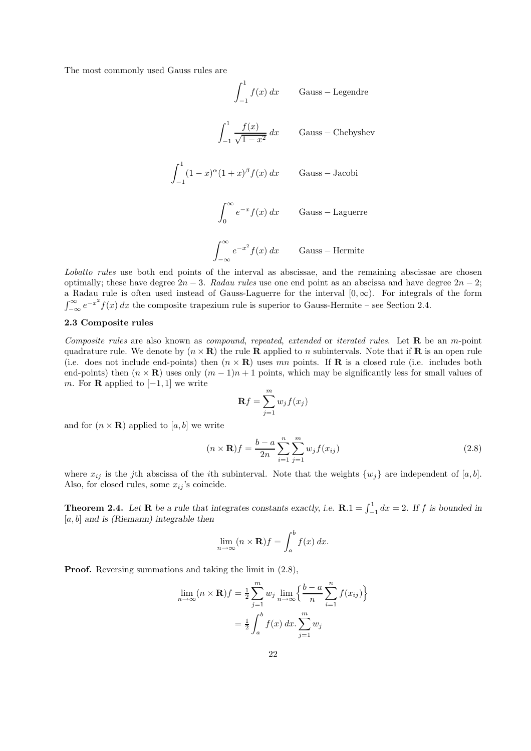The most commonly used Gauss rules are

$$
\int_{-1}^{1} f(x) dx
$$
 Gauss – Legendre  

$$
\int_{-1}^{1} \frac{f(x)}{\sqrt{1 - x^2}} dx
$$
 Gauss – Chebyshev  

$$
\int_{-1}^{1} (1 - x)^{\alpha} (1 + x)^{\beta} f(x) dx
$$
 Gauss – Jacobi  

$$
\int_{0}^{\infty} e^{-x} f(x) dx
$$
 Gauss – Laguerre  

$$
\int_{-\infty}^{\infty} e^{-x^2} f(x) dx
$$
 Gauss – Hermite

Lobatto rules use both end points of the interval as abscissae, and the remaining abscissae are chosen optimally; these have degree  $2n-3$ . Radau rules use one end point as an abscissa and have degree  $2n-2$ ; a Radau rule is often used instead of Gauss-Laguerre for the interval  $[0, \infty)$ . For integrals of the form  $\int_{-\infty}^{\infty} e^{-x^2} f(x) dx$  the composite trapezium rule is superior to Gauss-Hermite – see Section 2.4.

# 2.3 Composite rules

Composite rules are also known as compound, repeated, extended or iterated rules. Let **R** be an m-point quadrature rule. We denote by  $(n \times \mathbf{R})$  the rule **R** applied to n subintervals. Note that if **R** is an open rule (i.e. does not include end-points) then  $(n \times \mathbf{R})$  uses mn points. If **R** is a closed rule (i.e. includes both end-points) then  $(n \times \mathbf{R})$  uses only  $(m-1)n+1$  points, which may be significantly less for small values of m. For **R** applied to  $[-1, 1]$  we write

$$
\mathbf{R}f = \sum_{j=1}^{m} w_j f(x_j)
$$

and for  $(n \times \mathbf{R})$  applied to [a, b] we write

$$
(n \times \mathbf{R})f = \frac{b-a}{2n} \sum_{i=1}^{n} \sum_{j=1}^{m} w_j f(x_{ij})
$$
\n(2.8)

where  $x_{ij}$  is the jth abscissa of the *i*th subinterval. Note that the weights  $\{w_i\}$  are independent of [a, b]. Also, for closed rules, some  $x_{ij}$ 's coincide.

**Theorem 2.4.** Let **R** be a rule that integrates constants exactly, i.e.  $\mathbf{R} \cdot \mathbf{1} = \int_{-1}^{1} dx = 2$ . If f is bounded in  $[a, b]$  and is (Riemann) integrable then

$$
\lim_{n \to \infty} (n \times \mathbf{R}) f = \int_a^b f(x) \, dx.
$$

Proof. Reversing summations and taking the limit in (2.8),

$$
\lim_{n \to \infty} (n \times \mathbf{R}) f = \frac{1}{2} \sum_{j=1}^{m} w_j \lim_{n \to \infty} \left\{ \frac{b-a}{n} \sum_{i=1}^{n} f(x_{ij}) \right\}
$$

$$
= \frac{1}{2} \int_{a}^{b} f(x) dx. \sum_{j=1}^{m} w_j
$$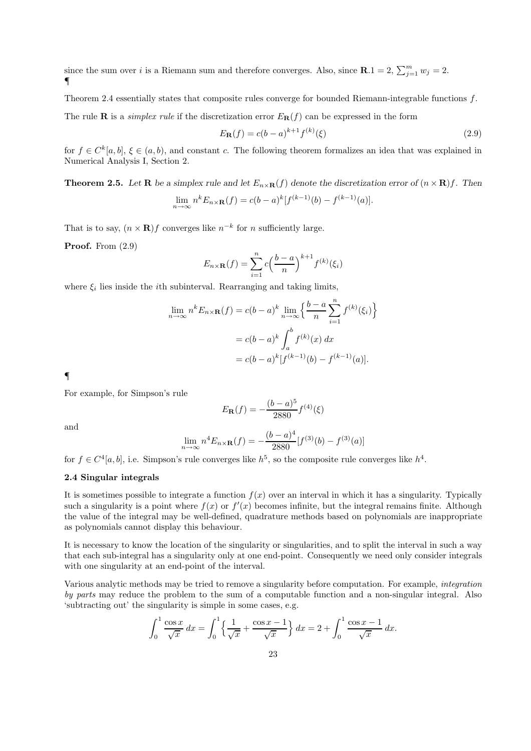since the sum over i is a Riemann sum and therefore converges. Also, since  $\mathbf{R}.1 = 2$ ,  $\sum_{j=1}^{m} w_j = 2$ . ¶

Theorem 2.4 essentially states that composite rules converge for bounded Riemann-integrable functions f. The rule **R** is a *simplex rule* if the discretization error  $E_{\mathbf{R}}(f)$  can be expressed in the form

$$
E_{\mathbf{R}}(f) = c(b-a)^{k+1} f^{(k)}(\xi)
$$
\n(2.9)

for  $f \in C^k[a, b]$ ,  $\xi \in (a, b)$ , and constant c. The following theorem formalizes an idea that was explained in Numerical Analysis I, Section 2.

**Theorem 2.5.** Let **R** be a simplex rule and let  $E_{n \times \mathbf{R}}(f)$  denote the discretization error of  $(n \times \mathbf{R})f$ . Then  $\lim_{n \to \infty} n^k E_{n \times \mathbf{R}}(f) = c(b-a)^k [f^{(k-1)}(b) - f^{(k-1)}(a)].$ 

That is to say,  $(n \times \mathbf{R})f$  converges like  $n^{-k}$  for n sufficiently large.

Proof. From  $(2.9)$ 

$$
E_{n\times\mathbf{R}}(f) = \sum_{i=1}^{n} c\left(\frac{b-a}{n}\right)^{k+1} f^{(k)}(\xi_i)
$$

where  $\xi_i$  lies inside the *i*th subinterval. Rearranging and taking limits,

$$
\lim_{n \to \infty} n^k E_{n \times \mathbf{R}}(f) = c(b-a)^k \lim_{n \to \infty} \left\{ \frac{b-a}{n} \sum_{i=1}^n f^{(k)}(\xi_i) \right\}
$$

$$
= c(b-a)^k \int_a^b f^{(k)}(x) dx
$$

$$
= c(b-a)^k [f^{(k-1)}(b) - f^{(k-1)}(a)].
$$

¶

For example, for Simpson's rule

$$
E_{\mathbf{R}}(f) = -\frac{(b-a)^5}{2880} f^{(4)}(\xi)
$$

and

$$
\lim_{n \to \infty} n^4 E_{n \times \mathbf{R}}(f) = -\frac{(b-a)^4}{2880} [f^{(3)}(b) - f^{(3)}(a)]
$$

for  $f \in C^4[a, b]$ , i.e. Simpson's rule converges like  $h^5$ , so the composite rule converges like  $h^4$ .

# 2.4 Singular integrals

It is sometimes possible to integrate a function  $f(x)$  over an interval in which it has a singularity. Typically such a singularity is a point where  $f(x)$  or  $f'(x)$  becomes infinite, but the integral remains finite. Although the value of the integral may be well-defined, quadrature methods based on polynomials are inappropriate as polynomials cannot display this behaviour.

It is necessary to know the location of the singularity or singularities, and to split the interval in such a way that each sub-integral has a singularity only at one end-point. Consequently we need only consider integrals with one singularity at an end-point of the interval.

Various analytic methods may be tried to remove a singularity before computation. For example, integration by parts may reduce the problem to the sum of a computable function and a non-singular integral. Also 'subtracting out' the singularity is simple in some cases, e.g.

$$
\int_0^1 \frac{\cos x}{\sqrt{x}} dx = \int_0^1 \left\{ \frac{1}{\sqrt{x}} + \frac{\cos x - 1}{\sqrt{x}} \right\} dx = 2 + \int_0^1 \frac{\cos x - 1}{\sqrt{x}} dx.
$$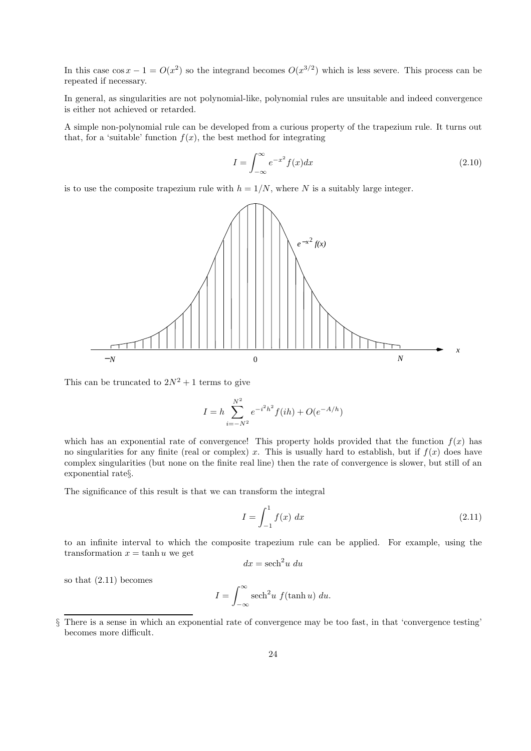In this case  $\cos x - 1 = O(x^2)$  so the integrand becomes  $O(x^{3/2})$  which is less severe. This process can be repeated if necessary.

In general, as singularities are not polynomial-like, polynomial rules are unsuitable and indeed convergence is either not achieved or retarded.

A simple non-polynomial rule can be developed from a curious property of the trapezium rule. It turns out that, for a 'suitable' function  $f(x)$ , the best method for integrating

$$
I = \int_{-\infty}^{\infty} e^{-x^2} f(x) dx \tag{2.10}
$$

is to use the composite trapezium rule with  $h = 1/N$ , where N is a suitably large integer.



This can be truncated to  $2N^2 + 1$  terms to give

$$
I = h \sum_{i=-N^2}^{N^2} e^{-i^2 h^2} f(ih) + O(e^{-A/h})
$$

which has an exponential rate of convergence! This property holds provided that the function  $f(x)$  has no singularities for any finite (real or complex) x. This is usually hard to establish, but if  $f(x)$  does have complex singularities (but none on the finite real line) then the rate of convergence is slower, but still of an exponential rate§.

The significance of this result is that we can transform the integral

$$
I = \int_{-1}^{1} f(x) \, dx \tag{2.11}
$$

to an infinite interval to which the composite trapezium rule can be applied. For example, using the transformation  $x = \tanh u$  we get

$$
dx = \operatorname{sech}^2 u \ du
$$

so that (2.11) becomes

$$
I = \int_{-\infty}^{\infty} \operatorname{sech}^{2} u f(\tanh u) du.
$$

<sup>§</sup> There is a sense in which an exponential rate of convergence may be too fast, in that 'convergence testing' becomes more difficult.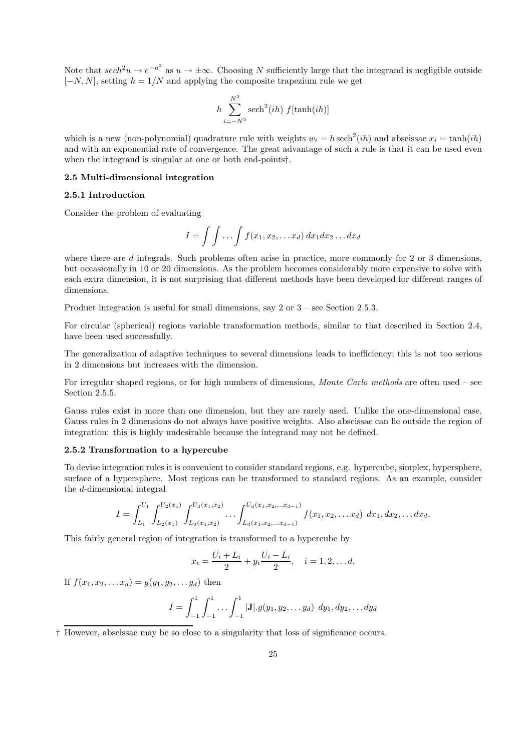Note that  $sech^2u \to e^{-u^2}$  as  $u \to \pm \infty$ . Choosing N sufficiently large that the integrand is negligible outside  $[-N, N]$ , setting  $h = 1/N$  and applying the composite trapezium rule we get

$$
h\sum_{i=-N^2}^{N^2} \operatorname{sech}^2(ih)\ f[\tanh(ih)]
$$

which is a new (non-polynomial) quadrature rule with weights  $w_i = h \operatorname{sech}^2(ih)$  and abscissae  $x_i = \tanh(ih)$ and with an exponential rate of convergence. The great advantage of such a rule is that it can be used even when the integrand is singular at one or both end-points†.

# 2.5 Multi-dimensional integration

# 2.5.1 Introduction

Consider the problem of evaluating

$$
I = \int \int \ldots \int f(x_1, x_2, \ldots x_d) dx_1 dx_2 \ldots dx_d
$$

where there are  $d$  integrals. Such problems often arise in practice, more commonly for 2 or 3 dimensions, but occasionally in 10 or 20 dimensions. As the problem becomes considerably more expensive to solve with each extra dimension, it is not surprising that different methods have been developed for different ranges of dimensions.

Product integration is useful for small dimensions, say 2 or 3 – see Section 2.5.3.

For circular (spherical) regions variable transformation methods, similar to that described in Section 2.4, have been used successfully.

The generalization of adaptive techniques to several dimensions leads to inefficiency; this is not too serious in 2 dimensions but increases with the dimension.

For irregular shaped regions, or for high numbers of dimensions, Monte Carlo methods are often used – see Section 2.5.5.

Gauss rules exist in more than one dimension, but they are rarely used. Unlike the one-dimensional case, Gauss rules in 2 dimensions do not always have positive weights. Also abscissae can lie outside the region of integration: this is highly undesirable because the integrand may not be defined.

#### 2.5.2 Transformation to a hypercube

To devise integration rules it is convenient to consider standard regions, e.g. hypercube, simplex, hypersphere, surface of a hypersphere. Most regions can be transformed to standard regions. As an example, consider the d-dimensional integral

$$
I = \int_{L_1}^{U_1} \int_{L_2(x_1)}^{U_2(x_1)} \int_{L_3(x_1,x_2)}^{U_3(x_1,x_2)} \cdots \int_{L_d(x_1,x_2,\ldots,x_{d-1})}^{U_d(x_1,x_2,\ldots,x_{d-1})} f(x_1,x_2,\ldots,x_d) dx_1 dx_2,\ldots dx_d.
$$

This fairly general region of integration is transformed to a hypercube by

$$
x_i = \frac{U_i + L_i}{2} + y_i \frac{U_i - L_i}{2}, \quad i = 1, 2, \dots d.
$$

If  $f(x_1, x_2, \ldots, x_d) = g(y_1, y_2, \ldots, y_d)$  then

$$
I = \int_{-1}^{1} \int_{-1}^{1} \cdots \int_{-1}^{1} |\mathbf{J}| \cdot g(y_1, y_2, \dots y_d) dy_1 dy_2, \dots dy_d
$$

<sup>†</sup> However, abscissae may be so close to a singularity that loss of significance occurs.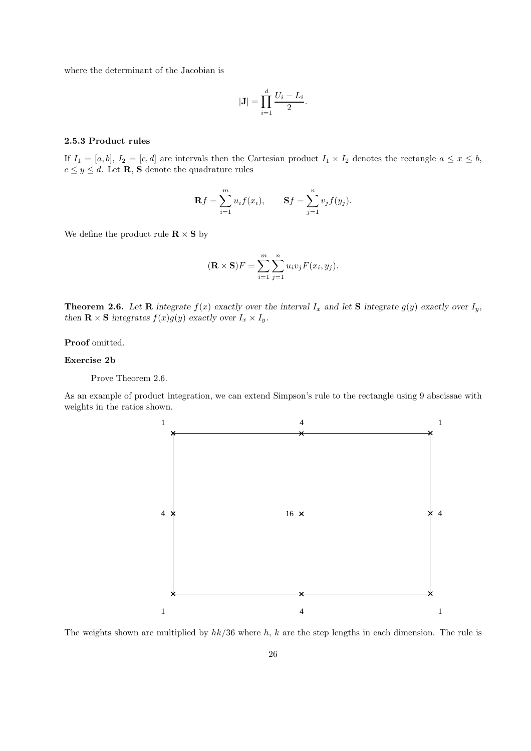where the determinant of the Jacobian is

$$
|\mathbf{J}| = \prod_{i=1}^d \frac{U_i - L_i}{2}.
$$

# 2.5.3 Product rules

If  $I_1 = [a, b], I_2 = [c, d]$  are intervals then the Cartesian product  $I_1 \times I_2$  denotes the rectangle  $a \leq x \leq b$ ,  $c \leq y \leq d.$  Let  $\mathbf R,$   $\mathbf S$  denote the quadrature rules

$$
\mathbf{R}f = \sum_{i=1}^{m} u_i f(x_i), \qquad \mathbf{S}f = \sum_{j=1}^{n} v_j f(y_j).
$$

We define the product rule  $\mathbf{R} \times \mathbf{S}$  by

$$
(\mathbf{R} \times \mathbf{S})F = \sum_{i=1}^{m} \sum_{j=1}^{n} u_i v_j F(x_i, y_j).
$$

**Theorem 2.6.** Let **R** integrate  $f(x)$  exactly over the interval  $I_x$  and let **S** integrate  $g(y)$  exactly over  $I_y$ , then **R**  $\times$  **S** integrates  $f(x)g(y)$  exactly over  $I_x \times I_y$ .

Proof omitted.

# Exercise 2b

Prove Theorem 2.6.

As an example of product integration, we can extend Simpson's rule to the rectangle using 9 abscissae with weights in the ratios shown.



The weights shown are multiplied by  $hk/36$  where h, k are the step lengths in each dimension. The rule is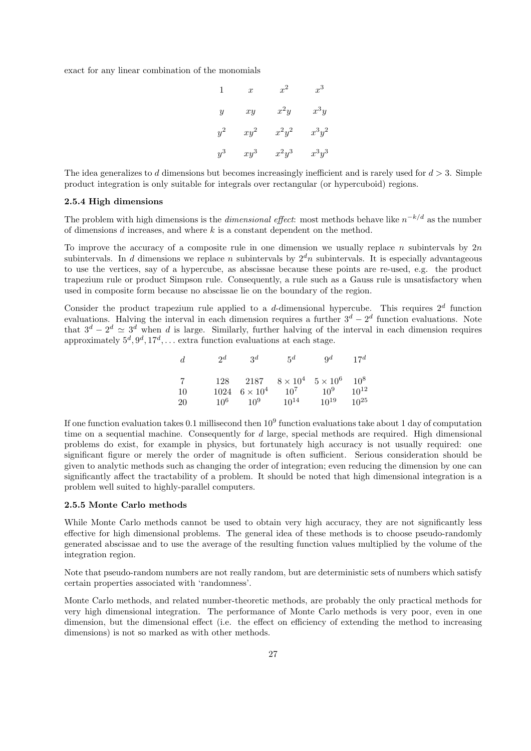exact for any linear combination of the monomials

| $\mathbf{1}$     | $\boldsymbol{x}$ | $x^2$    | $x^3$    |
|------------------|------------------|----------|----------|
| $\boldsymbol{y}$ | $\dot{x}y$       | $x^2y$   | $x^3y$   |
| $y^2$            | $xy^2$           | $x^2y^2$ | $x^3y^2$ |
| $y^3$            | $xy^3$           | $x^2y^3$ | $x^3y^3$ |

The idea generalizes to d dimensions but becomes increasingly inefficient and is rarely used for  $d > 3$ . Simple product integration is only suitable for integrals over rectangular (or hypercuboid) regions.

# 2.5.4 High dimensions

The problem with high dimensions is the *dimensional effect*: most methods behave like  $n^{-k/d}$  as the number of dimensions d increases, and where k is a constant dependent on the method.

To improve the accuracy of a composite rule in one dimension we usually replace n subintervals by  $2n$ subintervals. In d dimensions we replace n subintervals by  $2<sup>d</sup>n$  subintervals. It is especially advantageous to use the vertices, say of a hypercube, as abscissae because these points are re-used, e.g. the product trapezium rule or product Simpson rule. Consequently, a rule such as a Gauss rule is unsatisfactory when used in composite form because no abscissae lie on the boundary of the region.

Consider the product trapezium rule applied to a d-dimensional hypercube. This requires  $2^d$  function evaluations. Halving the interval in each dimension requires a further  $3^d - 2^d$  function evaluations. Note that  $3^d - 2^d \simeq 3^d$  when d is large. Similarly, further halving of the interval in each dimension requires approximately  $5^d, 9^d, 17^d, \ldots$  extra function evaluations at each stage.

| d              | $2^d$  | $3^d$                      | $5^d$                                           | $9^d$     | $17^d$    |
|----------------|--------|----------------------------|-------------------------------------------------|-----------|-----------|
| $\overline{7}$ |        |                            | 128 2187 $8 \times 10^4$ $5 \times 10^6$ $10^8$ |           |           |
| -10            |        | $1024 \quad 6 \times 10^4$ | 10 <sup>7</sup>                                 | $10^9$    | $10^{12}$ |
| -20            | $10^6$ | $10^9$ $10^{14}$           |                                                 | $10^{19}$ | $10^{25}$ |

If one function evaluation takes  $0.1$  millisecond then  $10^9$  function evaluations take about 1 day of computation time on a sequential machine. Consequently for  $d$  large, special methods are required. High dimensional problems do exist, for example in physics, but fortunately high accuracy is not usually required: one significant figure or merely the order of magnitude is often sufficient. Serious consideration should be given to analytic methods such as changing the order of integration; even reducing the dimension by one can significantly affect the tractability of a problem. It should be noted that high dimensional integration is a problem well suited to highly-parallel computers.

# 2.5.5 Monte Carlo methods

While Monte Carlo methods cannot be used to obtain very high accuracy, they are not significantly less effective for high dimensional problems. The general idea of these methods is to choose pseudo-randomly generated abscissae and to use the average of the resulting function values multiplied by the volume of the integration region.

Note that pseudo-random numbers are not really random, but are deterministic sets of numbers which satisfy certain properties associated with 'randomness'.

Monte Carlo methods, and related number-theoretic methods, are probably the only practical methods for very high dimensional integration. The performance of Monte Carlo methods is very poor, even in one dimension, but the dimensional effect (i.e. the effect on efficiency of extending the method to increasing dimensions) is not so marked as with other methods.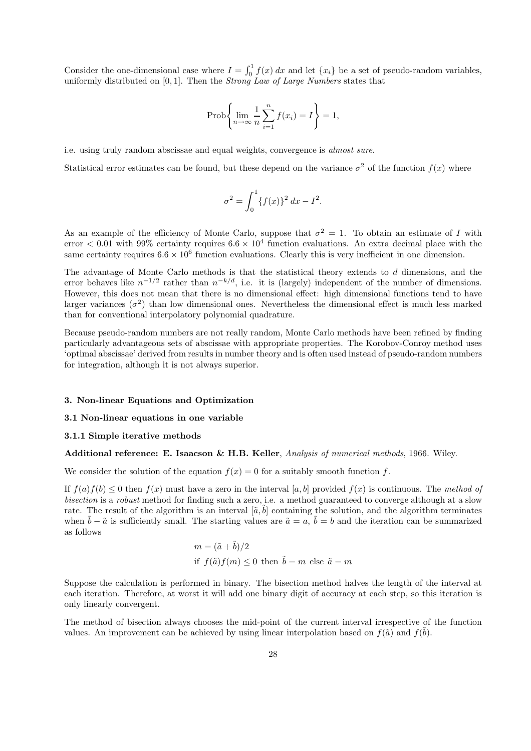Consider the one-dimensional case where  $I = \int_0^1 f(x) dx$  and let  $\{x_i\}$  be a set of pseudo-random variables, uniformly distributed on  $[0, 1]$ . Then the *Strong Law of Large Numbers* states that

$$
\operatorname{Prob}\left\{\lim_{n\to\infty}\frac{1}{n}\sum_{i=1}^n f(x_i)=I\right\}=1,
$$

i.e. using truly random abscissae and equal weights, convergence is almost sure.

Statistical error estimates can be found, but these depend on the variance  $\sigma^2$  of the function  $f(x)$  where

$$
\sigma^2 = \int_0^1 \{f(x)\}^2 dx - I^2.
$$

As an example of the efficiency of Monte Carlo, suppose that  $\sigma^2 = 1$ . To obtain an estimate of I with  $\text{error} < 0.01$  with 99% certainty requires  $6.6 \times 10^4$  function evaluations. An extra decimal place with the same certainty requires  $6.6 \times 10^6$  function evaluations. Clearly this is very inefficient in one dimension.

The advantage of Monte Carlo methods is that the statistical theory extends to d dimensions, and the error behaves like  $n^{-1/2}$  rather than  $n^{-k/d}$ , i.e. it is (largely) independent of the number of dimensions. However, this does not mean that there is no dimensional effect: high dimensional functions tend to have larger variances  $(\sigma^2)$  than low dimensional ones. Nevertheless the dimensional effect is much less marked than for conventional interpolatory polynomial quadrature.

Because pseudo-random numbers are not really random, Monte Carlo methods have been refined by finding particularly advantageous sets of abscissae with appropriate properties. The Korobov-Conroy method uses 'optimal abscissae' derived from results in number theory and is often used instead of pseudo-random numbers for integration, although it is not always superior.

#### 3. Non-linear Equations and Optimization

#### 3.1 Non-linear equations in one variable

### 3.1.1 Simple iterative methods

Additional reference: E. Isaacson & H.B. Keller, Analysis of numerical methods, 1966. Wiley.

We consider the solution of the equation  $f(x) = 0$  for a suitably smooth function f.

If  $f(a)f(b) \leq 0$  then  $f(x)$  must have a zero in the interval [a, b] provided  $f(x)$  is continuous. The method of bisection is a robust method for finding such a zero, i.e. a method guaranteed to converge although at a slow rate. The result of the algorithm is an interval  $[\tilde{a}, b]$  containing the solution, and the algorithm terminates when  $\tilde{b} - \tilde{a}$  is sufficiently small. The starting values are  $\tilde{a} = a$ ,  $\tilde{b} = b$  and the iteration can be summarized as follows

$$
\begin{aligned} m &= (\tilde{a} + \tilde{b})/2 \\ \text{if} \ \ f(\tilde{a})f(m) &\leq 0 \ \text{then} \ \ \tilde{b} = m \ \text{else} \ \ \tilde{a} = m \end{aligned}
$$

Suppose the calculation is performed in binary. The bisection method halves the length of the interval at each iteration. Therefore, at worst it will add one binary digit of accuracy at each step, so this iteration is only linearly convergent.

The method of bisection always chooses the mid-point of the current interval irrespective of the function values. An improvement can be achieved by using linear interpolation based on  $f(\tilde{a})$  and  $f(\tilde{b})$ .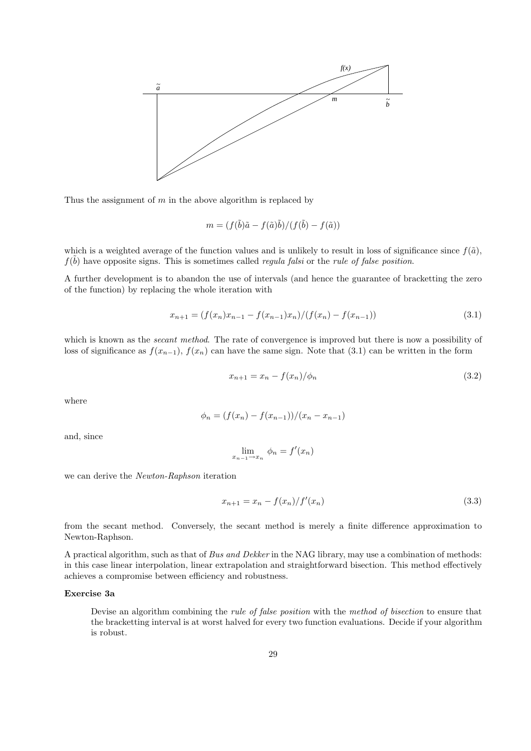

Thus the assignment of  $m$  in the above algorithm is replaced by

$$
m = (f(\tilde{b})\tilde{a} - f(\tilde{a})\tilde{b})/(f(\tilde{b}) - f(\tilde{a}))
$$

which is a weighted average of the function values and is unlikely to result in loss of significance since  $f(\tilde{a})$ ,  $f(\tilde{b})$  have opposite signs. This is sometimes called *regula falsi* or the *rule of false position*.

A further development is to abandon the use of intervals (and hence the guarantee of bracketting the zero of the function) by replacing the whole iteration with

$$
x_{n+1} = (f(x_n)x_{n-1} - f(x_{n-1})x_n)/(f(x_n) - f(x_{n-1}))
$$
\n(3.1)

which is known as the *secant method*. The rate of convergence is improved but there is now a possibility of loss of significance as  $f(x_{n-1}), f(x_n)$  can have the same sign. Note that (3.1) can be written in the form

$$
x_{n+1} = x_n - f(x_n) / \phi_n \tag{3.2}
$$

where

$$
\phi_n = (f(x_n) - f(x_{n-1}))/(x_n - x_{n-1})
$$

and, since

$$
\lim_{x_{n-1}\to x_n} \phi_n = f'(x_n)
$$

we can derive the Newton-Raphson iteration

$$
x_{n+1} = x_n - \frac{f(x_n)}{f'(x_n)}\tag{3.3}
$$

from the secant method. Conversely, the secant method is merely a finite difference approximation to Newton-Raphson.

A practical algorithm, such as that of Bus and Dekker in the NAG library, may use a combination of methods: in this case linear interpolation, linear extrapolation and straightforward bisection. This method effectively achieves a compromise between efficiency and robustness.

# Exercise 3a

Devise an algorithm combining the rule of false position with the method of bisection to ensure that the bracketting interval is at worst halved for every two function evaluations. Decide if your algorithm is robust.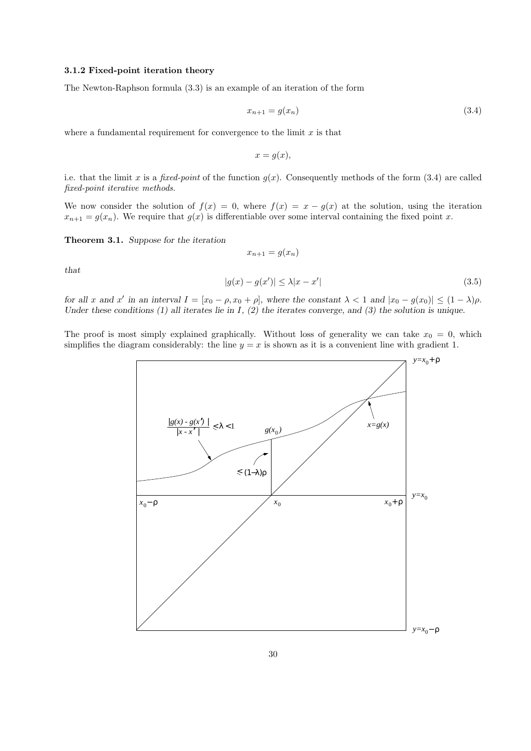# 3.1.2 Fixed-point iteration theory

The Newton-Raphson formula (3.3) is an example of an iteration of the form

$$
x_{n+1} = g(x_n) \tag{3.4}
$$

where a fundamental requirement for convergence to the limit  $x$  is that

$$
x = g(x),
$$

i.e. that the limit x is a fixed-point of the function  $g(x)$ . Consequently methods of the form (3.4) are called fixed-point iterative methods.

We now consider the solution of  $f(x) = 0$ , where  $f(x) = x - g(x)$  at the solution, using the iteration  $x_{n+1} = g(x_n)$ . We require that  $g(x)$  is differentiable over some interval containing the fixed point x.

Theorem 3.1. Suppose for the iteration

$$
x_{n+1} = g(x_n)
$$

that

$$
|g(x) - g(x')| \le \lambda |x - x'| \tag{3.5}
$$

for all x and x' in an interval  $I = [x_0 - \rho, x_0 + \rho]$ , where the constant  $\lambda < 1$  and  $|x_0 - g(x_0)| \leq (1 - \lambda)\rho$ . Under these conditions (1) all iterates lie in  $I$ , (2) the iterates converge, and (3) the solution is unique.

The proof is most simply explained graphically. Without loss of generality we can take  $x_0 = 0$ , which simplifies the diagram considerably: the line  $y = x$  is shown as it is a convenient line with gradient 1.

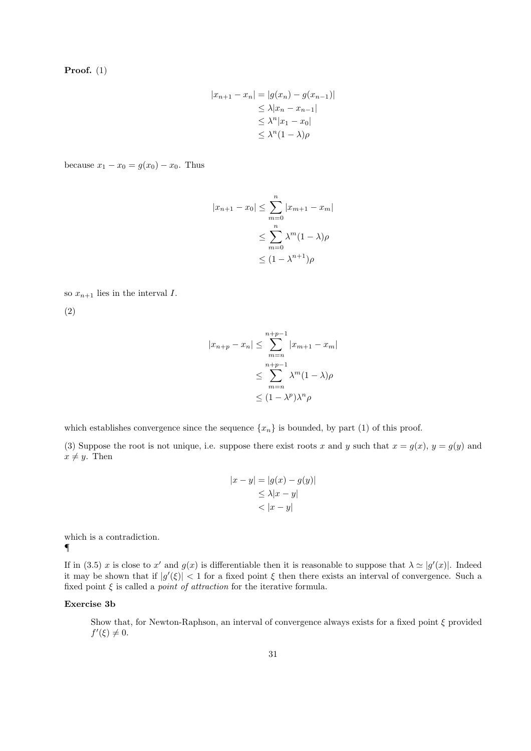Proof. (1)

$$
|x_{n+1} - x_n| = |g(x_n) - g(x_{n-1})|
$$
  
\n
$$
\leq \lambda |x_n - x_{n-1}|
$$
  
\n
$$
\leq \lambda^n |x_1 - x_0|
$$
  
\n
$$
\leq \lambda^n (1 - \lambda)\rho
$$

because  $x_1 - x_0 = g(x_0) - x_0$ . Thus

$$
|x_{n+1} - x_0| \le \sum_{m=0}^n |x_{m+1} - x_m|
$$
  

$$
\le \sum_{m=0}^n \lambda^m (1 - \lambda) \rho
$$
  

$$
\le (1 - \lambda^{n+1}) \rho
$$

so 
$$
x_{n+1}
$$
 lies in the interval I.

(2)

$$
|x_{n+p} - x_n| \leq \sum_{m=n}^{n+p-1} |x_{m+1} - x_m|
$$
  

$$
\leq \sum_{m=n}^{n+p-1} \lambda^m (1 - \lambda) \rho
$$
  

$$
\leq (1 - \lambda^p) \lambda^n \rho
$$

which establishes convergence since the sequence  $\{x_n\}$  is bounded, by part (1) of this proof.

(3) Suppose the root is not unique, i.e. suppose there exist roots x and y such that  $x = g(x)$ ,  $y = g(y)$  and  $x \neq y$ . Then

$$
|x - y| = |g(x) - g(y)|
$$
  
\n
$$
\leq \lambda |x - y|
$$
  
\n
$$
< |x - y|
$$

which is a contradiction. ¶

If in (3.5) x is close to x' and  $g(x)$  is differentiable then it is reasonable to suppose that  $\lambda \simeq |g'(x)|$ . Indeed it may be shown that if  $|g'(\xi)| < 1$  for a fixed point  $\xi$  then there exists an interval of convergence. Such a fixed point  $\xi$  is called a *point of attraction* for the iterative formula.

# Exercise 3b

Show that, for Newton-Raphson, an interval of convergence always exists for a fixed point  $\xi$  provided  $f'(\xi) \neq 0.$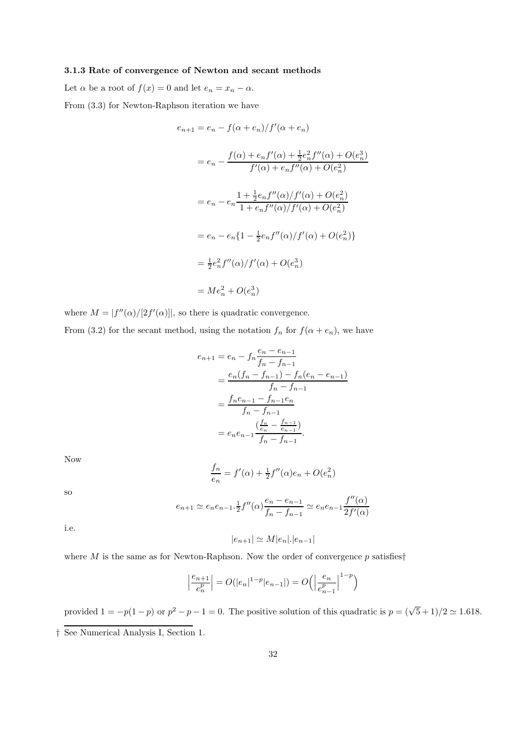# 3.1.3 Rate of convergence of Newton and secant methods

Let  $\alpha$  be a root of  $f(x) = 0$  and let  $e_n = x_n - \alpha$ . From (3.3) for Newton-Raphson iteration we have

$$
e_{n+1} = e_n - f(\alpha + e_n)/f'(\alpha + e_n)
$$
  
=  $e_n - \frac{f(\alpha) + e_n f'(\alpha) + \frac{1}{2} e_n^2 f''(\alpha) + O(e_n^3)}{f'(\alpha) + e_n f''(\alpha) + O(e_n^2)}$   
=  $e_n - e_n \frac{1 + \frac{1}{2} e_n f''(\alpha) / f'(\alpha) + O(e_n^2)}{1 + e_n f''(\alpha) / f'(\alpha) + O(e_n^2)}$   
=  $e_n - e_n \{1 - \frac{1}{2} e_n f''(\alpha) / f'(\alpha) + O(e_n^2)\}$   
=  $\frac{1}{2} e_n^2 f''(\alpha) / f'(\alpha) + O(e_n^3)$   
=  $Me_n^2 + O(e_n^3)$ 

where  $M = |f''(\alpha)/[2f'(\alpha)]|$ , so there is quadratic convergence.

From (3.2) for the secant method, using the notation  $f_n$  for  $f(\alpha + e_n)$ , we have

$$
e_{n+1} = e_n - f_n \frac{e_n - e_{n-1}}{f_n - f_{n-1}}
$$
  
= 
$$
\frac{e_n(f_n - f_{n-1}) - f_n(e_n - e_{n-1})}{f_n - f_{n-1}}
$$
  
= 
$$
\frac{f_n e_{n-1} - f_{n-1} e_n}{f_n - f_{n-1}}
$$
  
= 
$$
e_n e_{n-1} \frac{(\frac{f_n}{e_n} - \frac{f_{n-1}}{e_{n-1}})}{f_n - f_{n-1}}.
$$

Now

$$
\frac{f_n}{e_n} = f'(\alpha) + \frac{1}{2}f''(\alpha)e_n + O(e_n^2)
$$

so

$$
e_{n+1} \simeq e_n e_{n-1} \cdot \frac{1}{2} f''(\alpha) \frac{e_n - e_{n-1}}{f_n - f_{n-1}} \simeq e_n e_{n-1} \frac{f''(\alpha)}{2f'(\alpha)}
$$

i.e.

$$
|e_{n+1}| \simeq M|e_n|.|e_{n-1}|
$$

where M is the same as for Newton-Raphson. Now the order of convergence  $p$  satisfies<sup>†</sup>

$$
\left|\frac{e_{n+1}}{e_n^p}\right| = O(|e_n|^{1-p}|e_{n-1}|) = O\left(\left|\frac{e_n}{e_{n-1}^p}\right|^{1-p}\right)
$$

provided  $1 = -p(1-p)$  or  $p^2 - p - 1 = 0$ . The positive solution of this quadratic is  $p = (\sqrt{5} + 1)/2 \simeq 1.618$ . † See Numerical Analysis I, Section 1.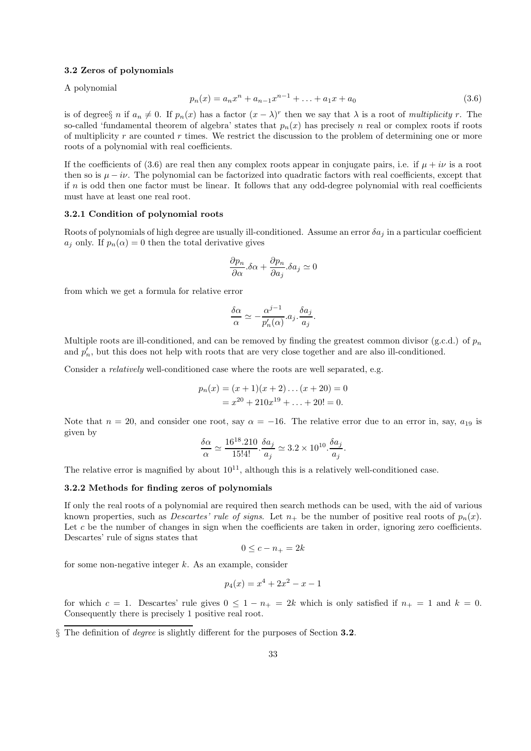#### 3.2 Zeros of polynomials

A polynomial

$$
p_n(x) = a_n x^n + a_{n-1} x^{n-1} + \dots + a_1 x + a_0 \tag{3.6}
$$

is of degrees *n* if  $a_n \neq 0$ . If  $p_n(x)$  has a factor  $(x - \lambda)^r$  then we say that  $\lambda$  is a root of multiplicity r. The so-called 'fundamental theorem of algebra' states that  $p_n(x)$  has precisely n real or complex roots if roots of multiplicity  $r$  are counted  $r$  times. We restrict the discussion to the problem of determining one or more roots of a polynomial with real coefficients.

If the coefficients of (3.6) are real then any complex roots appear in conjugate pairs, i.e. if  $\mu + i\nu$  is a root then so is  $\mu - i\nu$ . The polynomial can be factorized into quadratic factors with real coefficients, except that if  $n$  is odd then one factor must be linear. It follows that any odd-degree polynomial with real coefficients must have at least one real root.

# 3.2.1 Condition of polynomial roots

Roots of polynomials of high degree are usually ill-conditioned. Assume an error  $\delta a_i$  in a particular coefficient  $a_i$  only. If  $p_n(\alpha) = 0$  then the total derivative gives

$$
\frac{\partial p_n}{\partial \alpha} . \delta \alpha + \frac{\partial p_n}{\partial a_j} . \delta a_j \simeq 0
$$

from which we get a formula for relative error

$$
\frac{\delta\alpha}{\alpha} \simeq -\frac{\alpha^{j-1}}{p_n'(\alpha)} a_j \cdot \frac{\delta a_j}{a_j}.
$$

Multiple roots are ill-conditioned, and can be removed by finding the greatest common divisor (g.c.d.) of  $p_n$ and  $p'_n$ , but this does not help with roots that are very close together and are also ill-conditioned.

Consider a *relatively* well-conditioned case where the roots are well separated, e.g.

$$
p_n(x) = (x+1)(x+2)\dots(x+20) = 0
$$
  
=  $x^{20} + 210x^{19} + \dots + 20! = 0.$ 

Note that  $n = 20$ , and consider one root, say  $\alpha = -16$ . The relative error due to an error in, say,  $a_{19}$  is given by

$$
\frac{\delta \alpha}{\alpha} \simeq \frac{16^{18}.210}{15!4!} \cdot \frac{\delta a_j}{a_j} \simeq 3.2 \times 10^{10} \cdot \frac{\delta a_j}{a_j}.
$$

The relative error is magnified by about  $10^{11}$ , although this is a relatively well-conditioned case.

# 3.2.2 Methods for finding zeros of polynomials

If only the real roots of a polynomial are required then search methods can be used, with the aid of various known properties, such as *Descartes' rule of signs*. Let  $n_+$  be the number of positive real roots of  $p_n(x)$ . Let c be the number of changes in sign when the coefficients are taken in order, ignoring zero coefficients. Descartes' rule of signs states that

$$
0 \le c - n_+ = 2k
$$

for some non-negative integer  $k$ . As an example, consider

$$
p_4(x) = x^4 + 2x^2 - x - 1
$$

for which c = 1. Descartes' rule gives  $0 \le 1 - n_+ = 2k$  which is only satisfied if  $n_+ = 1$  and  $k = 0$ . Consequently there is precisely 1 positive real root.

§ The definition of degree is slightly different for the purposes of Section 3.2.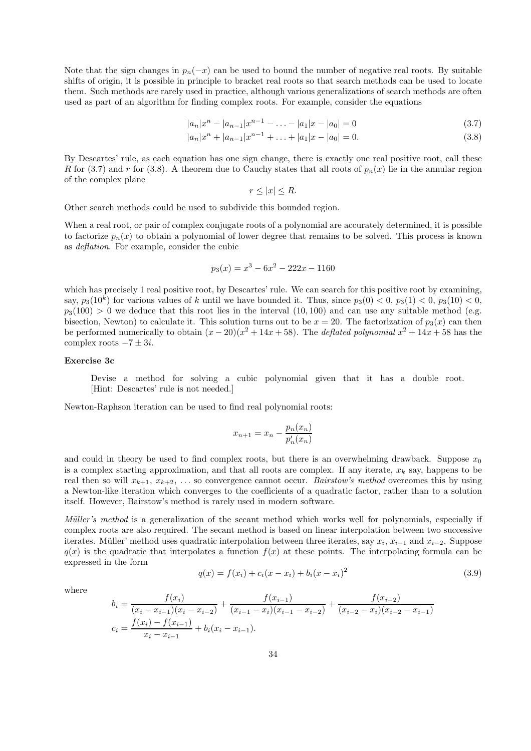Note that the sign changes in  $p_n(-x)$  can be used to bound the number of negative real roots. By suitable shifts of origin, it is possible in principle to bracket real roots so that search methods can be used to locate them. Such methods are rarely used in practice, although various generalizations of search methods are often used as part of an algorithm for finding complex roots. For example, consider the equations

$$
|a_n|x^n - |a_{n-1}|x^{n-1} - \dots - |a_1|x - |a_0| = 0
$$
\n(3.7)

$$
|a_n|x^n + |a_{n-1}|x^{n-1} + \ldots + |a_1|x - |a_0| = 0.
$$
\n(3.8)

By Descartes' rule, as each equation has one sign change, there is exactly one real positive root, call these R for (3.7) and r for (3.8). A theorem due to Cauchy states that all roots of  $p_n(x)$  lie in the annular region of the complex plane

$$
r \leq |x| \leq R.
$$

Other search methods could be used to subdivide this bounded region.

When a real root, or pair of complex conjugate roots of a polynomial are accurately determined, it is possible to factorize  $p_n(x)$  to obtain a polynomial of lower degree that remains to be solved. This process is known as deflation. For example, consider the cubic

$$
p_3(x) = x^3 - 6x^2 - 222x - 1160
$$

which has precisely 1 real positive root, by Descartes' rule. We can search for this positive root by examining, say,  $p_3(10^k)$  for various values of k until we have bounded it. Thus, since  $p_3(0) < 0$ ,  $p_3(1) < 0$ ,  $p_3(10) < 0$ ,  $p_3(100) > 0$  we deduce that this root lies in the interval  $(10, 100)$  and can use any suitable method (e.g. bisection, Newton) to calculate it. This solution turns out to be  $x = 20$ . The factorization of  $p_3(x)$  can then be performed numerically to obtain  $(x - 20)(x^2 + 14x + 58)$ . The *deflated polynomial*  $x^2 + 14x + 58$  has the complex roots  $-7 \pm 3i$ .

# Exercise 3c

Devise a method for solving a cubic polynomial given that it has a double root. [Hint: Descartes' rule is not needed.]

Newton-Raphson iteration can be used to find real polynomial roots:

$$
x_{n+1} = x_n - \frac{p_n(x_n)}{p'_n(x_n)}
$$

and could in theory be used to find complex roots, but there is an overwhelming drawback. Suppose  $x_0$ is a complex starting approximation, and that all roots are complex. If any iterate,  $x_k$  say, happens to be real then so will  $x_{k+1}, x_{k+2}, \ldots$  so convergence cannot occur. *Bairstow's method* overcomes this by using a Newton-like iteration which converges to the coefficients of a quadratic factor, rather than to a solution itself. However, Bairstow's method is rarely used in modern software.

Müller's method is a generalization of the secant method which works well for polynomials, especially if complex roots are also required. The secant method is based on linear interpolation between two successive iterates. Müller' method uses quadratic interpolation between three iterates, say  $x_i$ ,  $x_{i-1}$  and  $x_{i-2}$ . Suppose  $q(x)$  is the quadratic that interpolates a function  $f(x)$  at these points. The interpolating formula can be expressed in the form

$$
q(x) = f(x_i) + c_i(x - x_i) + b_i(x - x_i)^2
$$
\n(3.9)

where

$$
b_i = \frac{f(x_i)}{(x_i - x_{i-1})(x_i - x_{i-2})} + \frac{f(x_{i-1})}{(x_{i-1} - x_i)(x_{i-1} - x_{i-2})} + \frac{f(x_{i-2})}{(x_{i-2} - x_i)(x_{i-2} - x_{i-1})}
$$
  

$$
c_i = \frac{f(x_i) - f(x_{i-1})}{x_i - x_{i-1}} + b_i(x_i - x_{i-1}).
$$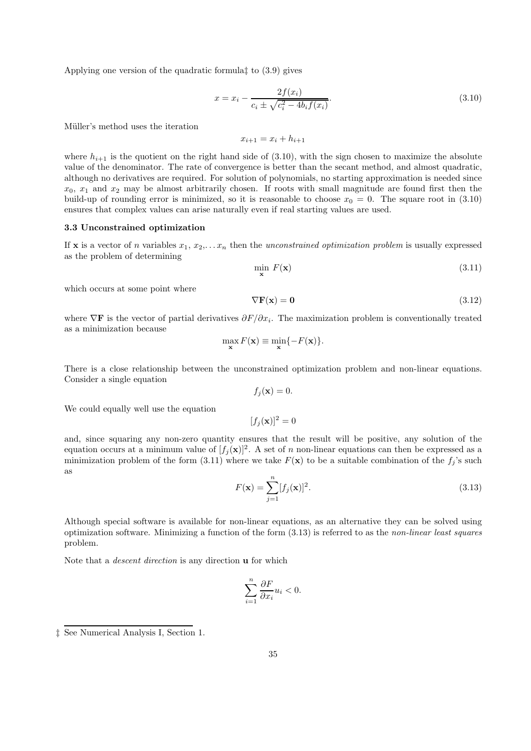Applying one version of the quadratic formula‡ to (3.9) gives

$$
x = x_i - \frac{2f(x_i)}{c_i \pm \sqrt{c_i^2 - 4b_i f(x_i)}}.
$$
\n(3.10)

Müller's method uses the iteration

 $x_{i+1} = x_i + h_{i+1}$ 

where  $h_{i+1}$  is the quotient on the right hand side of (3.10), with the sign chosen to maximize the absolute value of the denominator. The rate of convergence is better than the secant method, and almost quadratic, although no derivatives are required. For solution of polynomials, no starting approximation is needed since  $x_0, x_1$  and  $x_2$  may be almost arbitrarily chosen. If roots with small magnitude are found first then the build-up of rounding error is minimized, so it is reasonable to choose  $x_0 = 0$ . The square root in (3.10) ensures that complex values can arise naturally even if real starting values are used.

### 3.3 Unconstrained optimization

If x is a vector of n variables  $x_1, x_2, \ldots x_n$  then the unconstrained optimization problem is usually expressed as the problem of determining

$$
\min_{\mathbf{x}} F(\mathbf{x}) \tag{3.11}
$$

which occurs at some point where

$$
\nabla \mathbf{F}(\mathbf{x}) = \mathbf{0} \tag{3.12}
$$

where  $\nabla$ **F** is the vector of partial derivatives  $\partial F/\partial x_i$ . The maximization problem is conventionally treated as a minimization because

$$
\max_{\mathbf{x}} F(\mathbf{x}) \equiv \min_{\mathbf{x}} \{-F(\mathbf{x})\}.
$$

There is a close relationship between the unconstrained optimization problem and non-linear equations. Consider a single equation

$$
f_j(\mathbf{x}) = 0
$$

We could equally well use the equation

 $[f_i({\bf x})]^2 = 0$ 

and, since squaring any non-zero quantity ensures that the result will be positive, any solution of the equation occurs at a minimum value of  $[f_j(\mathbf{x})]^2$ . A set of n non-linear equations can then be expressed as a minimization problem of the form (3.11) where we take  $F(\mathbf{x})$  to be a suitable combination of the  $f_j$ 's such as

$$
F(\mathbf{x}) = \sum_{j=1}^{n} [f_j(\mathbf{x})]^2.
$$
 (3.13)

Although special software is available for non-linear equations, as an alternative they can be solved using optimization software. Minimizing a function of the form  $(3.13)$  is referred to as the non-linear least squares problem.

Note that a descent direction is any direction u for which

$$
\sum_{i=1}^{n} \frac{\partial F}{\partial x_i} u_i < 0.
$$

<sup>‡</sup> See Numerical Analysis I, Section 1.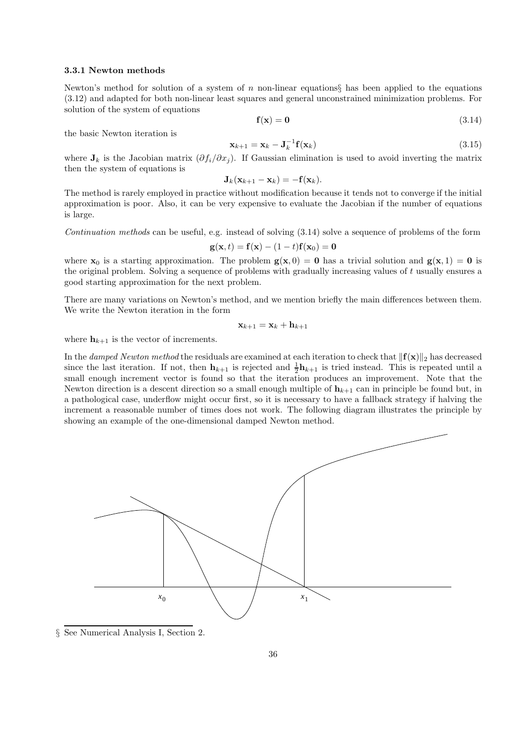### 3.3.1 Newton methods

Newton's method for solution of a system of n non-linear equations has been applied to the equations (3.12) and adapted for both non-linear least squares and general unconstrained minimization problems. For solution of the system of equations

$$
\mathbf{f}(\mathbf{x}) = \mathbf{0} \tag{3.14}
$$

the basic Newton iteration is

$$
\mathbf{x}_{k+1} = \mathbf{x}_k - \mathbf{J}_k^{-1} \mathbf{f}(\mathbf{x}_k)
$$
\n(3.15)

where  $J_k$  is the Jacobian matrix  $(\partial f_i/\partial x_j)$ . If Gaussian elimination is used to avoid inverting the matrix then the system of equations is

$$
\mathbf{J}_k(\mathbf{x}_{k+1}-\mathbf{x}_k)=-\mathbf{f}(\mathbf{x}_k).
$$

The method is rarely employed in practice without modification because it tends not to converge if the initial approximation is poor. Also, it can be very expensive to evaluate the Jacobian if the number of equations is large.

Continuation methods can be useful, e.g. instead of solving (3.14) solve a sequence of problems of the form

$$
\mathbf{g}(\mathbf{x},t) = \mathbf{f}(\mathbf{x}) - (1-t)\mathbf{f}(\mathbf{x}_0) = \mathbf{0}
$$

where  $x_0$  is a starting approximation. The problem  $g(x, 0) = 0$  has a trivial solution and  $g(x, 1) = 0$  is the original problem. Solving a sequence of problems with gradually increasing values of  $t$  usually ensures a good starting approximation for the next problem.

There are many variations on Newton's method, and we mention briefly the main differences between them. We write the Newton iteration in the form

$$
\mathbf{x}_{k+1} = \mathbf{x}_k + \mathbf{h}_{k+1}
$$

where  $h_{k+1}$  is the vector of increments.

In the damped Newton method the residuals are examined at each iteration to check that  $\|\mathbf{f}(\mathbf{x})\|_2$  has decreased since the last iteration. If not, then  $\mathbf{h}_{k+1}$  is rejected and  $\frac{1}{2}\mathbf{h}_{k+1}$  is tried instead. This is repeated until a small enough increment vector is found so that the iteration produces an improvement. Note that the Newton direction is a descent direction so a small enough multiple of  $h_{k+1}$  can in principle be found but, in a pathological case, underflow might occur first, so it is necessary to have a fallback strategy if halving the increment a reasonable number of times does not work. The following diagram illustrates the principle by showing an example of the one-dimensional damped Newton method.



§ See Numerical Analysis I, Section 2.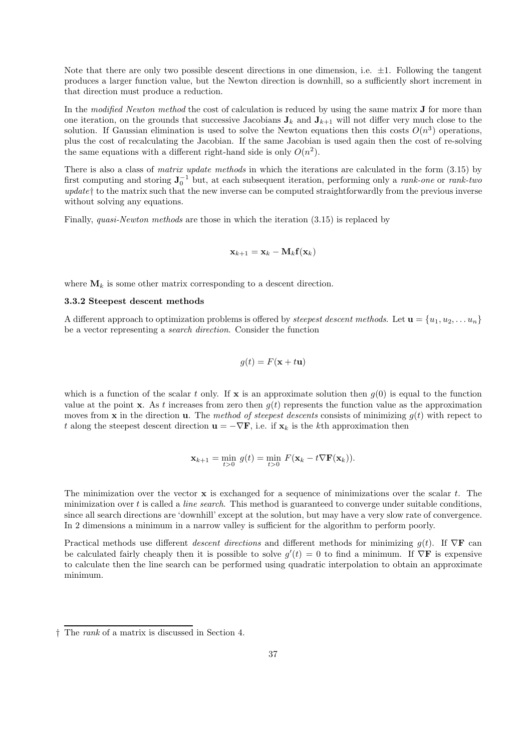Note that there are only two possible descent directions in one dimension, i.e.  $\pm 1$ . Following the tangent produces a larger function value, but the Newton direction is downhill, so a sufficiently short increment in that direction must produce a reduction.

In the modified Newton method the cost of calculation is reduced by using the same matrix **J** for more than one iteration, on the grounds that successive Jacobians  $J_k$  and  $J_{k+1}$  will not differ very much close to the solution. If Gaussian elimination is used to solve the Newton equations then this costs  $O(n^3)$  operations, plus the cost of recalculating the Jacobian. If the same Jacobian is used again then the cost of re-solving the same equations with a different right-hand side is only  $O(n^2)$ .

There is also a class of *matrix update methods* in which the iterations are calculated in the form  $(3.15)$  by first computing and storing  $J_0^{-1}$  but, at each subsequent iteration, performing only a *rank-one* or *rank-two*  $update\dagger$  to the matrix such that the new inverse can be computed straightforwardly from the previous inverse without solving any equations.

Finally, quasi-Newton methods are those in which the iteration (3.15) is replaced by

$$
\mathbf{x}_{k+1} = \mathbf{x}_k - \mathbf{M}_k \mathbf{f}(\mathbf{x}_k)
$$

where  $\mathbf{M}_k$  is some other matrix corresponding to a descent direction.

#### 3.3.2 Steepest descent methods

A different approach to optimization problems is offered by *steepest descent methods*. Let  $\mathbf{u} = \{u_1, u_2, \dots u_n\}$ be a vector representing a search direction. Consider the function

$$
g(t) = F(\mathbf{x} + t\mathbf{u})
$$

which is a function of the scalar t only. If **x** is an approximate solution then  $g(0)$  is equal to the function value at the point x. As t increases from zero then  $g(t)$  represents the function value as the approximation moves from x in the direction **u**. The method of steepest descents consists of minimizing  $q(t)$  with repect to t along the steepest descent direction  $\mathbf{u} = -\nabla \mathbf{F}$ , i.e. if  $\mathbf{x}_k$  is the kth approximation then

$$
\mathbf{x}_{k+1} = \min_{t>0} g(t) = \min_{t>0} F(\mathbf{x}_k - t \nabla \mathbf{F}(\mathbf{x}_k)).
$$

The minimization over the vector  $x$  is exchanged for a sequence of minimizations over the scalar t. The minimization over  $t$  is called a *line search*. This method is guaranteed to converge under suitable conditions, since all search directions are 'downhill' except at the solution, but may have a very slow rate of convergence. In 2 dimensions a minimum in a narrow valley is sufficient for the algorithm to perform poorly.

Practical methods use different descent directions and different methods for minimizing  $q(t)$ . If  $\nabla$ **F** can be calculated fairly cheaply then it is possible to solve  $g'(t) = 0$  to find a minimum. If  $\nabla \mathbf{F}$  is expensive to calculate then the line search can be performed using quadratic interpolation to obtain an approximate minimum.

<sup>†</sup> The rank of a matrix is discussed in Section 4.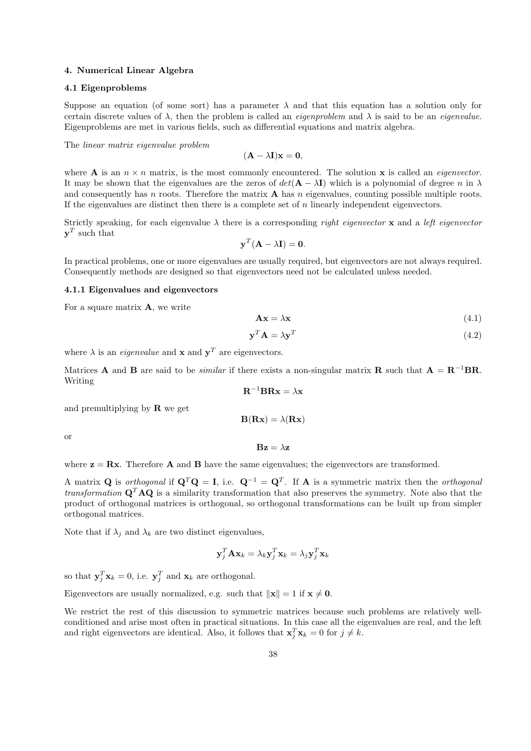### 4. Numerical Linear Algebra

# 4.1 Eigenproblems

Suppose an equation (of some sort) has a parameter  $\lambda$  and that this equation has a solution only for certain discrete values of  $\lambda$ , then the problem is called an *eigenproblem* and  $\lambda$  is said to be an *eigenvalue*. Eigenproblems are met in various fields, such as differential equations and matrix algebra.

The linear matrix eigenvalue problem

 $(\mathbf{A} - \lambda \mathbf{I})\mathbf{x} = \mathbf{0},$ 

where **A** is an  $n \times n$  matrix, is the most commonly encountered. The solution **x** is called an *eigenvector*. It may be shown that the eigenvalues are the zeros of  $det(\mathbf{A} - \lambda \mathbf{I})$  which is a polynomial of degree n in  $\lambda$ and consequently has n roots. Therefore the matrix  $\bf{A}$  has n eigenvalues, counting possible multiple roots. If the eigenvalues are distinct then there is a complete set of  $n$  linearly independent eigenvectors.

Strictly speaking, for each eigenvalue  $\lambda$  there is a corresponding *right eigenvector* x and a *left eigenvector*  $\mathbf{y}^T$  such that

$$
\mathbf{y}^T (\mathbf{A} - \lambda \mathbf{I}) = \mathbf{0}.
$$

In practical problems, one or more eigenvalues are usually required, but eigenvectors are not always required. Consequently methods are designed so that eigenvectors need not be calculated unless needed.

#### 4.1.1 Eigenvalues and eigenvectors

For a square matrix  $A$ , we write

$$
\mathbf{A}\mathbf{x} = \lambda \mathbf{x} \tag{4.1}
$$

$$
\mathbf{y}^T \mathbf{A} = \lambda \mathbf{y}^T \tag{4.2}
$$

where  $\lambda$  is an *eigenvalue* and **x** and  $y^T$  are eigenvectors.

Matrices **A** and **B** are said to be *similar* if there exists a non-singular matrix **R** such that  $A = R^{-1}BR$ . Writing

 $B(Rx) = \lambda(Rx)$ 

$$
\mathbf{R}^{-1} \mathbf{B} \mathbf{R} \mathbf{x} = \lambda \mathbf{x}
$$

and premultiplying by  $\bf{R}$  we get

or

$$
\mathbf{B}\mathbf{z} = \lambda \mathbf{z}
$$

where  $z = Rx$ . Therefore A and B have the same eigenvalues; the eigenvectors are transformed.

A matrix Q is orthogonal if  $\mathbf{Q}^T \mathbf{Q} = \mathbf{I}$ , i.e.  $\mathbf{Q}^{-1} = \mathbf{Q}^T$ . If A is a symmetric matrix then the orthogonal transformation  $Q^T A Q$  is a similarity transformation that also preserves the symmetry. Note also that the product of orthogonal matrices is orthogonal, so orthogonal transformations can be built up from simpler orthogonal matrices.

Note that if  $\lambda_i$  and  $\lambda_k$  are two distinct eigenvalues,

$$
\mathbf{y}_j^T \mathbf{A} \mathbf{x}_k = \lambda_k \mathbf{y}_j^T \mathbf{x}_k = \lambda_j \mathbf{y}_j^T \mathbf{x}_k
$$

so that  $\mathbf{y}_j^T \mathbf{x}_k = 0$ , i.e.  $\mathbf{y}_j^T$  and  $\mathbf{x}_k$  are orthogonal.

Eigenvectors are usually normalized, e.g. such that  $||\mathbf{x}|| = 1$  if  $\mathbf{x} \neq \mathbf{0}$ .

We restrict the rest of this discussion to symmetric matrices because such problems are relatively wellconditioned and arise most often in practical situations. In this case all the eigenvalues are real, and the left and right eigenvectors are identical. Also, it follows that  $\mathbf{x}_j^T \mathbf{x}_k = 0$  for  $j \neq k$ .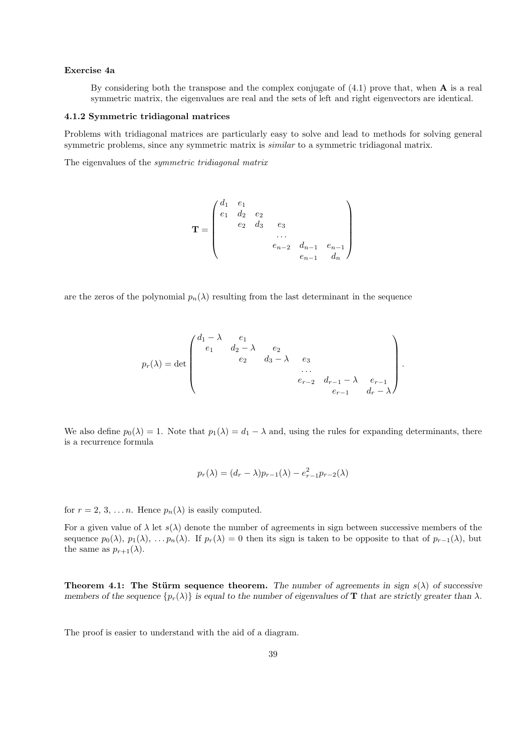# Exercise 4a

By considering both the transpose and the complex conjugate of  $(4.1)$  prove that, when **A** is a real symmetric matrix, the eigenvalues are real and the sets of left and right eigenvectors are identical.

### 4.1.2 Symmetric tridiagonal matrices

Problems with tridiagonal matrices are particularly easy to solve and lead to methods for solving general symmetric problems, since any symmetric matrix is *similar* to a symmetric tridiagonal matrix.

The eigenvalues of the symmetric tridiagonal matrix

$$
\mathbf{T} = \begin{pmatrix} d_1 & e_1 & & & & \\ e_1 & d_2 & e_2 & & & \\ & e_2 & d_3 & e_3 & & \\ & & \dots & & \\ & & & e_{n-2} & d_{n-1} & e_{n-1} \\ & & & & e_{n-1} & d_n \end{pmatrix}
$$

are the zeros of the polynomial  $p_n(\lambda)$  resulting from the last determinant in the sequence

$$
p_r(\lambda) = \det \begin{pmatrix} d_1 - \lambda & e_1 & & & \\ e_1 & d_2 - \lambda & e_2 & & \\ & e_2 & d_3 - \lambda & e_3 & \\ & & \ddots & & \\ & & & e_{r-2} & d_{r-1} - \lambda & e_{r-1} \\ & & & & e_{r-1} & d_r - \lambda \end{pmatrix}.
$$

We also define  $p_0(\lambda) = 1$ . Note that  $p_1(\lambda) = d_1 - \lambda$  and, using the rules for expanding determinants, there is a recurrence formula

$$
p_r(\lambda) = (d_r - \lambda)p_{r-1}(\lambda) - e_{r-1}^2 p_{r-2}(\lambda)
$$

for  $r = 2, 3, \ldots n$ . Hence  $p_n(\lambda)$  is easily computed.

For a given value of  $\lambda$  let  $s(\lambda)$  denote the number of agreements in sign between successive members of the sequence  $p_0(\lambda)$ ,  $p_1(\lambda)$ , ...  $p_n(\lambda)$ . If  $p_r(\lambda) = 0$  then its sign is taken to be opposite to that of  $p_{r-1}(\lambda)$ , but the same as  $p_{r+1}(\lambda)$ .

**Theorem 4.1:** The Stürm sequence theorem. The number of agreements in sign  $s(\lambda)$  of successive members of the sequence  $\{p_r(\lambda)\}\$ is equal to the number of eigenvalues of **T** that are strictly greater than  $\lambda$ .

The proof is easier to understand with the aid of a diagram.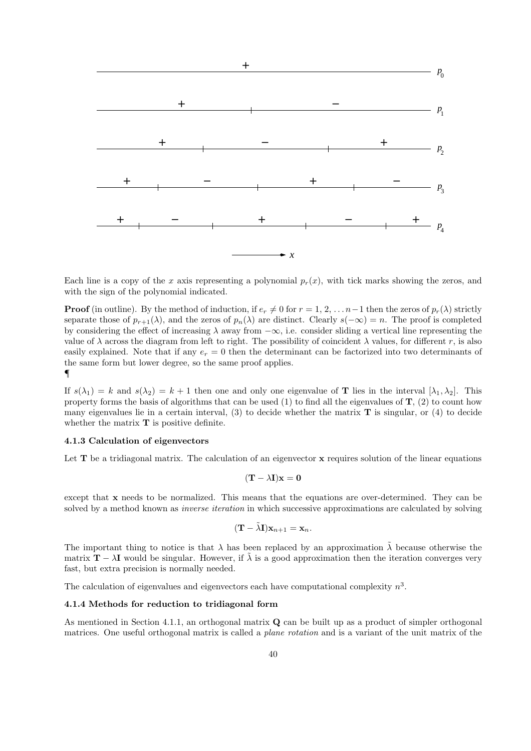

Each line is a copy of the x axis representing a polynomial  $p_r(x)$ , with tick marks showing the zeros, and with the sign of the polynomial indicated.

**Proof** (in outline). By the method of induction, if  $e_r \neq 0$  for  $r = 1, 2, \ldots n-1$  then the zeros of  $p_r(\lambda)$  strictly separate those of  $p_{r+1}(\lambda)$ , and the zeros of  $p_n(\lambda)$  are distinct. Clearly  $s(-\infty) = n$ . The proof is completed by considering the effect of increasing  $\lambda$  away from  $-\infty$ , i.e. consider sliding a vertical line representing the value of  $\lambda$  across the diagram from left to right. The possibility of coincident  $\lambda$  values, for different r, is also easily explained. Note that if any  $e_r = 0$  then the determinant can be factorized into two determinants of the same form but lower degree, so the same proof applies. ¶

If  $s(\lambda_1) = k$  and  $s(\lambda_2) = k + 1$  then one and only one eigenvalue of **T** lies in the interval  $[\lambda_1, \lambda_2]$ . This property forms the basis of algorithms that can be used  $(1)$  to find all the eigenvalues of  $\mathbf{T}$ ,  $(2)$  to count how many eigenvalues lie in a certain interval,  $(3)$  to decide whether the matrix **T** is singular, or  $(4)$  to decide whether the matrix  $T$  is positive definite.

# 4.1.3 Calculation of eigenvectors

Let  $T$  be a tridiagonal matrix. The calculation of an eigenvector  $x$  requires solution of the linear equations

$$
(\mathbf{T} - \lambda \mathbf{I})\mathbf{x} = \mathbf{0}
$$

except that x needs to be normalized. This means that the equations are over-determined. They can be solved by a method known as *inverse iteration* in which successive approximations are calculated by solving

$$
(\mathbf{T} - \tilde{\lambda}\mathbf{I})\mathbf{x}_{n+1} = \mathbf{x}_n.
$$

The important thing to notice is that  $\lambda$  has been replaced by an approximation  $\tilde{\lambda}$  because otherwise the matrix  $\mathbf{T} - \lambda \mathbf{I}$  would be singular. However, if  $\lambda$  is a good approximation then the iteration converges very fast, but extra precision is normally needed.

The calculation of eigenvalues and eigenvectors each have computational complexity  $n^3$ .

#### 4.1.4 Methods for reduction to tridiagonal form

As mentioned in Section 4.1.1, an orthogonal matrix **Q** can be built up as a product of simpler orthogonal matrices. One useful orthogonal matrix is called a plane rotation and is a variant of the unit matrix of the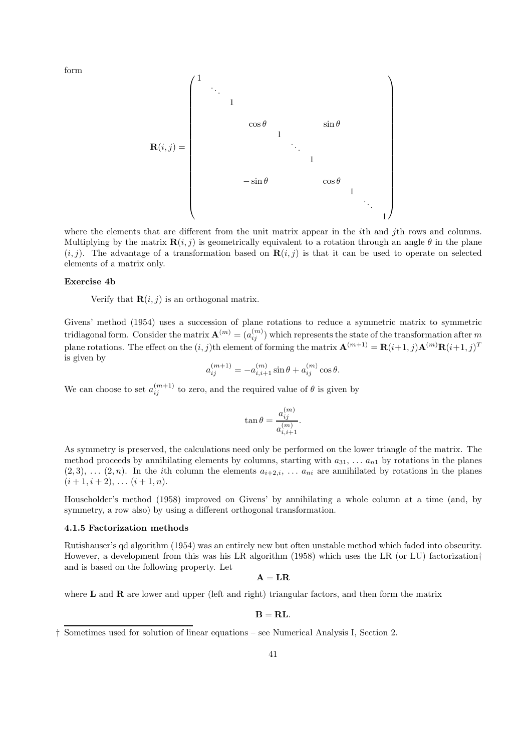form



where the elements that are different from the unit matrix appear in the *i*th and *j*th rows and columns. Multiplying by the matrix  $\mathbf{R}(i, j)$  is geometrically equivalent to a rotation through an angle  $\theta$  in the plane  $(i, j)$ . The advantage of a transformation based on  $\mathbf{R}(i, j)$  is that it can be used to operate on selected elements of a matrix only.

# Exercise 4b

Verify that  $\mathbf{R}(i, j)$  is an orthogonal matrix.

Givens' method (1954) uses a succession of plane rotations to reduce a symmetric matrix to symmetric tridiagonal form. Consider the matrix  $\mathbf{A}^{(m)}=(a_{ij}^{(m)})$  which represents the state of the transformation after  $m$ plane rotations. The effect on the  $(i, j)$ th element of forming the matrix  $\mathbf{A}^{(m+1)} = \mathbf{R}(i+1, j)\mathbf{A}^{(m)}\mathbf{R}(i+1, j)^T$ is given by

$$
a_{ij}^{(m+1)} = -a_{i,i+1}^{(m)}\sin\theta + a_{ij}^{(m)}\cos\theta.
$$

We can choose to set  $a_{ij}^{(m+1)}$  to zero, and the required value of  $\theta$  is given by

$$
\tan \theta = \frac{a_{ij}^{(m)}}{a_{i,i+1}^{(m)}}.
$$

As symmetry is preserved, the calculations need only be performed on the lower triangle of the matrix. The method proceeds by annihilating elements by columns, starting with  $a_{31}, \ldots, a_{n1}$  by rotations in the planes  $(2, 3), \ldots (2, n).$  In the *i*th column the elements  $a_{i+2,i}, \ldots a_{ni}$  are annihilated by rotations in the planes  $(i + 1, i + 2), \ldots (i + 1, n).$ 

Householder's method (1958) improved on Givens' by annihilating a whole column at a time (and, by symmetry, a row also) by using a different orthogonal transformation.

# 4.1.5 Factorization methods

Rutishauser's qd algorithm (1954) was an entirely new but often unstable method which faded into obscurity. However, a development from this was his LR algorithm (1958) which uses the LR (or LU) factorization† and is based on the following property. Let

 $A = LR$ 

where  **and**  $**R**$  **are lower and upper (left and right) triangular factors, and then form the matrix** 

$$
\mathbf{B} = \mathbf{R}\mathbf{L}.
$$

<sup>†</sup> Sometimes used for solution of linear equations – see Numerical Analysis I, Section 2.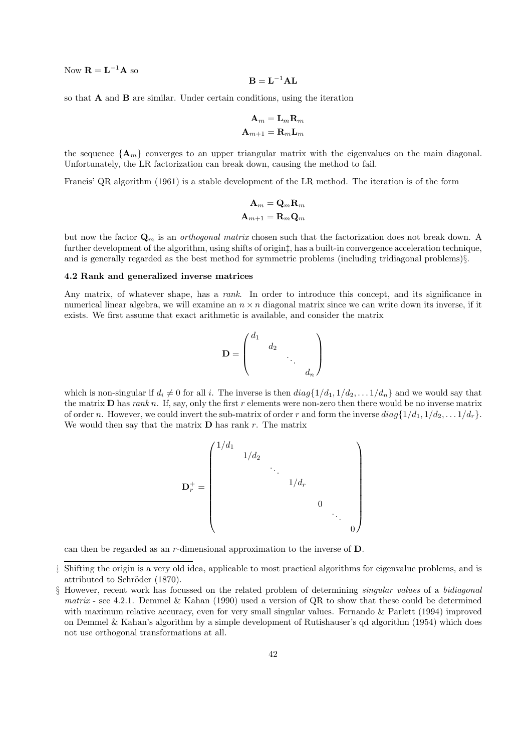Now  $\mathbf{R} = \mathbf{L}^{-1} \mathbf{A}$  so

$$
\mathbf{B} = \mathbf{L}^{-1} \mathbf{A} \mathbf{L}
$$

so that  $A$  and  $B$  are similar. Under certain conditions, using the iteration

$$
\mathbf{A}_m = \mathbf{L}_m \mathbf{R}_m \\ \mathbf{A}_{m+1} = \mathbf{R}_m \mathbf{L}_m
$$

the sequence  ${A_m}$  converges to an upper triangular matrix with the eigenvalues on the main diagonal. Unfortunately, the LR factorization can break down, causing the method to fail.

Francis' QR algorithm (1961) is a stable development of the LR method. The iteration is of the form

$$
\mathbf{A}_m = \mathbf{Q}_m \mathbf{R}_m \\ \mathbf{A}_{m+1} = \mathbf{R}_m \mathbf{Q}_m
$$

but now the factor  $\mathbf{Q}_m$  is an *orthogonal matrix* chosen such that the factorization does not break down. A further development of the algorithm, using shifts of origin‡, has a built-in convergence acceleration technique, and is generally regarded as the best method for symmetric problems (including tridiagonal problems)§.

# 4.2 Rank and generalized inverse matrices

Any matrix, of whatever shape, has a rank. In order to introduce this concept, and its significance in numerical linear algebra, we will examine an  $n \times n$  diagonal matrix since we can write down its inverse, if it exists. We first assume that exact arithmetic is available, and consider the matrix

$$
\mathbf{D} = \begin{pmatrix} d_1 & & & \\ & d_2 & & \\ & & \ddots & \\ & & & d_n \end{pmatrix}
$$

which is non-singular if  $d_i \neq 0$  for all i. The inverse is then  $diag\{1/d_1, 1/d_2, \ldots 1/d_n\}$  and we would say that the matrix  **has rank n. If, say, only the first r elements were non-zero then there would be no inverse matrix** of order n. However, we could invert the sub-matrix of order r and form the inverse  $diag\{1/d_1, 1/d_2, \ldots 1/d_r\}.$ We would then say that the matrix  $\bf{D}$  has rank r. The matrix



can then be regarded as an r-dimensional approximation to the inverse of D.

<sup>‡</sup> Shifting the origin is a very old idea, applicable to most practical algorithms for eigenvalue problems, and is attributed to Schröder (1870).

<sup>§</sup> However, recent work has focussed on the related problem of determining singular values of a bidiagonal matrix - see 4.2.1. Demmel & Kahan (1990) used a version of QR to show that these could be determined with maximum relative accuracy, even for very small singular values. Fernando & Parlett (1994) improved on Demmel & Kahan's algorithm by a simple development of Rutishauser's qd algorithm (1954) which does not use orthogonal transformations at all.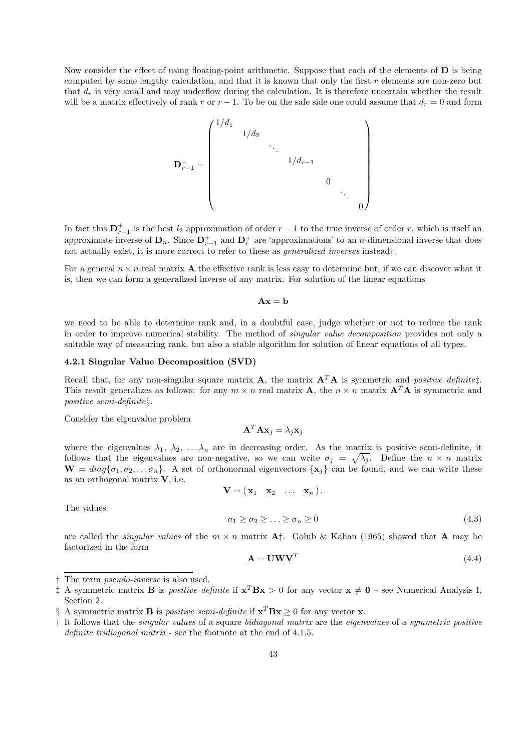Now consider the effect of using floating-point arithmetic. Suppose that each of the elements of  **is being** computed by some lengthy calculation, and that it is known that only the first  $r$  elements are non-zero but that  $d_r$  is very small and may underflow during the calculation. It is therefore uncertain whether the result will be a matrix effectively of rank r or  $r-1$ . To be on the safe side one could assume that  $d_r = 0$  and form

$$
\mathbf{D}_{r-1}^{+} = \begin{pmatrix} 1/d_1 & & & & & & \\ & 1/d_2 & & & & & \\ & & \ddots & & & & \\ & & & 1/d_{r-1} & & & \\ & & & & 0 & & \\ & & & & & 0 & \\ & & & & & & 0 \end{pmatrix}
$$

In fact this  $D_{r-1}^+$  is the best  $l_2$  approximation of order  $r-1$  to the true inverse of order r, which is itself an approximate inverse of  $\mathbf{D}_n$ . Since  $\mathbf{D}_{r-1}^+$  and  $\mathbf{D}_r^+$  are 'approximations' to an *n*-dimensional inverse that does not actually exist, it is more correct to refer to these as generalized inverses instead†.

For a general  $n \times n$  real matrix **A** the effective rank is less easy to determine but, if we can discover what it is, then we can form a generalized inverse of any matrix. For solution of the linear equations

$$
\mathbf{A}\mathbf{x} = \mathbf{b}
$$

we need to be able to determine rank and, in a doubtful case, judge whether or not to reduce the rank in order to improve numerical stability. The method of singular value decomposition provides not only a suitable way of measuring rank, but also a stable algorithm for solution of linear equations of all types.

# 4.2.1 Singular Value Decomposition (SVD)

Recall that, for any non-singular square matrix **A**, the matrix  $A^T A$  is symmetric and *positive definite*<sup> $\ddagger$ </sup>. This result generalizes as follows: for any  $m \times n$  real matrix  $\mathbf{A}$ , the  $n \times n$  matrix  $\mathbf{A}^T \mathbf{A}$  is symmetric and positive semi-definite§.

Consider the eigenvalue problem

$$
\mathbf{A}^T \mathbf{A} \mathbf{x}_j = \lambda_j \mathbf{x}_j
$$

where the eigenvalues  $\lambda_1, \lambda_2, \ldots, \lambda_n$  are in decreasing order. As the matrix is positive semi-definite, it follows that the eigenvalues are non-negative, so we can write  $\sigma_j = \sqrt{\lambda_j}$ . Define the  $n \times n$  matrix  $\mathbf{W} = diag\{\sigma_1, \sigma_2, \dots \sigma_n\}.$  A set of orthonormal eigenvectors  $\{\mathbf{x}_i\}$  can be found, and we can write these as an orthogonal matrix V, i.e.

$$
\mathbf{V}=(\mathbf{x}_1\quad \mathbf{x}_2\quad \ldots\quad \mathbf{x}_n).
$$

The values

$$
\sigma_1 \ge \sigma_2 \ge \ldots \ge \sigma_n \ge 0 \tag{4.3}
$$

are called the *singular values* of the  $m \times n$  matrix  $A^{\dagger}$ . Golub & Kahan (1965) showed that A may be factorized in the form

$$
\mathbf{A} = \mathbf{U}\mathbf{W}\mathbf{V}^T \tag{4.4}
$$

<sup>†</sup> The term *pseudo-inverse* is also used.<br>  $\ddagger$  A symmetric matrix **B** is *positive de*  $\ddagger$  A symmetric matrix **B** is *positive definite* if  $\mathbf{x}^T \mathbf{B} \mathbf{x} > 0$  for any vector  $\mathbf{x} \neq \mathbf{0}$  – see Numerical Analysis I, Section 2.

<sup>§</sup> A symmetric matrix **B** is *positive semi-definite* if  $\mathbf{x}^T \mathbf{B} \mathbf{x} \ge 0$  for any vector **x**.

<sup>†</sup> It follows that the singular values of a square bidiagonal matrix are the eigenvalues of a symmetric positive definite tridiagonal matrix - see the footnote at the end of 4.1.5.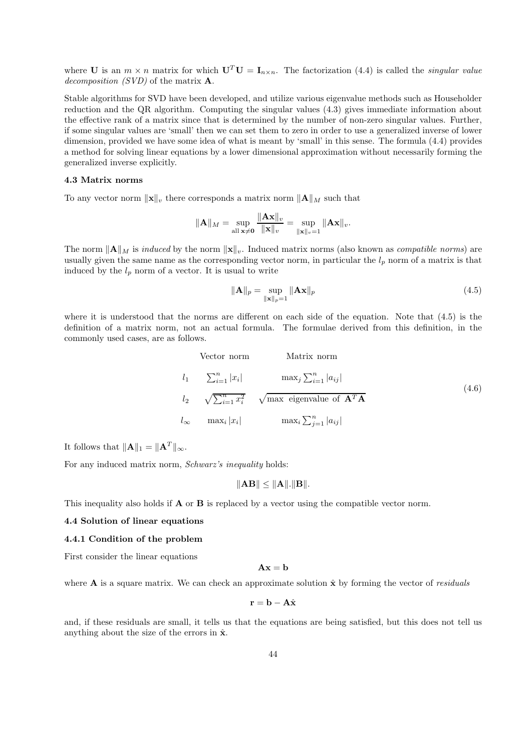where U is an  $m \times n$  matrix for which  $U^T U = I_{n \times n}$ . The factorization (4.4) is called the *singular value* decomposition  $(SVD)$  of the matrix  $\mathbf{A}$ .

Stable algorithms for SVD have been developed, and utilize various eigenvalue methods such as Householder reduction and the QR algorithm. Computing the singular values (4.3) gives immediate information about the effective rank of a matrix since that is determined by the number of non-zero singular values. Further, if some singular values are 'small' then we can set them to zero in order to use a generalized inverse of lower dimension, provided we have some idea of what is meant by 'small' in this sense. The formula (4.4) provides a method for solving linear equations by a lower dimensional approximation without necessarily forming the generalized inverse explicitly.

# 4.3 Matrix norms

To any vector norm  $\|\mathbf{x}\|_v$  there corresponds a matrix norm  $\|\mathbf{A}\|_M$  such that

$$
\|\mathbf{A}\|_{M} = \sup_{\text{all } \mathbf{x} \neq \mathbf{0}} \frac{\|\mathbf{A}\mathbf{x}\|_{v}}{\|\mathbf{x}\|_{v}} = \sup_{\|\mathbf{x}\|_{v} = 1} \|\mathbf{A}\mathbf{x}\|_{v}.
$$

The norm  $\|\mathbf{A}\|_{M}$  is *induced* by the norm  $\|\mathbf{x}\|_{v}$ . Induced matrix norms (also known as *compatible norms*) are usually given the same name as the corresponding vector norm, in particular the  $l_p$  norm of a matrix is that induced by the  $l_p$  norm of a vector. It is usual to write

$$
\|\mathbf{A}\|_{p} = \sup_{\|\mathbf{x}\|_{p} = 1} \|\mathbf{A}\mathbf{x}\|_{p} \tag{4.5}
$$

where it is understood that the norms are different on each side of the equation. Note that (4.5) is the definition of a matrix norm, not an actual formula. The formulae derived from this definition, in the commonly used cases, are as follows.

Vector norm  
\n
$$
l_1
$$
  $\sum_{i=1}^n |x_i|$   $\max_j \sum_{i=1}^n |a_{ij}|$   
\n $l_2$   $\sqrt{\sum_{i=1}^n x_i^2}$   $\sqrt{\max}$  eigenvalue of  $\mathbf{A}^T \mathbf{A}$   
\n $l_\infty$   $\max_i |x_i|$   $\max_i \sum_{j=1}^n |a_{ij}|$  (4.6)

It follows that  $\|\mathbf{A}\|_1 = \|\mathbf{A}^T\|_{\infty}$ .

For any induced matrix norm, Schwarz's inequality holds:

$$
\|\mathbf{A}\mathbf{B}\| \leq \|\mathbf{A}\|.\|\mathbf{B}\|.
$$

This inequality also holds if **A** or **B** is replaced by a vector using the compatible vector norm.

# 4.4 Solution of linear equations

### 4.4.1 Condition of the problem

First consider the linear equations

 $\mathbf{A}\mathbf{x} = \mathbf{b}$ 

where A is a square matrix. We can check an approximate solution  $\hat{x}$  by forming the vector of *residuals* 

$$
\mathbf{r} = \mathbf{b} - \mathbf{A}\hat{\mathbf{x}}
$$

and, if these residuals are small, it tells us that the equations are being satisfied, but this does not tell us anything about the size of the errors in  $\hat{\mathbf{x}}$ .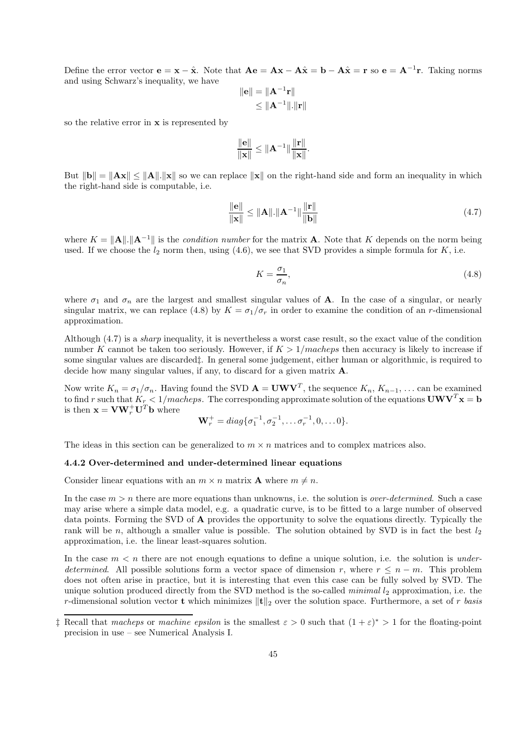Define the error vector  $\mathbf{e} = \mathbf{x} - \hat{\mathbf{x}}$ . Note that  $\mathbf{A}\mathbf{e} = \mathbf{A}\mathbf{x} - \mathbf{A}\hat{\mathbf{x}} = \mathbf{b} - \mathbf{A}\hat{\mathbf{x}} = \mathbf{r}$  so  $\mathbf{e} = \mathbf{A}^{-1}\mathbf{r}$ . Taking norms and using Schwarz's inequality, we have

$$
\|\mathbf{e}\| = \|\mathbf{A}^{-1}\mathbf{r}\|
$$
  

$$
\leq \|\mathbf{A}^{-1}\| \cdot \|\mathbf{r}\|
$$

so the relative error in x is represented by

$$
\frac{\|\mathbf{e}\|}{\|\mathbf{x}\|} \leq \|\mathbf{A}^{-1}\| \frac{\|\mathbf{r}\|}{\|\mathbf{x}\|}.
$$

But  $\|\mathbf{b}\| = \|\mathbf{A}\mathbf{x}\| \le \|\mathbf{A}\| \|\mathbf{x}\|$  so we can replace  $\|\mathbf{x}\|$  on the right-hand side and form an inequality in which the right-hand side is computable, i.e.

$$
\frac{\|\mathbf{e}\|}{\|\mathbf{x}\|} \le \|\mathbf{A}\| \cdot \|\mathbf{A}^{-1}\| \frac{\|\mathbf{r}\|}{\|\mathbf{b}\|} \tag{4.7}
$$

where  $K = ||\mathbf{A}|| \cdot ||\mathbf{A}^{-1}||$  is the *condition number* for the matrix **A**. Note that K depends on the norm being used. If we choose the  $l_2$  norm then, using  $(4.6)$ , we see that SVD provides a simple formula for K, i.e.

$$
K = \frac{\sigma_1}{\sigma_n},\tag{4.8}
$$

where  $\sigma_1$  and  $\sigma_n$  are the largest and smallest singular values of **A**. In the case of a singular, or nearly singular matrix, we can replace (4.8) by  $K = \sigma_1/\sigma_r$  in order to examine the condition of an r-dimensional approximation.

Although (4.7) is a sharp inequality, it is nevertheless a worst case result, so the exact value of the condition number K cannot be taken too seriously. However, if  $K > 1/macheps$  then accuracy is likely to increase if some singular values are discarded‡. In general some judgement, either human or algorithmic, is required to decide how many singular values, if any, to discard for a given matrix A.

Now write  $K_n = \sigma_1/\sigma_n$ . Having found the SVD  $\mathbf{A} = \mathbf{U}\mathbf{W}\mathbf{V}^T$ , the sequence  $K_n$ ,  $K_{n-1}$ , ... can be examined to find r such that  $K_r < 1/macheps$ . The corresponding approximate solution of the equations  $UWV<sup>T</sup>x = b$ is then  $\mathbf{x} = \mathbf{V}\mathbf{W}_r^+ \mathbf{U}^T \mathbf{b}$  where

$$
\mathbf{W}_r^+ = diag\{\sigma_1^{-1}, \sigma_2^{-1}, \dots \sigma_r^{-1}, 0, \dots 0\}.
$$

The ideas in this section can be generalized to  $m \times n$  matrices and to complex matrices also.

# 4.4.2 Over-determined and under-determined linear equations

Consider linear equations with an  $m \times n$  matrix **A** where  $m \neq n$ .

In the case  $m > n$  there are more equations than unknowns, i.e. the solution is *over-determined*. Such a case may arise where a simple data model, e.g. a quadratic curve, is to be fitted to a large number of observed data points. Forming the SVD of A provides the opportunity to solve the equations directly. Typically the rank will be n, although a smaller value is possible. The solution obtained by SVD is in fact the best  $l_2$ approximation, i.e. the linear least-squares solution.

In the case  $m < n$  there are not enough equations to define a unique solution, i.e. the solution is *under*determined. All possible solutions form a vector space of dimension r, where  $r \leq n - m$ . This problem does not often arise in practice, but it is interesting that even this case can be fully solved by SVD. The unique solution produced directly from the SVD method is the so-called *minimal*  $l_2$  approximation, i.e. the r-dimensional solution vector t which minimizes  $\|\mathbf{t}\|_2$  over the solution space. Furthermore, a set of r basis

<sup>&</sup>lt;sup>‡</sup> Recall that macheps or machine epsilon is the smallest  $\varepsilon > 0$  such that  $(1 + \varepsilon)^* > 1$  for the floating-point precision in use – see Numerical Analysis I.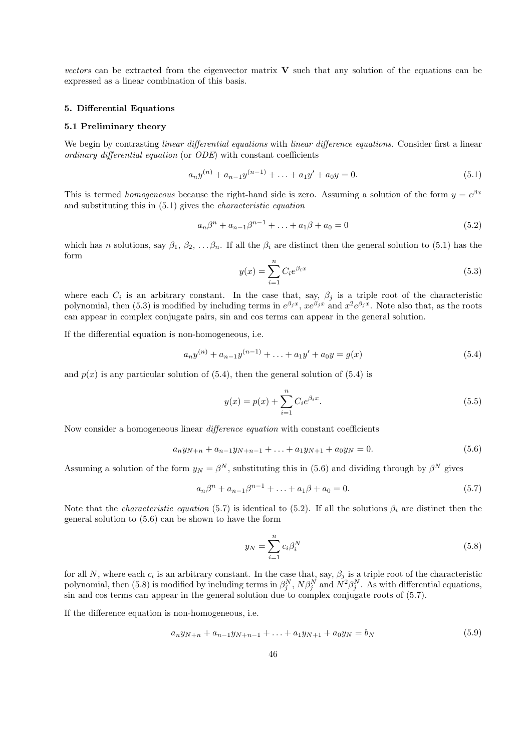vectors can be extracted from the eigenvector matrix  $V$  such that any solution of the equations can be expressed as a linear combination of this basis.

### 5. Differential Equations

# 5.1 Preliminary theory

We begin by contrasting *linear differential equations* with *linear difference equations*. Consider first a linear ordinary differential equation (or ODE) with constant coefficients

$$
a_n y^{(n)} + a_{n-1} y^{(n-1)} + \ldots + a_1 y' + a_0 y = 0.
$$
\n
$$
(5.1)
$$

This is termed *homogeneous* because the right-hand side is zero. Assuming a solution of the form  $y = e^{\beta x}$ and substituting this in (5.1) gives the characteristic equation

$$
a_n\beta^n + a_{n-1}\beta^{n-1} + \ldots + a_1\beta + a_0 = 0
$$
\n(5.2)

which has n solutions, say  $\beta_1, \beta_2, \ldots, \beta_n$ . If all the  $\beta_i$  are distinct then the general solution to (5.1) has the form

$$
y(x) = \sum_{i=1}^{n} C_i e^{\beta_i x}
$$
 (5.3)

where each  $C_i$  is an arbitrary constant. In the case that, say,  $\beta_j$  is a triple root of the characteristic polynomial, then (5.3) is modified by including terms in  $e^{\beta_j x}$ ,  $xe^{\beta_j x}$  and  $x^2e^{\beta_j x}$ . Note also that, as the roots can appear in complex conjugate pairs, sin and cos terms can appear in the general solution.

If the differential equation is non-homogeneous, i.e.

$$
a_n y^{(n)} + a_{n-1} y^{(n-1)} + \ldots + a_1 y' + a_0 y = g(x) \tag{5.4}
$$

and  $p(x)$  is any particular solution of (5.4), then the general solution of (5.4) is

$$
y(x) = p(x) + \sum_{i=1}^{n} C_i e^{\beta_i x}.
$$
\n(5.5)

Now consider a homogeneous linear difference equation with constant coefficients

$$
a_n y_{N+n} + a_{n-1} y_{N+n-1} + \ldots + a_1 y_{N+1} + a_0 y_N = 0. \tag{5.6}
$$

Assuming a solution of the form  $y_N = \beta^N$ , substituting this in (5.6) and dividing through by  $\beta^N$  gives

$$
a_n\beta^n + a_{n-1}\beta^{n-1} + \ldots + a_1\beta + a_0 = 0.
$$
\n(5.7)

Note that the *characteristic equation* (5.7) is identical to (5.2). If all the solutions  $\beta_i$  are distinct then the general solution to (5.6) can be shown to have the form

$$
y_N = \sum_{i=1}^n c_i \beta_i^N \tag{5.8}
$$

for all N, where each  $c_i$  is an arbitrary constant. In the case that, say,  $\beta_j$  is a triple root of the characteristic polynomial, then (5.8) is modified by including terms in  $\beta_j^N$ ,  $N\beta_j^N$  and  $N^2\beta_j^N$ . As with differential equations, sin and cos terms can appear in the general solution due to complex conjugate roots of (5.7).

If the difference equation is non-homogeneous, i.e.

$$
a_n y_{N+n} + a_{n-1} y_{N+n-1} + \ldots + a_1 y_{N+1} + a_0 y_N = b_N \tag{5.9}
$$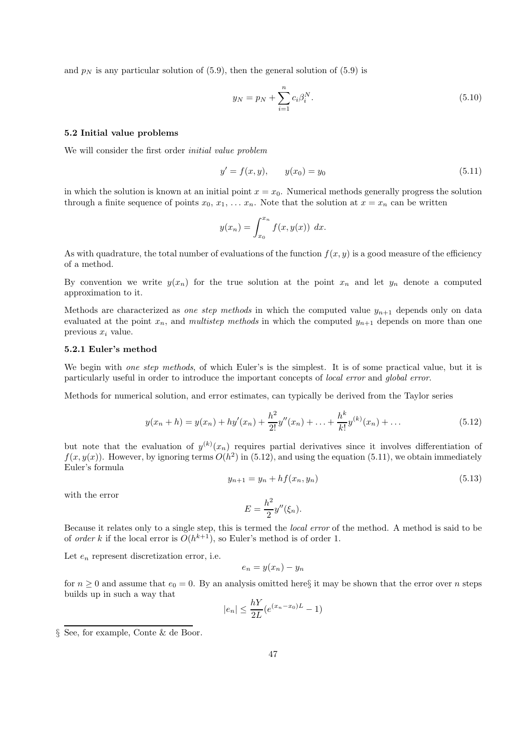and  $p_N$  is any particular solution of (5.9), then the general solution of (5.9) is

$$
y_N = p_N + \sum_{i=1}^n c_i \beta_i^N.
$$
\n(5.10)

### 5.2 Initial value problems

We will consider the first order initial value problem

$$
y' = f(x, y), \qquad y(x_0) = y_0 \tag{5.11}
$$

in which the solution is known at an initial point  $x = x_0$ . Numerical methods generally progress the solution through a finite sequence of points  $x_0, x_1, \ldots x_n$ . Note that the solution at  $x = x_n$  can be written

$$
y(x_n) = \int_{x_0}^{x_n} f(x, y(x)) dx.
$$

As with quadrature, the total number of evaluations of the function  $f(x, y)$  is a good measure of the efficiency of a method.

By convention we write  $y(x_n)$  for the true solution at the point  $x_n$  and let  $y_n$  denote a computed approximation to it.

Methods are characterized as one step methods in which the computed value  $y_{n+1}$  depends only on data evaluated at the point  $x_n$ , and *multistep methods* in which the computed  $y_{n+1}$  depends on more than one previous  $x_i$  value.

# 5.2.1 Euler's method

We begin with one step methods, of which Euler's is the simplest. It is of some practical value, but it is particularly useful in order to introduce the important concepts of local error and global error.

Methods for numerical solution, and error estimates, can typically be derived from the Taylor series

$$
y(x_n + h) = y(x_n) + hy'(x_n) + \frac{h^2}{2!}y''(x_n) + \ldots + \frac{h^k}{k!}y^{(k)}(x_n) + \ldots
$$
\n(5.12)

but note that the evaluation of  $y^{(k)}(x_n)$  requires partial derivatives since it involves differentiation of  $f(x, y(x))$ . However, by ignoring terms  $O(h^2)$  in (5.12), and using the equation (5.11), we obtain immediately Euler's formula

$$
y_{n+1} = y_n + h f(x_n, y_n) \tag{5.13}
$$

with the error

$$
E = \frac{h^2}{2}y''(\xi_n).
$$

Because it relates only to a single step, this is termed the local error of the method. A method is said to be of *order* k if the local error is  $O(h^{k+1})$ , so Euler's method is of order 1.

Let  $e_n$  represent discretization error, i.e.

$$
e_n = y(x_n) - y_n
$$

for  $n \geq 0$  and assume that  $e_0 = 0$ . By an analysis omitted here it may be shown that the error over n steps builds up in such a way that

$$
|e_n| \le \frac{hY}{2L}(e^{(x_n - x_0)L} - 1)
$$

<sup>§</sup> See, for example, Conte & de Boor.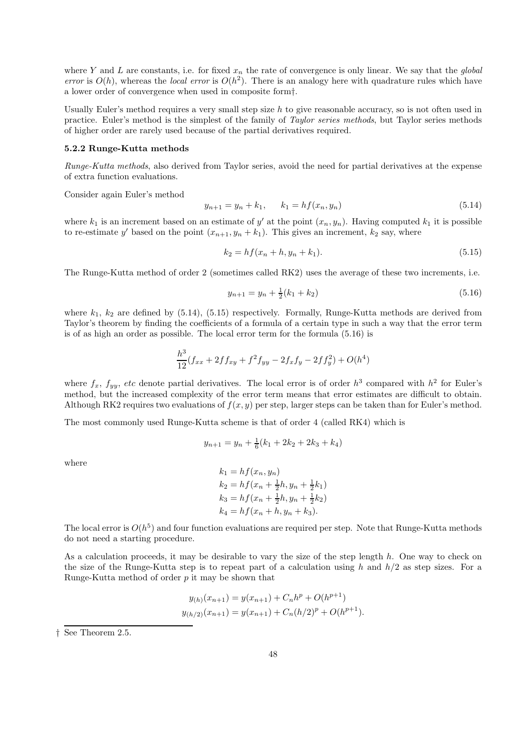where Y and L are constants, i.e. for fixed  $x_n$  the rate of convergence is only linear. We say that the *global* error is  $O(h)$ , whereas the local error is  $O(h^2)$ . There is an analogy here with quadrature rules which have a lower order of convergence when used in composite form†.

Usually Euler's method requires a very small step size  $h$  to give reasonable accuracy, so is not often used in practice. Euler's method is the simplest of the family of Taylor series methods, but Taylor series methods of higher order are rarely used because of the partial derivatives required.

## 5.2.2 Runge-Kutta methods

Runge-Kutta methods, also derived from Taylor series, avoid the need for partial derivatives at the expense of extra function evaluations.

Consider again Euler's method

$$
y_{n+1} = y_n + k_1, \qquad k_1 = h f(x_n, y_n) \tag{5.14}
$$

where  $k_1$  is an increment based on an estimate of y' at the point  $(x_n, y_n)$ . Having computed  $k_1$  it is possible to re-estimate y' based on the point  $(x_{n+1}, y_n + k_1)$ . This gives an increment,  $k_2$  say, where

$$
k_2 = h f(x_n + h, y_n + k_1). \tag{5.15}
$$

The Runge-Kutta method of order 2 (sometimes called RK2) uses the average of these two increments, i.e.

$$
y_{n+1} = y_n + \frac{1}{2}(k_1 + k_2) \tag{5.16}
$$

where  $k_1$ ,  $k_2$  are defined by (5.14), (5.15) respectively. Formally, Runge-Kutta methods are derived from Taylor's theorem by finding the coefficients of a formula of a certain type in such a way that the error term is of as high an order as possible. The local error term for the formula (5.16) is

$$
\frac{h^3}{12}(f_{xx} + 2ff_{xy} + f^2f_{yy} - 2f_xf_y - 2ff_y^2) + O(h^4)
$$

where  $f_x$ ,  $f_{yy}$ , etc denote partial derivatives. The local error is of order  $h^3$  compared with  $h^2$  for Euler's method, but the increased complexity of the error term means that error estimates are difficult to obtain. Although RK2 requires two evaluations of  $f(x, y)$  per step, larger steps can be taken than for Euler's method.

The most commonly used Runge-Kutta scheme is that of order 4 (called RK4) which is

$$
y_{n+1} = y_n + \frac{1}{6}(k_1 + 2k_2 + 2k_3 + k_4)
$$

where

$$
k_1 = h f(x_n, y_n)
$$
  
\n
$$
k_2 = h f(x_n + \frac{1}{2}h, y_n + \frac{1}{2}k_1)
$$
  
\n
$$
k_3 = h f(x_n + \frac{1}{2}h, y_n + \frac{1}{2}k_2)
$$
  
\n
$$
k_4 = h f(x_n + h, y_n + k_3).
$$

The local error is  $O(h^5)$  and four function evaluations are required per step. Note that Runge-Kutta methods do not need a starting procedure.

As a calculation proceeds, it may be desirable to vary the size of the step length h. One way to check on the size of the Runge-Kutta step is to repeat part of a calculation using h and  $h/2$  as step sizes. For a Runge-Kutta method of order  $p$  it may be shown that

$$
y_{(h)}(x_{n+1}) = y(x_{n+1}) + C_n h^p + O(h^{p+1})
$$
  

$$
y_{(h/2)}(x_{n+1}) = y(x_{n+1}) + C_n (h/2)^p + O(h^{p+1}).
$$

<sup>†</sup> See Theorem 2.5.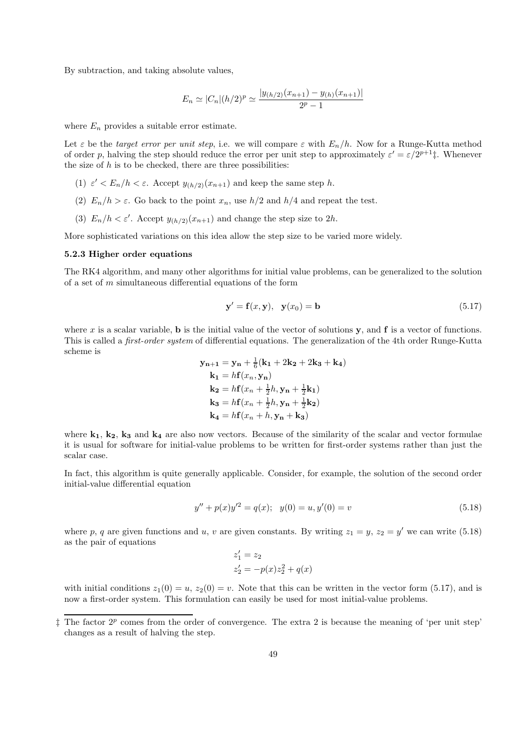By subtraction, and taking absolute values,

$$
E_n \simeq |C_n|(h/2)^p \simeq \frac{|y_{(h/2)}(x_{n+1}) - y_{(h)}(x_{n+1})|}{2^p - 1}
$$

where  $E_n$  provides a suitable error estimate.

Let  $\varepsilon$  be the target error per unit step, i.e. we will compare  $\varepsilon$  with  $E_n/h$ . Now for a Runge-Kutta method of order p, halving the step should reduce the error per unit step to approximately  $\varepsilon' = \varepsilon/2^{p+1}$ . Whenever the size of  $h$  is to be checked, there are three possibilities:

- (1)  $\varepsilon' < E_n/h < \varepsilon$ . Accept  $y_{(h/2)}(x_{n+1})$  and keep the same step h.
- (2)  $E_n/h > \varepsilon$ . Go back to the point  $x_n$ , use  $h/2$  and  $h/4$  and repeat the test.
- (3)  $E_n/h < \varepsilon'$ . Accept  $y_{(h/2)}(x_{n+1})$  and change the step size to 2h.

More sophisticated variations on this idea allow the step size to be varied more widely.

#### 5.2.3 Higher order equations

The RK4 algorithm, and many other algorithms for initial value problems, can be generalized to the solution of a set of  $m$  simultaneous differential equations of the form

$$
\mathbf{y}' = \mathbf{f}(x, \mathbf{y}), \quad \mathbf{y}(x_0) = \mathbf{b} \tag{5.17}
$$

where x is a scalar variable, **b** is the initial value of the vector of solutions y, and  $f$  is a vector of functions. This is called a first-order system of differential equations. The generalization of the 4th order Runge-Kutta scheme is

$$
\mathbf{y}_{n+1} = \mathbf{y}_n + \frac{1}{6}(\mathbf{k}_1 + 2\mathbf{k}_2 + 2\mathbf{k}_3 + \mathbf{k}_4)
$$
  
\n
$$
\mathbf{k}_1 = h\mathbf{f}(x_n, \mathbf{y}_n)
$$
  
\n
$$
\mathbf{k}_2 = h\mathbf{f}(x_n + \frac{1}{2}h, \mathbf{y}_n + \frac{1}{2}\mathbf{k}_1)
$$
  
\n
$$
\mathbf{k}_3 = h\mathbf{f}(x_n + \frac{1}{2}h, \mathbf{y}_n + \frac{1}{2}\mathbf{k}_2)
$$
  
\n
$$
\mathbf{k}_4 = h\mathbf{f}(x_n + h, \mathbf{y}_n + \mathbf{k}_3)
$$

where  $k_1$ ,  $k_2$ ,  $k_3$  and  $k_4$  are also now vectors. Because of the similarity of the scalar and vector formulae it is usual for software for initial-value problems to be written for first-order systems rather than just the scalar case.

In fact, this algorithm is quite generally applicable. Consider, for example, the solution of the second order initial-value differential equation

$$
y'' + p(x)y'^2 = q(x); \quad y(0) = u, y'(0) = v \tag{5.18}
$$

where p, q are given functions and u, v are given constants. By writing  $z_1 = y$ ,  $z_2 = y'$  we can write (5.18) as the pair of equations

$$
z_1' = z_2
$$
  

$$
z_2' = -p(x)z_2^2 + q(x)
$$

with initial conditions  $z_1(0) = u$ ,  $z_2(0) = v$ . Note that this can be written in the vector form (5.17), and is now a first-order system. This formulation can easily be used for most initial-value problems.

 $\ddagger$  The factor  $2^p$  comes from the order of convergence. The extra 2 is because the meaning of 'per unit step' changes as a result of halving the step.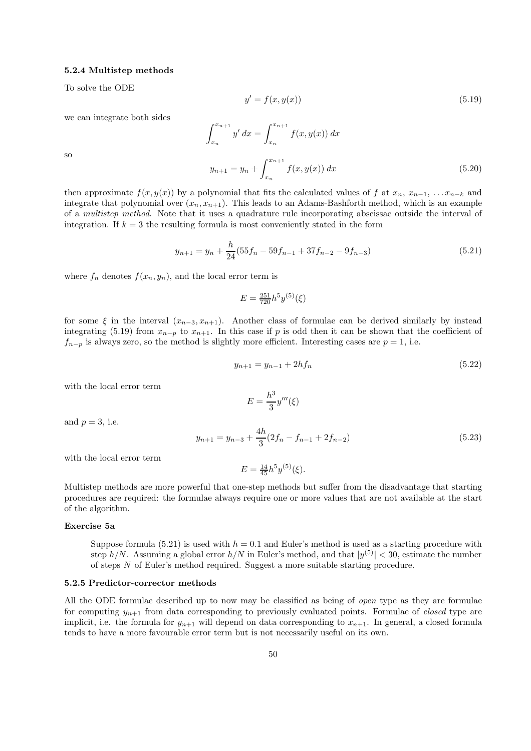#### 5.2.4 Multistep methods

To solve the ODE

$$
y' = f(x, y(x))\tag{5.19}
$$

we can integrate both sides

$$
\int_{x_n}^{x_{n+1}} y' dx = \int_{x_n}^{x_{n+1}} f(x, y(x)) dx
$$
  

$$
y_{n+1} = y_n + \int_{x_n}^{x_{n+1}} f(x, y(x)) dx
$$
 (5.20)

so

then approximate 
$$
f(x, y(x))
$$
 by a polynomial that fits the calculated values of f at  $x_n$ ,  $x_{n-1}$ , ... $x_{n-k}$  and  
integrate that polynomial over  $(x_n, x_{n+1})$ . This leads to an Adams-Bashforth method, which is an example  
of a *multistep method*. Note that it uses a quadrature rule incorporating abscissae outside the interval of  
integration. If  $k = 3$  the resulting formula is most conveniently stated in the form

$$
y_{n+1} = y_n + \frac{h}{24}(55f_n - 59f_{n-1} + 37f_{n-2} - 9f_{n-3})
$$
\n(5.21)

where  $f_n$  denotes  $f(x_n, y_n)$ , and the local error term is

$$
E = \frac{251}{720} h^5 y^{(5)}(\xi)
$$

for some  $\xi$  in the interval  $(x_{n-3}, x_{n+1})$ . Another class of formulae can be derived similarly by instead integrating (5.19) from  $x_{n-p}$  to  $x_{n+1}$ . In this case if p is odd then it can be shown that the coefficient of  $f_{n-p}$  is always zero, so the method is slightly more efficient. Interesting cases are  $p = 1$ , i.e.

$$
y_{n+1} = y_{n-1} + 2hf_n \tag{5.22}
$$

with the local error term

$$
E=\frac{h^3}{3}y'''(\xi)
$$

and  $p = 3$ , i.e.

$$
y_{n+1} = y_{n-3} + \frac{4h}{3}(2f_n - f_{n-1} + 2f_{n-2})
$$
\n(5.23)

with the local error term

$$
E = \frac{14}{45} h^5 y^{(5)}(\xi).
$$

Multistep methods are more powerful that one-step methods but suffer from the disadvantage that starting procedures are required: the formulae always require one or more values that are not available at the start of the algorithm.

# Exercise 5a

Suppose formula (5.21) is used with  $h = 0.1$  and Euler's method is used as a starting procedure with step  $h/N$ . Assuming a global error  $h/N$  in Euler's method, and that  $|y^{(5)}| < 30$ , estimate the number of steps N of Euler's method required. Suggest a more suitable starting procedure.

# 5.2.5 Predictor-corrector methods

All the ODE formulae described up to now may be classified as being of open type as they are formulae for computing  $y_{n+1}$  from data corresponding to previously evaluated points. Formulae of *closed* type are implicit, i.e. the formula for  $y_{n+1}$  will depend on data corresponding to  $x_{n+1}$ . In general, a closed formula tends to have a more favourable error term but is not necessarily useful on its own.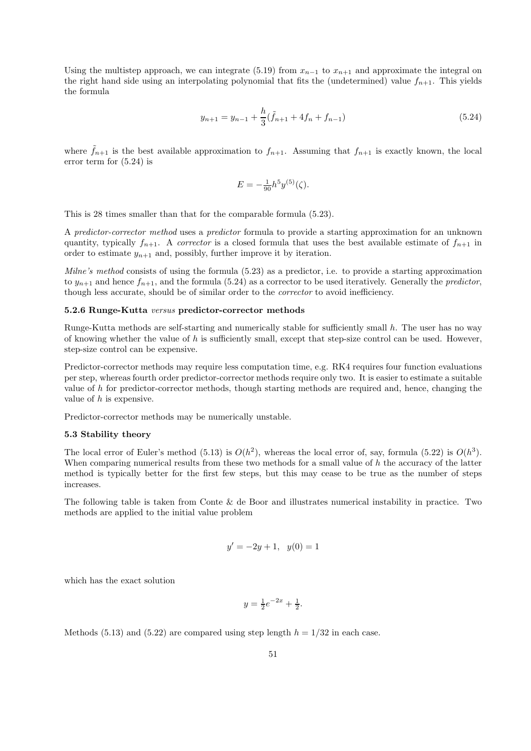Using the multistep approach, we can integrate (5.19) from  $x_{n-1}$  to  $x_{n+1}$  and approximate the integral on the right hand side using an interpolating polynomial that fits the (undetermined) value  $f_{n+1}$ . This yields the formula

$$
y_{n+1} = y_{n-1} + \frac{h}{3}(\tilde{f}_{n+1} + 4f_n + f_{n-1})
$$
\n(5.24)

where  $f_{n+1}$  is the best available approximation to  $f_{n+1}$ . Assuming that  $f_{n+1}$  is exactly known, the local error term for (5.24) is

$$
E = -\frac{1}{90}h^5 y^{(5)}(\zeta).
$$

This is 28 times smaller than that for the comparable formula (5.23).

A predictor-corrector method uses a predictor formula to provide a starting approximation for an unknown quantity, typically  $f_{n+1}$ . A *corrector* is a closed formula that uses the best available estimate of  $f_{n+1}$  in order to estimate  $y_{n+1}$  and, possibly, further improve it by iteration.

Milne's method consists of using the formula (5.23) as a predictor, i.e. to provide a starting approximation to  $y_{n+1}$  and hence  $f_{n+1}$ , and the formula (5.24) as a corrector to be used iteratively. Generally the *predictor*, though less accurate, should be of similar order to the corrector to avoid inefficiency.

# 5.2.6 Runge-Kutta versus predictor-corrector methods

Runge-Kutta methods are self-starting and numerically stable for sufficiently small h. The user has no way of knowing whether the value of  $h$  is sufficiently small, except that step-size control can be used. However, step-size control can be expensive.

Predictor-corrector methods may require less computation time, e.g. RK4 requires four function evaluations per step, whereas fourth order predictor-corrector methods require only two. It is easier to estimate a suitable value of h for predictor-corrector methods, though starting methods are required and, hence, changing the value of h is expensive.

Predictor-corrector methods may be numerically unstable.

#### 5.3 Stability theory

The local error of Euler's method (5.13) is  $O(h^2)$ , whereas the local error of, say, formula (5.22) is  $O(h^3)$ . When comparing numerical results from these two methods for a small value of h the accuracy of the latter method is typically better for the first few steps, but this may cease to be true as the number of steps increases.

The following table is taken from Conte & de Boor and illustrates numerical instability in practice. Two methods are applied to the initial value problem

$$
y' = -2y + 1, \ \ y(0) = 1
$$

which has the exact solution

$$
y = \frac{1}{2}e^{-2x} + \frac{1}{2}.
$$

Methods (5.13) and (5.22) are compared using step length  $h = 1/32$  in each case.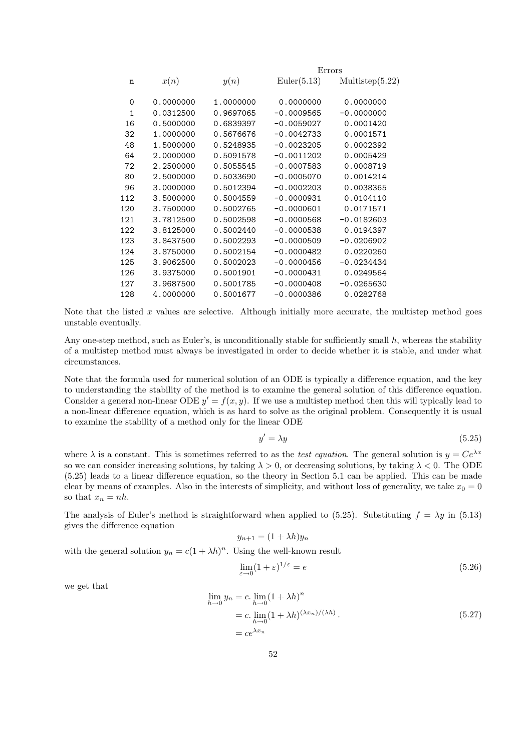|              |           |           | Errors       |                    |
|--------------|-----------|-----------|--------------|--------------------|
| n            | x(n)      | y(n)      | Euler(5.13)  | Multistep $(5.22)$ |
| $\Omega$     | 0.0000000 | 1.0000000 | 0.0000000    | 0.0000000          |
| $\mathbf{1}$ | 0.0312500 | 0.9697065 | $-0.0009565$ | $-0.0000000$       |
| 16           | 0.5000000 | 0.6839397 | $-0.0059027$ | 0.0001420          |
| 32           | 1.0000000 | 0.5676676 | $-0.0042733$ | 0.0001571          |
| 48           | 1.5000000 | 0.5248935 | $-0.0023205$ | 0.0002392          |
| 64           | 2.0000000 | 0.5091578 | $-0.0011202$ | 0.0005429          |
| 72           | 2.2500000 | 0.5055545 | $-0.0007583$ | 0.0008719          |
| 80           | 2.5000000 | 0.5033690 | $-0.0005070$ | 0.0014214          |
| 96           | 3.0000000 | 0.5012394 | $-0.0002203$ | 0.0038365          |
| 112          | 3.5000000 | 0.5004559 | $-0.0000931$ | 0.0104110          |
| 120          | 3.7500000 | 0.5002765 | $-0.0000601$ | 0.0171571          |
| 121          | 3.7812500 | 0.5002598 | $-0.0000568$ | $-0.0182603$       |
| 122          | 3.8125000 | 0.5002440 | $-0.0000538$ | 0.0194397          |
| 123          | 3.8437500 | 0.5002293 | $-0.0000509$ | $-0.0206902$       |
| 124          | 3.8750000 | 0.5002154 | $-0.0000482$ | 0.0220260          |
| 125          | 3.9062500 | 0.5002023 | $-0.0000456$ | $-0.0234434$       |
| 126          | 3.9375000 | 0.5001901 | $-0.0000431$ | 0.0249564          |
| 127          | 3.9687500 | 0.5001785 | $-0.0000408$ | $-0.0265630$       |
| 128          | 4.0000000 | 0.5001677 | $-0.0000386$ | 0.0282768          |
|              |           |           |              |                    |

Note that the listed x values are selective. Although initially more accurate, the multistep method goes unstable eventually.

Any one-step method, such as Euler's, is unconditionally stable for sufficiently small  $h$ , whereas the stability of a multistep method must always be investigated in order to decide whether it is stable, and under what circumstances.

Note that the formula used for numerical solution of an ODE is typically a difference equation, and the key to understanding the stability of the method is to examine the general solution of this difference equation. Consider a general non-linear ODE  $y' = f(x, y)$ . If we use a multistep method then this will typically lead to a non-linear difference equation, which is as hard to solve as the original problem. Consequently it is usual to examine the stability of a method only for the linear ODE

$$
y' = \lambda y \tag{5.25}
$$

where  $\lambda$  is a constant. This is sometimes referred to as the test equation. The general solution is  $y = Ce^{\lambda x}$ so we can consider increasing solutions, by taking  $\lambda > 0$ , or decreasing solutions, by taking  $\lambda < 0$ . The ODE (5.25) leads to a linear difference equation, so the theory in Section 5.1 can be applied. This can be made clear by means of examples. Also in the interests of simplicity, and without loss of generality, we take  $x_0 = 0$ so that  $x_n = nh$ .

The analysis of Euler's method is straightforward when applied to (5.25). Substituting  $f = \lambda y$  in (5.13) gives the difference equation

$$
y_{n+1} = (1 + \lambda h)y_n
$$

with the general solution  $y_n = c(1 + \lambda h)^n$ . Using the well-known result

$$
\lim_{\varepsilon \to 0} (1 + \varepsilon)^{1/\varepsilon} = e \tag{5.26}
$$

we get that

$$
\lim_{h \to 0} y_n = c \cdot \lim_{h \to 0} (1 + \lambda h)^n
$$
  
= c. 
$$
\lim_{h \to 0} (1 + \lambda h)^{(\lambda x_n)/(\lambda h)}
$$
. (5.27)  
= 
$$
ce^{\lambda x_n}
$$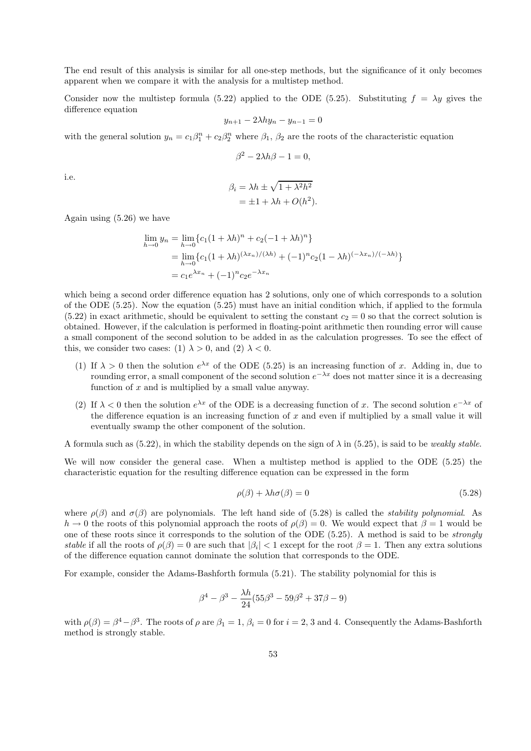The end result of this analysis is similar for all one-step methods, but the significance of it only becomes apparent when we compare it with the analysis for a multistep method.

Consider now the multistep formula (5.22) applied to the ODE (5.25). Substituting  $f = \lambda y$  gives the difference equation

$$
y_{n+1} - 2\lambda hy_n - y_{n-1} = 0
$$

with the general solution  $y_n = c_1\beta_1^n + c_2\beta_2^n$  where  $\beta_1$ ,  $\beta_2$  are the roots of the characteristic equation

$$
\beta^2 - 2\lambda h \beta - 1 = 0,
$$

i.e.

$$
\beta_i = \lambda h \pm \sqrt{1 + \lambda^2 h^2} \n= \pm 1 + \lambda h + O(h^2).
$$

Again using (5.26) we have

$$
\lim_{h \to 0} y_n = \lim_{h \to 0} \{c_1(1 + \lambda h)^n + c_2(-1 + \lambda h)^n\}
$$
  
= 
$$
\lim_{h \to 0} \{c_1(1 + \lambda h)^{(\lambda x_n)/(\lambda h)} + (-1)^n c_2(1 - \lambda h)^{(-\lambda x_n)/(-\lambda h)}\}
$$
  
= 
$$
c_1 e^{\lambda x_n} + (-1)^n c_2 e^{-\lambda x_n}
$$

which being a second order difference equation has 2 solutions, only one of which corresponds to a solution of the ODE (5.25). Now the equation (5.25) must have an initial condition which, if applied to the formula  $(5.22)$  in exact arithmetic, should be equivalent to setting the constant  $c_2 = 0$  so that the correct solution is obtained. However, if the calculation is performed in floating-point arithmetic then rounding error will cause a small component of the second solution to be added in as the calculation progresses. To see the effect of this, we consider two cases: (1)  $\lambda > 0$ , and (2)  $\lambda < 0$ .

- (1) If  $\lambda > 0$  then the solution  $e^{\lambda x}$  of the ODE (5.25) is an increasing function of x. Adding in, due to rounding error, a small component of the second solution  $e^{-\lambda x}$  does not matter since it is a decreasing function of x and is multiplied by a small value anyway.
- (2) If  $\lambda < 0$  then the solution  $e^{\lambda x}$  of the ODE is a decreasing function of x. The second solution  $e^{-\lambda x}$  of the difference equation is an increasing function of x and even if multiplied by a small value it will eventually swamp the other component of the solution.

A formula such as (5.22), in which the stability depends on the sign of  $\lambda$  in (5.25), is said to be *weakly stable*.

We will now consider the general case. When a multistep method is applied to the ODE (5.25) the characteristic equation for the resulting difference equation can be expressed in the form

$$
\rho(\beta) + \lambda h \sigma(\beta) = 0 \tag{5.28}
$$

where  $\rho(\beta)$  and  $\sigma(\beta)$  are polynomials. The left hand side of (5.28) is called the *stability polynomial*. As  $h \to 0$  the roots of this polynomial approach the roots of  $\rho(\beta) = 0$ . We would expect that  $\beta = 1$  would be one of these roots since it corresponds to the solution of the ODE (5.25). A method is said to be strongly stable if all the roots of  $\rho(\beta) = 0$  are such that  $|\beta_i| < 1$  except for the root  $\beta = 1$ . Then any extra solutions of the difference equation cannot dominate the solution that corresponds to the ODE.

For example, consider the Adams-Bashforth formula (5.21). The stability polynomial for this is

$$
\beta^4 - \beta^3 - \frac{\lambda h}{24} (55\beta^3 - 59\beta^2 + 37\beta - 9)
$$

with  $\rho(\beta) = \beta^4 - \beta^3$ . The roots of  $\rho$  are  $\beta_1 = 1$ ,  $\beta_i = 0$  for  $i = 2, 3$  and 4. Consequently the Adams-Bashforth method is strongly stable.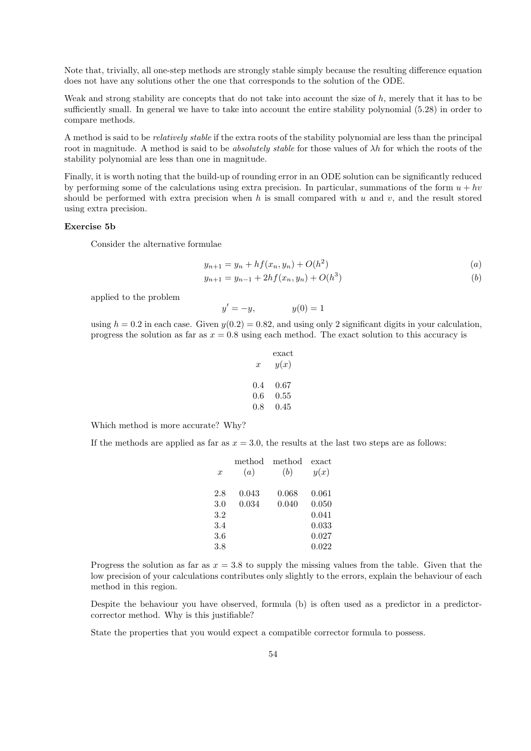Note that, trivially, all one-step methods are strongly stable simply because the resulting difference equation does not have any solutions other the one that corresponds to the solution of the ODE.

Weak and strong stability are concepts that do not take into account the size of  $h$ , merely that it has to be sufficiently small. In general we have to take into account the entire stability polynomial (5.28) in order to compare methods.

A method is said to be relatively stable if the extra roots of the stability polynomial are less than the principal root in magnitude. A method is said to be *absolutely stable* for those values of  $\lambda h$  for which the roots of the stability polynomial are less than one in magnitude.

Finally, it is worth noting that the build-up of rounding error in an ODE solution can be significantly reduced by performing some of the calculations using extra precision. In particular, summations of the form  $u + hv$ should be performed with extra precision when  $h$  is small compared with  $u$  and  $v$ , and the result stored using extra precision.

# Exercise 5b

Consider the alternative formulae

$$
y_{n+1} = y_n + h f(x_n, y_n) + O(h^2)
$$
 (a)

$$
y_{n+1} = y_{n-1} + 2hf(x_n, y_n) + O(h^3)
$$
 (b)

applied to the problem

$$
y' = -y, \qquad \qquad y(0) = 1
$$

using  $h = 0.2$  in each case. Given  $y(0.2) = 0.82$ , and using only 2 significant digits in your calculation, progress the solution as far as  $x = 0.8$  using each method. The exact solution to this accuracy is

| x   | exact<br>y(x) |
|-----|---------------|
| 0.4 | 0.67          |
| 0.6 | 0.55          |
| 0.8 | 0.45          |

Which method is more accurate? Why?

If the methods are applied as far as  $x = 3.0$ , the results at the last two steps are as follows:

| $\boldsymbol{x}$ | method<br>(a) | method<br>(b) | exact<br>y(x) |
|------------------|---------------|---------------|---------------|
|                  |               |               |               |
| 2.8              | 0.043         | 0.068         | 0.061         |
| 3.0              | 0.034         | 0.040         | 0.050         |
| 3.2              |               |               | 0.041         |
| 3.4              |               |               | 0.033         |
| 3.6              |               |               | 0.027         |
| 3.8              |               |               | 0.022         |

Progress the solution as far as  $x = 3.8$  to supply the missing values from the table. Given that the low precision of your calculations contributes only slightly to the errors, explain the behaviour of each method in this region.

Despite the behaviour you have observed, formula (b) is often used as a predictor in a predictorcorrector method. Why is this justifiable?

State the properties that you would expect a compatible corrector formula to possess.